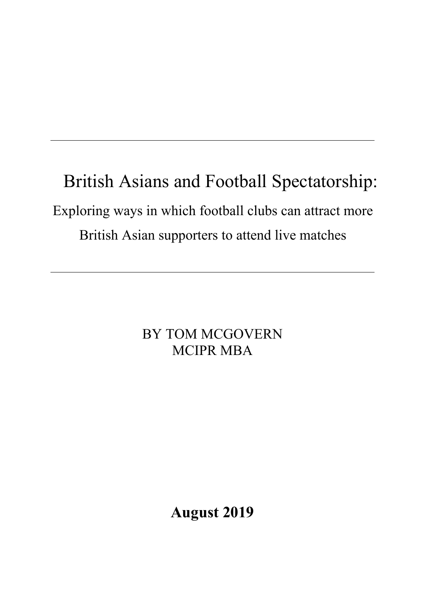# British Asians and Football Spectatorship: Exploring ways in which football clubs can attract more British Asian supporters to attend live matches

BY TOM MCGOVERN MCIPR MBA

**August 2019**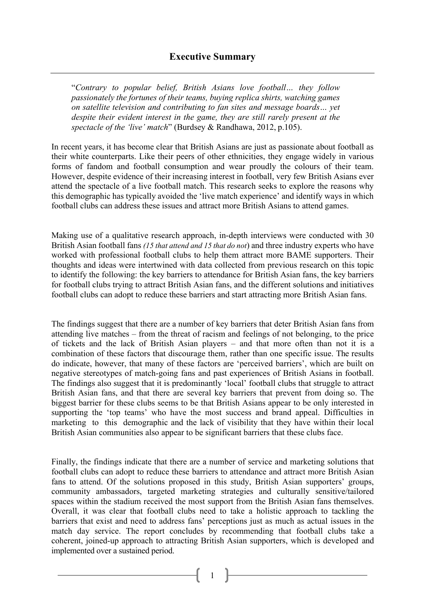<span id="page-1-0"></span>"*Contrary to popular belief, British Asians love football… they follow passionately the fortunes of their teams, buying replica shirts, watching games on satellite television and contributing to fan sites and message boards… yet despite their evident interest in the game, they are still rarely present at the spectacle of the 'live' match*" (Burdsey & Randhawa, 2012, p.105).

In recent years, it has become clear that British Asians are just as passionate about football as their white counterparts. Like their peers of other ethnicities, they engage widely in various forms of fandom and football consumption and wear proudly the colours of their team. However, despite evidence of their increasing interest in football, very few British Asians ever attend the spectacle of a live football match. This research seeks to explore the reasons why this demographic has typically avoided the 'live match experience' and identify ways in which football clubs can address these issues and attract more British Asians to attend games.

Making use of a qualitative research approach, in-depth interviews were conducted with 30 British Asian football fans *(15 that attend and 15 that do not*) and three industry experts who have worked with professional football clubs to help them attract more BAME supporters. Their thoughts and ideas were intertwined with data collected from previous research on this topic to identify the following: the key barriers to attendance for British Asian fans, the key barriers for football clubs trying to attract British Asian fans, and the different solutions and initiatives football clubs can adopt to reduce these barriers and start attracting more British Asian fans.

The findings suggest that there are a number of key barriers that deter British Asian fans from attending live matches – from the threat of racism and feelings of not belonging, to the price of tickets and the lack of British Asian players – and that more often than not it is a combination of these factors that discourage them, rather than one specific issue. The results do indicate, however, that many of these factors are 'perceived barriers', which are built on negative stereotypes of match-going fans and past experiences of British Asians in football. The findings also suggest that it is predominantly 'local' football clubs that struggle to attract British Asian fans, and that there are several key barriers that prevent from doing so. The biggest barrier for these clubs seems to be that British Asians appear to be only interested in supporting the 'top teams' who have the most success and brand appeal. Difficulties in marketing to this demographic and the lack of visibility that they have within their local British Asian communities also appear to be significant barriers that these clubs face.

<span id="page-1-1"></span>Finally, the findings indicate that there are a number of service and marketing solutions that football clubs can adopt to reduce these barriers to attendance and attract more British Asian fans to attend. Of the solutions proposed in this study, British Asian supporters' groups, community ambassadors, targeted marketing strategies and culturally sensitive/tailored spaces within the stadium received the most support from the British Asian fans themselves. Overall, it was clear that football clubs need to take a holistic approach to tackling the barriers that exist and need to address fans' perceptions just as much as actual issues in the match day service. The report concludes by recommending that football clubs take a coherent, joined-up approach to attracting British Asian supporters, which is developed and implemented over a sustained period.

1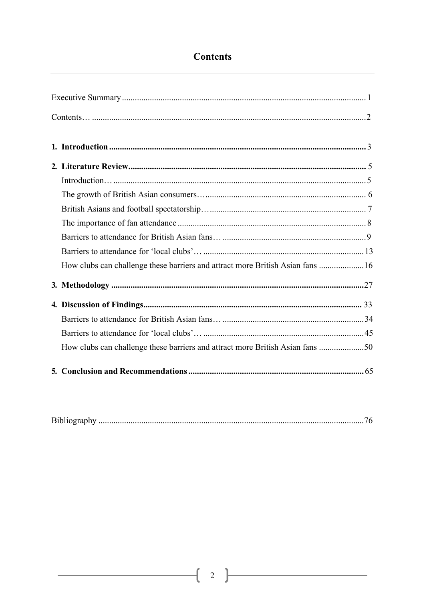### **Contents**

| How clubs can challenge these barriers and attract more British Asian fans 16 |  |
|-------------------------------------------------------------------------------|--|
|                                                                               |  |
|                                                                               |  |
|                                                                               |  |
|                                                                               |  |
| How clubs can challenge these barriers and attract more British Asian fans 50 |  |
|                                                                               |  |

| Bibliography |
|--------------|
|--------------|

 $\overline{1}$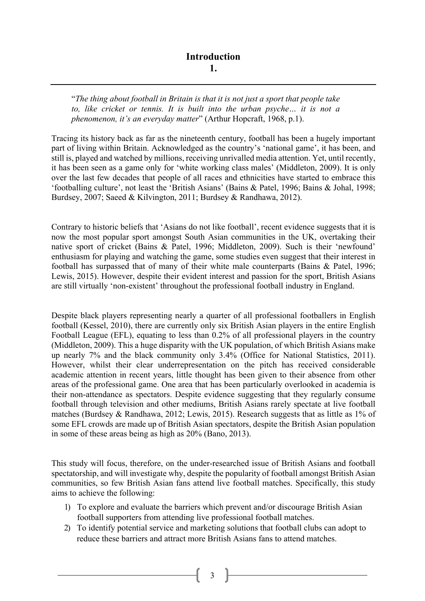"*The thing about football in Britain is that it is not just a sport that people take to, like cricket or tennis. It is built into the urban psyche… it is not a phenomenon, it's an everyday matter*" (Arthur Hopcraft, 1968, p.1).

Tracing its history back as far as the nineteenth century, football has been a hugely important part of living within Britain. Acknowledged as the country's 'national game', it has been, and still is, played and watched by millions, receiving unrivalled media attention. Yet, until recently, it has been seen as a game only for 'white working class males' (Middleton, 2009). It is only over the last few decades that people of all races and ethnicities have started to embrace this 'footballing culture', not least the 'British Asians' (Bains & Patel, 1996; Bains & Johal, 1998; Burdsey, 2007; Saeed & Kilvington, 2011; Burdsey & Randhawa, 2012).

Contrary to historic beliefs that 'Asians do not like football', recent evidence suggests that it is now the most popular sport amongst South Asian communities in the UK, overtaking their native sport of cricket (Bains & Patel, 1996; Middleton, 2009). Such is their 'newfound' enthusiasm for playing and watching the game, some studies even suggest that their interest in football has surpassed that of many of their white male counterparts (Bains & Patel, 1996; Lewis, 2015). However, despite their evident interest and passion for the sport, British Asians are still virtually 'non-existent' throughout the professional football industry in England.

Despite black players representing nearly a quarter of all professional footballers in English football (Kessel, 2010), there are currently only six British Asian players in the entire English Football League (EFL), equating to less than 0.2% of all professional players in the country (Middleton, 2009). This a huge disparity with the UK population, of which British Asians make up nearly 7% and the black community only 3.4% (Office for National Statistics, 2011). However, whilst their clear underrepresentation on the pitch has received considerable academic attention in recent years, little thought has been given to their absence from other areas of the professional game. One area that has been particularly overlooked in academia is their non-attendance as spectators. Despite evidence suggesting that they regularly consume football through television and other mediums, British Asians rarely spectate at live football matches (Burdsey & Randhawa, 2012; Lewis, 2015). Research suggests that as little as 1% of some EFL crowds are made up of British Asian spectators, despite the British Asian population in some of these areas being as high as 20% (Bano, 2013).

This study will focus, therefore, on the under-researched issue of British Asians and football spectatorship, and will investigate why, despite the popularity of football amongst British Asian communities, so few British Asian fans attend live football matches. Specifically, this study aims to achieve the following:

- 1) To explore and evaluate the barriers which prevent and/or discourage British Asian football supporters from attending live professional football matches.
- 2) To identify potential service and marketing solutions that football clubs can adopt to reduce these barriers and attract more British Asians fans to attend matches.

3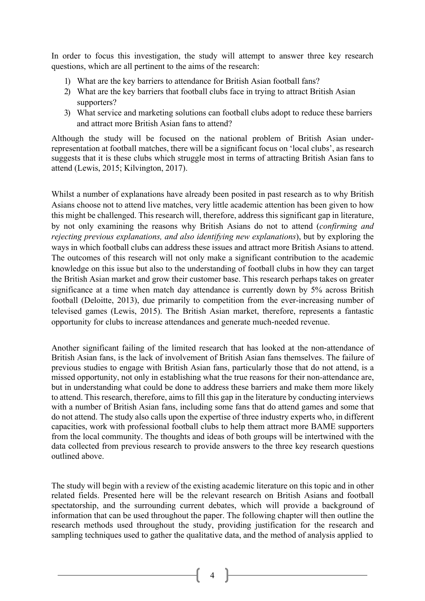In order to focus this investigation, the study will attempt to answer three key research questions, which are all pertinent to the aims of the research:

- 1) What are the key barriers to attendance for British Asian football fans?
- 2) What are the key barriers that football clubs face in trying to attract British Asian supporters?
- 3) What service and marketing solutions can football clubs adopt to reduce these barriers and attract more British Asian fans to attend?

Although the study will be focused on the national problem of British Asian underrepresentation at football matches, there will be a significant focus on 'local clubs', as research suggests that it is these clubs which struggle most in terms of attracting British Asian fans to attend (Lewis, 2015; Kilvington, 2017).

Whilst a number of explanations have already been posited in past research as to why British Asians choose not to attend live matches, very little academic attention has been given to how this might be challenged. This research will, therefore, address this significant gap in literature, by not only examining the reasons why British Asians do not to attend (*confirming and rejecting previous explanations, and also identifying new explanations*), but by exploring the ways in which football clubs can address these issues and attract more British Asians to attend. The outcomes of this research will not only make a significant contribution to the academic knowledge on this issue but also to the understanding of football clubs in how they can target the British Asian market and grow their customer base. This research perhaps takes on greater significance at a time when match day attendance is currently down by 5% across British football (Deloitte, 2013), due primarily to competition from the ever-increasing number of televised games (Lewis, 2015). The British Asian market, therefore, represents a fantastic opportunity for clubs to increase attendances and generate much-needed revenue.

Another significant failing of the limited research that has looked at the non-attendance of British Asian fans, is the lack of involvement of British Asian fans themselves. The failure of previous studies to engage with British Asian fans, particularly those that do not attend, is a missed opportunity, not only in establishing what the true reasons for their non-attendance are, but in understanding what could be done to address these barriers and make them more likely to attend. This research, therefore, aims to fill this gap in the literature by conducting interviews with a number of British Asian fans, including some fans that do attend games and some that do not attend. The study also calls upon the expertise of three industry experts who, in different capacities, work with professional football clubs to help them attract more BAME supporters from the local community. The thoughts and ideas of both groups will be intertwined with the data collected from previous research to provide answers to the three key research questions outlined above.

The study will begin with a review of the existing academic literature on this topic and in other related fields. Presented here will be the relevant research on British Asians and football spectatorship, and the surrounding current debates, which will provide a background of information that can be used throughout the paper. The following chapter will then outline the research methods used throughout the study, providing justification for the research and sampling techniques used to gather the qualitative data, and the method of analysis applied to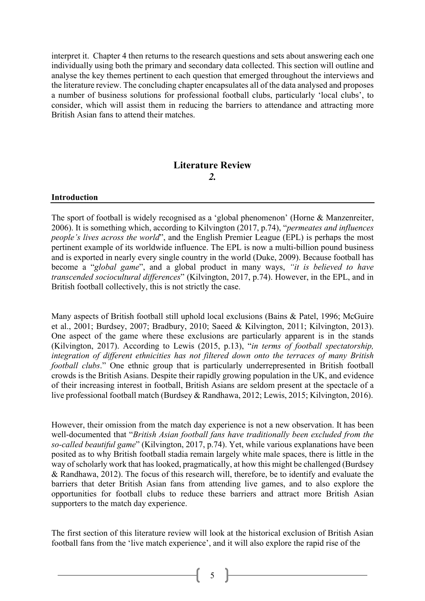interpret it. Chapter 4 then returns to the research questions and sets about answering each one individually using both the primary and secondary data collected. This section will outline and analyse the key themes pertinent to each question that emerged throughout the interviews and the literature review. The concluding chapter encapsulates all of the data analysed and proposes a number of business solutions for professional football clubs, particularly 'local clubs', to consider, which will assist them in reducing the barriers to attendance and attracting more British Asian fans to attend their matches.

#### **Literature Review** *2.*

#### <span id="page-5-0"></span>**Introduction**

The sport of football is widely recognised as a 'global phenomenon' (Horne & Manzenreiter, 2006). It is something which, according to Kilvington (2017, p.74), "*permeates and influences people's lives across the world*", and the English Premier League (EPL) is perhaps the most pertinent example of its worldwide influence. The EPL is now a multi-billion pound business and is exported in nearly every single country in the world (Duke, 2009). Because football has become a "*global game*", and a global product in many ways, *"it is believed to have transcended sociocultural differences*" (Kilvington, 2017, p.74). However, in the EPL, and in British football collectively, this is not strictly the case.

Many aspects of British football still uphold local exclusions (Bains & Patel, 1996; McGuire et al., 2001; Burdsey, 2007; Bradbury, 2010; Saeed & Kilvington, 2011; Kilvington, 2013). One aspect of the game where these exclusions are particularly apparent is in the stands (Kilvington, 2017). According to Lewis (2015, p.13), "*in terms of football spectatorship, integration of different ethnicities has not filtered down onto the terraces of many British football clubs*." One ethnic group that is particularly underrepresented in British football crowds is the British Asians. Despite their rapidly growing population in the UK, and evidence of their increasing interest in football, British Asians are seldom present at the spectacle of a live professional football match (Burdsey & Randhawa, 2012; Lewis, 2015; Kilvington, 2016).

However, their omission from the match day experience is not a new observation. It has been well-documented that "*British Asian football fans have traditionally been excluded from the so-called beautiful game*" (Kilvington, 2017, p.74). Yet, while various explanations have been posited as to why British football stadia remain largely white male spaces, there is little in the way of scholarly work that haslooked, pragmatically, at how this might be challenged (Burdsey & Randhawa, 2012). The focus of this research will, therefore, be to identify and evaluate the barriers that deter British Asian fans from attending live games, and to also explore the opportunities for football clubs to reduce these barriers and attract more British Asian supporters to the match day experience.

The first section of this literature review will look at the historical exclusion of British Asian football fans from the 'live match experience', and it will also explore the rapid rise of the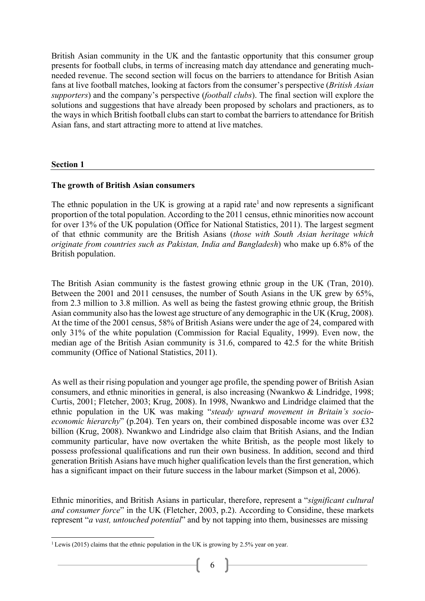British Asian community in the UK and the fantastic opportunity that this consumer group presents for football clubs, in terms of increasing match day attendance and generating muchneeded revenue. The second section will focus on the barriers to attendance for British Asian fans at live football matches, looking at factors from the consumer's perspective (*British Asian supporters*) and the company's perspective (*football clubs*). The final section will explore the solutions and suggestions that have already been proposed by scholars and practioners, as to the ways in which British football clubs can start to combat the barriers to attendance for British Asian fans, and start attracting more to attend at live matches.

#### **Section 1**

#### <span id="page-6-0"></span>**The growth of British Asian consumers**

The ethnic population in the UK is growing at a rapid rate<sup>1</sup> and now represents a significant proportion of the total population. According to the 2011 census, ethnic minorities now account for over 13% of the UK population (Office for National Statistics, 2011). The largest segment of that ethnic community are the British Asians (*those with South Asian heritage which originate from countries such as Pakistan, India and Bangladesh*) who make up 6.8% of the British population.

The British Asian community is the fastest growing ethnic group in the UK (Tran, 2010). Between the 2001 and 2011 censuses, the number of South Asians in the UK grew by 65%, from 2.3 million to 3.8 million. As well as being the fastest growing ethnic group, the British Asian community also has the lowest age structure of any demographic in the UK (Krug, 2008). At the time of the 2001 census, 58% of British Asians were under the age of 24, compared with only 31% of the white population (Commission for Racial Equality, 1999). Even now, the median age of the British Asian community is 31.6, compared to 42.5 for the white British community (Office of National Statistics, 2011).

As well as their rising population and younger age profile, the spending power of British Asian consumers, and ethnic minorities in general, is also increasing (Nwankwo & Lindridge, 1998; Curtis, 2001; Fletcher, 2003; Krug, 2008). In 1998, Nwankwo and Lindridge claimed that the ethnic population in the UK was making "*steady upward movement in Britain's socioeconomic hierarchy*" (p.204). Ten years on, their combined disposable income was over £32 billion (Krug, 2008). Nwankwo and Lindridge also claim that British Asians, and the Indian community particular, have now overtaken the white British, as the people most likely to possess professional qualifications and run their own business. In addition, second and third generation British Asians have much higher qualification levels than the first generation, which has a significant impact on their future success in the labour market (Simpson et al, 2006).

Ethnic minorities, and British Asians in particular, therefore, represent a "*significant cultural and consumer force*" in the UK (Fletcher, 2003, p.2). According to Considine, these markets represent "*a vast, untouched potential*" and by not tapping into them, businesses are missing

<sup>&</sup>lt;sup>1</sup> Lewis (2015) claims that the ethnic population in the UK is growing by 2.5% year on year.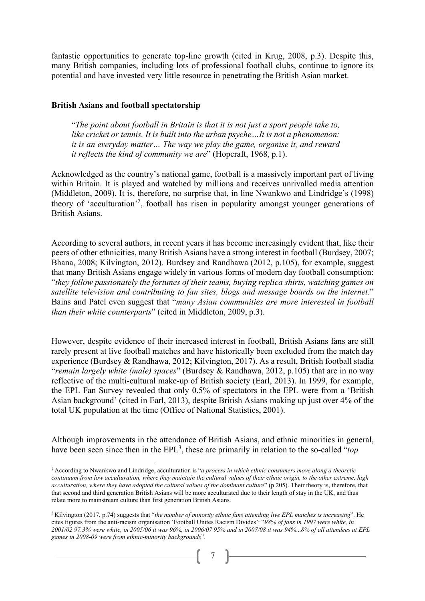fantastic opportunities to generate top-line growth (cited in Krug, 2008, p.3). Despite this, many British companies, including lots of professional football clubs, continue to ignore its potential and have invested very little resource in penetrating the British Asian market.

#### <span id="page-7-0"></span>**British Asians and football spectatorship**

"*The point about football in Britain is that it is not just a sport people take to, like cricket or tennis. It is built into the urban psyche…It is not a phenomenon: it is an everyday matter… The way we play the game, organise it, and reward it reflects the kind of community we are*" (Hopcraft, 1968, p.1).

Acknowledged as the country's national game, football is a massively important part of living within Britain. It is played and watched by millions and receives unrivalled media attention (Middleton, 2009). It is, therefore, no surprise that, in line Nwankwo and Lindridge's (1998) theory of 'acculturation'<sup>2</sup>, football has risen in popularity amongst younger generations of British Asians.

According to several authors, in recent years it has become increasingly evident that, like their peers of other ethnicities, many British Asians have a strong interest in football (Burdsey, 2007; Bhana, 2008; Kilvington, 2012). Burdsey and Randhawa (2012, p.105), for example, suggest that many British Asians engage widely in various forms of modern day football consumption: "*they follow passionately the fortunes of their teams, buying replica shirts, watching games on satellite television and contributing to fan sites, blogs and message boards on the internet.*" Bains and Patel even suggest that "*many Asian communities are more interested in football than their white counterparts*" (cited in Middleton, 2009, p.3).

However, despite evidence of their increased interest in football, British Asians fans are still rarely present at live football matches and have historically been excluded from the match day experience (Burdsey & Randhawa, 2012; Kilvington, 2017). As a result, British football stadia "*remain largely white (male) spaces*" (Burdsey & Randhawa, 2012, p.105) that are in no way reflective of the multi-cultural make-up of British society (Earl, 2013). In 1999, for example, the EPL Fan Survey revealed that only 0.5% of spectators in the EPL were from a 'British Asian background' (cited in Earl, 2013), despite British Asians making up just over 4% of the total UK population at the time (Office of National Statistics, 2001).

Although improvements in the attendance of British Asians, and ethnic minorities in general, have been seen since then in the EPL<sup>3</sup>, these are primarily in relation to the so-called "*top* 

<sup>2</sup>According to Nwankwo and Lindridge, acculturation is "*a process in which ethnic consumers move along a theoretic continuum from low acculturation, where they maintain the cultural values of their ethnic origin, to the other extreme, high acculturation, where they have adopted the cultural values of the dominant culture*" (p.205). Their theory is, therefore, that that second and third generation British Asians will be more acculturated due to their length of stay in the UK, and thus relate more to mainstream culture than first generation British Asians.

<sup>3</sup> Kilvington (2017, p.74) suggests that "*the number of minority ethnic fans attending live EPL matches is increasing*". He cites figures from the anti-racism organisation 'Football Unites Racism Divides': "*98% of fans in 1997 were white, in 2001/02 97.3% were white, in 2005/06 it was 96%, in 2006/07 95% and in 2007/08 it was 94%*...*8% of all attendees at EPL games in 2008-09 were from ethnic-minority backgrounds*".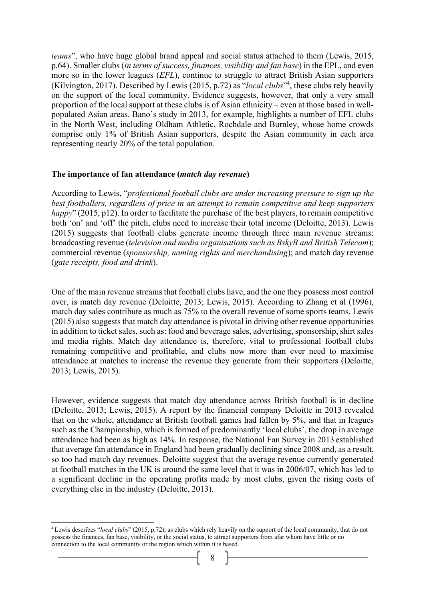*teams*", who have huge global brand appeal and social status attached to them (Lewis, 2015, p.64). Smaller clubs (*in terms of success, finances, visibility and fan base*) in the EPL, and even more so in the lower leagues (*EFL*), continue to struggle to attract British Asian supporters (Kilvington, 2017). Described by Lewis (2015, p.72) as "*local clubs*"4 , these clubs rely heavily on the support of the local community. Evidence suggests, however, that only a very small proportion of the local support at these clubs is of Asian ethnicity – even at those based in wellpopulated Asian areas. Bano's study in 2013, for example, highlights a number of EFL clubs in the North West, including Oldham Athletic, Rochdale and Burnley, whose home crowds comprise only 1% of British Asian supporters, despite the Asian community in each area representing nearly 20% of the total population.

#### **The importance of fan attendance (***match day revenue***)**

According to Lewis, "*professional football clubs are under increasing pressure to sign up the best footballers, regardless of price in an attempt to remain competitive and keep supporters happy*" (2015, p12). In order to facilitate the purchase of the best players, to remain competitive both 'on' and 'off' the pitch, clubs need to increase their total income (Deloitte, 2013). Lewis (2015) suggests that football clubs generate income through three main revenue streams: broadcasting revenue (*television and media organisations such as BskyB and British Telecom*); commercial revenue (*sponsorship, naming rights and merchandising*); and match day revenue (*gate receipts, food and drink*).

One of the main revenue streams that football clubs have, and the one they possess most control over, is match day revenue (Deloitte, 2013; Lewis, 2015). According to Zhang et al (1996), match day sales contribute as much as 75% to the overall revenue of some sports teams. Lewis (2015) also suggests that match day attendance is pivotal in driving other revenue opportunities in addition to ticket sales, such as: food and beverage sales, advertising, sponsorship, shirt sales and media rights. Match day attendance is, therefore, vital to professional football clubs remaining competitive and profitable, and clubs now more than ever need to maximise attendance at matches to increase the revenue they generate from their supporters (Deloitte, 2013; Lewis, 2015).

However, evidence suggests that match day attendance across British football is in decline (Deloitte, 2013; Lewis, 2015). A report by the financial company Deloitte in 2013 revealed that on the whole, attendance at British football games had fallen by 5%, and that in leagues such as the Championship, which is formed of predominantly 'local clubs', the drop in average attendance had been as high as 14%. In response, the National Fan Survey in 2013 established that average fan attendance in England had been gradually declining since 2008 and, as a result, so too had match day revenues. Deloitte suggest that the average revenue currently generated at football matches in the UK is around the same level that it was in 2006/07, which has led to a significant decline in the operating profits made by most clubs, given the rising costs of everything else in the industry (Deloitte, 2013).

<sup>4</sup> Lewis describes "*local clubs*" (2015, p.72), as clubs which rely heavily on the support of the local community, that do not possess the finances, fan base, visibility, or the social status, to attract supporters from afar whom have little or no connection to the local community or the region which within it is based.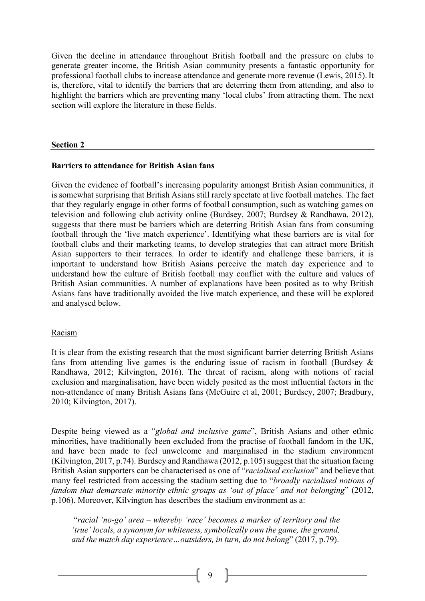Given the decline in attendance throughout British football and the pressure on clubs to generate greater income, the British Asian community presents a fantastic opportunity for professional football clubs to increase attendance and generate more revenue (Lewis, 2015). It is, therefore, vital to identify the barriers that are deterring them from attending, and also to highlight the barriers which are preventing many 'local clubs' from attracting them. The next section will explore the literature in these fields.

#### **Section 2**

#### <span id="page-9-0"></span>**Barriers to attendance for British Asian fans**

Given the evidence of football's increasing popularity amongst British Asian communities, it is somewhat surprising that British Asians still rarely spectate at live football matches. The fact that they regularly engage in other forms of football consumption, such as watching games on television and following club activity online (Burdsey, 2007; Burdsey & Randhawa, 2012), suggests that there must be barriers which are deterring British Asian fans from consuming football through the 'live match experience'. Identifying what these barriers are is vital for football clubs and their marketing teams, to develop strategies that can attract more British Asian supporters to their terraces. In order to identify and challenge these barriers, it is important to understand how British Asians perceive the match day experience and to understand how the culture of British football may conflict with the culture and values of British Asian communities. A number of explanations have been posited as to why British Asians fans have traditionally avoided the live match experience, and these will be explored and analysed below.

#### Racism

It is clear from the existing research that the most significant barrier deterring British Asians fans from attending live games is the enduring issue of racism in football (Burdsey & Randhawa, 2012; Kilvington, 2016). The threat of racism, along with notions of racial exclusion and marginalisation, have been widely posited as the most influential factors in the non-attendance of many British Asians fans (McGuire et al, 2001; Burdsey, 2007; Bradbury, 2010; Kilvington, 2017).

Despite being viewed as a "*global and inclusive game*", British Asians and other ethnic minorities, have traditionally been excluded from the practise of football fandom in the UK, and have been made to feel unwelcome and marginalised in the stadium environment (Kilvington, 2017, p.74). Burdsey and Randhawa (2012, p.105) suggest that the situation facing British Asian supporters can be characterised as one of "*racialised exclusion*" and believe that many feel restricted from accessing the stadium setting due to "*broadly racialised notions of fandom that demarcate minority ethnic groups as 'out of place' and not belonging*" (2012, p.106). Moreover, Kilvington has describes the stadium environment as a:

"*racial 'no-go' area – whereby 'race' becomes a marker of territory and the 'true' locals, a synonym for whiteness, symbolically own the game, the ground, and the match day experience…outsiders, in turn, do not belong*" (2017, p.79).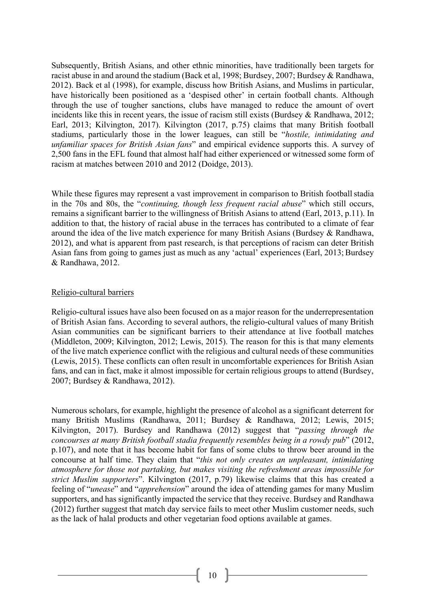Subsequently, British Asians, and other ethnic minorities, have traditionally been targets for racist abuse in and around the stadium (Back et al, 1998; Burdsey, 2007; Burdsey & Randhawa, 2012). Back et al (1998), for example, discuss how British Asians, and Muslims in particular, have historically been positioned as a 'despised other' in certain football chants. Although through the use of tougher sanctions, clubs have managed to reduce the amount of overt incidents like this in recent years, the issue of racism still exists (Burdsey & Randhawa, 2012; Earl, 2013; Kilvington, 2017). Kilvington (2017, p.75) claims that many British football stadiums, particularly those in the lower leagues, can still be "*hostile, intimidating and unfamiliar spaces for British Asian fans*" and empirical evidence supports this. A survey of 2,500 fans in the EFL found that almost half had either experienced or witnessed some form of racism at matches between 2010 and 2012 (Doidge, 2013).

While these figures may represent a vast improvement in comparison to British football stadia in the 70s and 80s, the "*continuing, though less frequent racial abuse*" which still occurs, remains a significant barrier to the willingness of British Asians to attend (Earl, 2013, p.11). In addition to that, the history of racial abuse in the terraces has contributed to a climate of fear around the idea of the live match experience for many British Asians (Burdsey & Randhawa, 2012), and what is apparent from past research, is that perceptions of racism can deter British Asian fans from going to games just as much as any 'actual' experiences (Earl, 2013; Burdsey & Randhawa, 2012.

#### Religio-cultural barriers

Religio-cultural issues have also been focused on as a major reason for the underrepresentation of British Asian fans. According to several authors, the religio-cultural values of many British Asian communities can be significant barriers to their attendance at live football matches (Middleton, 2009; Kilvington, 2012; Lewis, 2015). The reason for this is that many elements of the live match experience conflict with the religious and cultural needs of these communities (Lewis, 2015). These conflicts can often result in uncomfortable experiences for British Asian fans, and can in fact, make it almost impossible for certain religious groups to attend (Burdsey, 2007; Burdsey & Randhawa, 2012).

Numerous scholars, for example, highlight the presence of alcohol as a significant deterrent for many British Muslims (Randhawa, 2011; Burdsey & Randhawa, 2012; Lewis, 2015; Kilvington, 2017). Burdsey and Randhawa (2012) suggest that "*passing through the concourses at many British football stadia frequently resembles being in a rowdy pub*" (2012, p.107), and note that it has become habit for fans of some clubs to throw beer around in the concourse at half time. They claim that "*this not only creates an unpleasant, intimidating atmosphere for those not partaking, but makes visiting the refreshment areas impossible for strict Muslim supporters*". Kilvington (2017, p.79) likewise claims that this has created a feeling of "*unease*" and "*apprehension*" around the idea of attending games for many Muslim supporters, and has significantly impacted the service that they receive. Burdsey and Randhawa (2012) further suggest that match day service fails to meet other Muslim customer needs, such as the lack of halal products and other vegetarian food options available at games.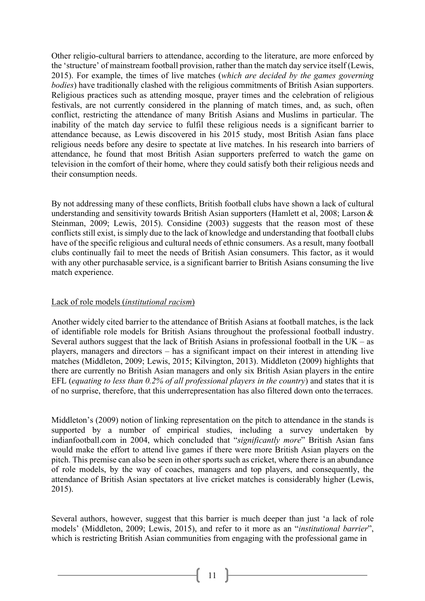Other religio-cultural barriers to attendance, according to the literature, are more enforced by the 'structure' of mainstream football provision, rather than the match day service itself (Lewis, 2015). For example, the times of live matches (*which are decided by the games governing bodies*) have traditionally clashed with the religious commitments of British Asian supporters. Religious practices such as attending mosque, prayer times and the celebration of religious festivals, are not currently considered in the planning of match times, and, as such, often conflict, restricting the attendance of many British Asians and Muslims in particular. The inability of the match day service to fulfil these religious needs is a significant barrier to attendance because, as Lewis discovered in his 2015 study, most British Asian fans place religious needs before any desire to spectate at live matches. In his research into barriers of attendance, he found that most British Asian supporters preferred to watch the game on television in the comfort of their home, where they could satisfy both their religious needs and their consumption needs.

By not addressing many of these conflicts, British football clubs have shown a lack of cultural understanding and sensitivity towards British Asian supporters (Hamlett et al, 2008; Larson & Steinman, 2009; Lewis, 2015). Considine (2003) suggests that the reason most of these conflicts still exist, is simply due to the lack of knowledge and understanding that football clubs have of the specific religious and cultural needs of ethnic consumers. As a result, many football clubs continually fail to meet the needs of British Asian consumers. This factor, as it would with any other purchasable service, is a significant barrier to British Asians consuming the live match experience.

#### Lack of role models (*institutional racism*)

Another widely cited barrier to the attendance of British Asians at football matches, is the lack of identifiable role models for British Asians throughout the professional football industry. Several authors suggest that the lack of British Asians in professional football in the  $UK - as$ players, managers and directors – has a significant impact on their interest in attending live matches (Middleton, 2009; Lewis, 2015; Kilvington, 2013). Middleton (2009) highlights that there are currently no British Asian managers and only six British Asian players in the entire EFL (*equating to less than 0.2% of all professional players in the country*) and states that it is of no surprise, therefore, that this underrepresentation has also filtered down onto the terraces.

Middleton's (2009) notion of linking representation on the pitch to attendance in the stands is supported by a number of empirical studies, including a survey undertaken by indianfootball.com in 2004, which concluded that "*significantly more*" British Asian fans would make the effort to attend live games if there were more British Asian players on the pitch. This premise can also be seen in other sports such as cricket, where there is an abundance of role models, by the way of coaches, managers and top players, and consequently, the attendance of British Asian spectators at live cricket matches is considerably higher (Lewis, 2015).

Several authors, however, suggest that this barrier is much deeper than just 'a lack of role models' (Middleton, 2009; Lewis, 2015), and refer to it more as an "*institutional barrier*", which is restricting British Asian communities from engaging with the professional game in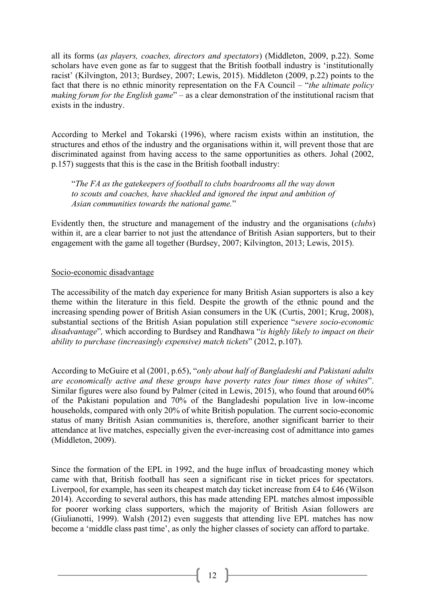all its forms (*as players, coaches, directors and spectators*) (Middleton, 2009, p.22). Some scholars have even gone as far to suggest that the British football industry is 'institutionally racist' (Kilvington, 2013; Burdsey, 2007; Lewis, 2015). Middleton (2009, p.22) points to the fact that there is no ethnic minority representation on the FA Council – "*the ultimate policy making forum for the English game*" – as a clear demonstration of the institutional racism that exists in the industry.

According to Merkel and Tokarski (1996), where racism exists within an institution, the structures and ethos of the industry and the organisations within it, will prevent those that are discriminated against from having access to the same opportunities as others. Johal (2002, p.157) suggests that this is the case in the British football industry:

"*The FA as the gatekeepers of football to clubs boardrooms all the way down to scouts and coaches, have shackled and ignored the input and ambition of Asian communities towards the national game.*"

Evidently then, the structure and management of the industry and the organisations (*clubs*) within it, are a clear barrier to not just the attendance of British Asian supporters, but to their engagement with the game all together (Burdsey, 2007; Kilvington, 2013; Lewis, 2015).

#### Socio-economic disadvantage

The accessibility of the match day experience for many British Asian supporters is also a key theme within the literature in this field. Despite the growth of the ethnic pound and the increasing spending power of British Asian consumers in the UK (Curtis, 2001; Krug, 2008), substantial sections of the British Asian population still experience "*severe socio-economic disadvantage*"*,* which according to Burdsey and Randhawa "*is highly likely to impact on their ability to purchase (increasingly expensive) match tickets*" (2012, p.107).

According to McGuire et al (2001, p.65), "*only about half of Bangladeshi and Pakistani adults are economically active and these groups have poverty rates four times those of whites*". Similar figures were also found by Palmer (cited in Lewis, 2015), who found that around 60% of the Pakistani population and 70% of the Bangladeshi population live in low-income households, compared with only 20% of white British population. The current socio-economic status of many British Asian communities is, therefore, another significant barrier to their attendance at live matches, especially given the ever-increasing cost of admittance into games (Middleton, 2009).

Since the formation of the EPL in 1992, and the huge influx of broadcasting money which came with that, British football has seen a significant rise in ticket prices for spectators. Liverpool, for example, has seen its cheapest match day ticket increase from £4 to £46 (Wilson 2014). According to several authors, this has made attending EPL matches almost impossible for poorer working class supporters, which the majority of British Asian followers are (Giulianotti, 1999). Walsh (2012) even suggests that attending live EPL matches has now become a 'middle class past time', as only the higher classes of society can afford to partake.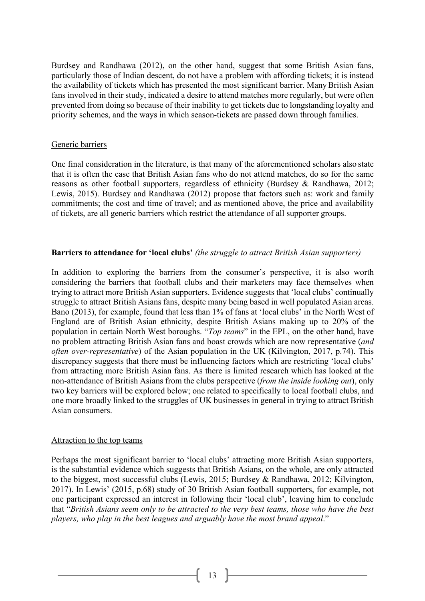Burdsey and Randhawa (2012), on the other hand, suggest that some British Asian fans, particularly those of Indian descent, do not have a problem with affording tickets; it is instead the availability of tickets which has presented the most significant barrier. ManyBritish Asian fans involved in their study, indicated a desire to attend matches more regularly, but were often prevented from doing so because of their inability to get tickets due to longstanding loyalty and priority schemes, and the ways in which season-tickets are passed down through families.

#### Generic barriers

One final consideration in the literature, is that many of the aforementioned scholars also state that it is often the case that British Asian fans who do not attend matches, do so for the same reasons as other football supporters, regardless of ethnicity (Burdsey & Randhawa, 2012; Lewis, 2015). Burdsey and Randhawa (2012) propose that factors such as: work and family commitments; the cost and time of travel; and as mentioned above, the price and availability of tickets, are all generic barriers which restrict the attendance of all supporter groups.

#### **Barriers to attendance for 'local clubs'** *(the struggle to attract British Asian supporters)*

In addition to exploring the barriers from the consumer's perspective, it is also worth considering the barriers that football clubs and their marketers may face themselves when trying to attract more British Asian supporters. Evidence suggests that 'local clubs' continually struggle to attract British Asians fans, despite many being based in well populated Asian areas. Bano (2013), for example, found that less than 1% of fans at 'local clubs' in the North West of England are of British Asian ethnicity, despite British Asians making up to 20% of the population in certain North West boroughs. "*Top teams*" in the EPL, on the other hand, have no problem attracting British Asian fans and boast crowds which are now representative (*and often over-representative*) of the Asian population in the UK (Kilvington, 2017, p.74). This discrepancy suggests that there must be influencing factors which are restricting 'local clubs' from attracting more British Asian fans. As there is limited research which has looked at the non-attendance of British Asians from the clubs perspective (*from the inside looking out*), only two key barriers will be explored below; one related to specifically to local football clubs, and one more broadly linked to the struggles of UK businesses in general in trying to attract British Asian consumers.

#### Attraction to the top teams

Perhaps the most significant barrier to 'local clubs' attracting more British Asian supporters, is the substantial evidence which suggests that British Asians, on the whole, are only attracted to the biggest, most successful clubs (Lewis, 2015; Burdsey & Randhawa, 2012; Kilvington, 2017). In Lewis' (2015, p.68) study of 30 British Asian football supporters, for example, not one participant expressed an interest in following their 'local club', leaving him to conclude that "*British Asians seem only to be attracted to the very best teams, those who have the best players, who play in the best leagues and arguably have the most brand appeal*."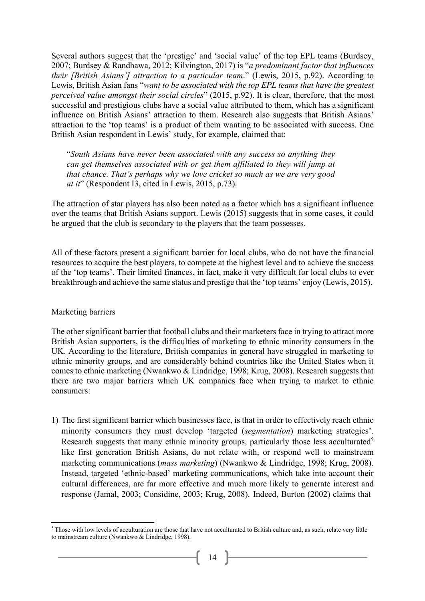Several authors suggest that the 'prestige' and 'social value' of the top EPL teams (Burdsey, 2007; Burdsey & Randhawa, 2012; Kilvington, 2017) is "*a predominant factor that influences their [British Asians'] attraction to a particular team*." (Lewis, 2015, p.92). According to Lewis, British Asian fans "*want to be associated with the top EPL teams that have the greatest perceived value amongst their social circles*" (2015, p.92). It is clear, therefore, that the most successful and prestigious clubs have a social value attributed to them, which has a significant influence on British Asians' attraction to them. Research also suggests that British Asians' attraction to the 'top teams' is a product of them wanting to be associated with success. One British Asian respondent in Lewis' study, for example, claimed that:

"*South Asians have never been associated with any success so anything they can get themselves associated with or get them affiliated to they will jump at that chance. That's perhaps why we love cricket so much as we are very good at it*" (Respondent I3, cited in Lewis, 2015, p.73).

The attraction of star players has also been noted as a factor which has a significant influence over the teams that British Asians support. Lewis (2015) suggests that in some cases, it could be argued that the club is secondary to the players that the team possesses.

All of these factors present a significant barrier for local clubs, who do not have the financial resources to acquire the best players, to compete at the highest level and to achieve the success of the 'top teams'. Their limited finances, in fact, make it very difficult for local clubs to ever breakthrough and achieve the same status and prestige that the 'top teams' enjoy (Lewis, 2015).

#### Marketing barriers

The other significant barrier that football clubs and their marketers face in trying to attract more British Asian supporters, is the difficulties of marketing to ethnic minority consumers in the UK. According to the literature, British companies in general have struggled in marketing to ethnic minority groups, and are considerably behind countries like the United States when it comes to ethnic marketing (Nwankwo & Lindridge, 1998; Krug, 2008). Research suggests that there are two major barriers which UK companies face when trying to market to ethnic consumers:

1) The first significant barrier which businesses face, is that in order to effectively reach ethnic minority consumers they must develop 'targeted (*segmentation*) marketing strategies'. Research suggests that many ethnic minority groups, particularly those less acculturated<sup>5</sup> like first generation British Asians, do not relate with, or respond well to mainstream marketing communications (*mass marketing*) (Nwankwo & Lindridge, 1998; Krug, 2008). Instead, targeted 'ethnic-based' marketing communications, which take into account their cultural differences, are far more effective and much more likely to generate interest and response (Jamal, 2003; Considine, 2003; Krug, 2008). Indeed, Burton (2002) claims that

<sup>5</sup> Those with low levels of acculturation are those that have not acculturated to British culture and, as such, relate very little to mainstream culture (Nwankwo & Lindridge, 1998).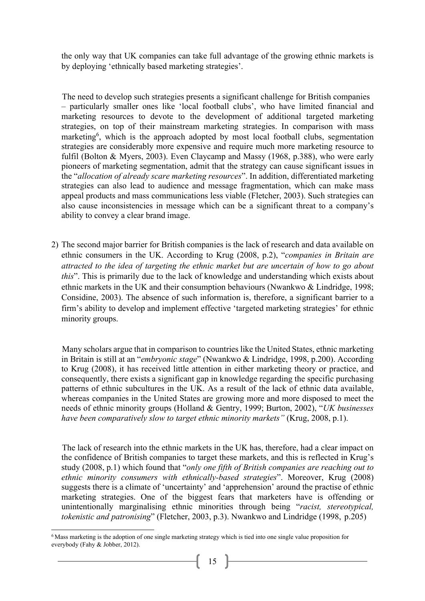the only way that UK companies can take full advantage of the growing ethnic markets is by deploying 'ethnically based marketing strategies'.

The need to develop such strategies presents a significant challenge for British companies – particularly smaller ones like 'local football clubs', who have limited financial and marketing resources to devote to the development of additional targeted marketing strategies, on top of their mainstream marketing strategies. In comparison with mass marketing<sup>6</sup>, which is the approach adopted by most local football clubs, segmentation strategies are considerably more expensive and require much more marketing resource to fulfil (Bolton & Myers, 2003). Even Claycamp and Massy (1968, p.388), who were early pioneers of marketing segmentation, admit that the strategy can cause significant issues in the "*allocation of already scare marketing resources*". In addition, differentiated marketing strategies can also lead to audience and message fragmentation, which can make mass appeal products and mass communications less viable (Fletcher, 2003). Such strategies can also cause inconsistencies in message which can be a significant threat to a company's ability to convey a clear brand image.

2) The second major barrier for British companies is the lack of research and data available on ethnic consumers in the UK. According to Krug (2008, p.2), "*companies in Britain are attracted to the idea of targeting the ethnic market but are uncertain of how to go about this*". This is primarily due to the lack of knowledge and understanding which exists about ethnic markets in the UK and their consumption behaviours (Nwankwo & Lindridge, 1998; Considine, 2003). The absence of such information is, therefore, a significant barrier to a firm's ability to develop and implement effective 'targeted marketing strategies' for ethnic minority groups.

Many scholars argue that in comparison to countries like the United States, ethnic marketing in Britain is still at an "*embryonic stage*" (Nwankwo & Lindridge, 1998, p.200). According to Krug (2008), it has received little attention in either marketing theory or practice, and consequently, there exists a significant gap in knowledge regarding the specific purchasing patterns of ethnic subcultures in the UK. As a result of the lack of ethnic data available, whereas companies in the United States are growing more and more disposed to meet the needs of ethnic minority groups (Holland & Gentry, 1999; Burton, 2002), "*UK businesses have been comparatively slow to target ethnic minority markets"* (Krug, 2008, p.1).

The lack of research into the ethnic markets in the UK has, therefore, had a clear impact on the confidence of British companies to target these markets, and this is reflected in Krug's study (2008, p.1) which found that "*only one fifth of British companies are reaching out to ethnic minority consumers with ethnically-based strategies*". Moreover, Krug (2008) suggests there is a climate of 'uncertainty' and 'apprehension' around the practise of ethnic marketing strategies. One of the biggest fears that marketers have is offending or unintentionally marginalising ethnic minorities through being "*racist, stereotypical, tokenistic and patronising*" (Fletcher, 2003, p.3). Nwankwo and Lindridge (1998, p.205)

<sup>6</sup> Mass marketing is the adoption of one single marketing strategy which is tied into one single value proposition for everybody (Fahy & Jobber, 2012).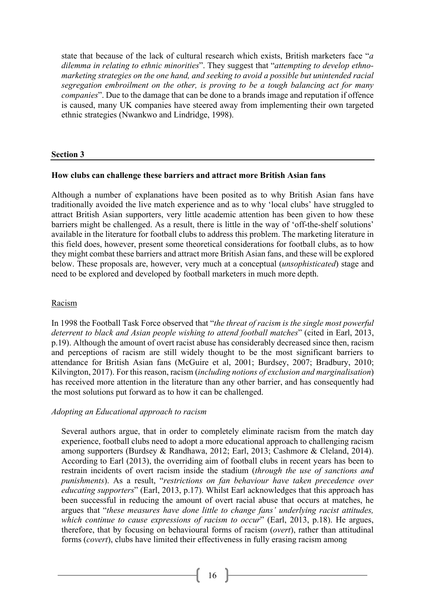state that because of the lack of cultural research which exists, British marketers face "*a dilemma in relating to ethnic minorities*". They suggest that "*attempting to develop ethnomarketing strategies on the one hand, and seeking to avoid a possible but unintended racial segregation embroilment on the other, is proving to be a tough balancing act for many companies*". Due to the damage that can be done to a brands image and reputation if offence is caused, many UK companies have steered away from implementing their own targeted ethnic strategies (Nwankwo and Lindridge, 1998).

#### **Section 3**

#### **How clubs can challenge these barriers and attract more British Asian fans**

Although a number of explanations have been posited as to why British Asian fans have traditionally avoided the live match experience and as to why 'local clubs' have struggled to attract British Asian supporters, very little academic attention has been given to how these barriers might be challenged. As a result, there is little in the way of 'off-the-shelf solutions' available in the literature for football clubs to address this problem. The marketing literature in this field does, however, present some theoretical considerations for football clubs, as to how they might combat these barriers and attract more British Asian fans, and these will be explored below. These proposals are, however, very much at a conceptual (*unsophisticated*) stage and need to be explored and developed by football marketers in much more depth.

#### Racism

In 1998 the Football Task Force observed that "*the threat of racism is the single most powerful deterrent to black and Asian people wishing to attend football matches*" (cited in Earl, 2013, p.19). Although the amount of overt racist abuse has considerably decreased since then, racism and perceptions of racism are still widely thought to be the most significant barriers to attendance for British Asian fans (McGuire et al, 2001; Burdsey, 2007; Bradbury, 2010; Kilvington, 2017). For this reason, racism (*including notions of exclusion and marginalisation*) has received more attention in the literature than any other barrier, and has consequently had the most solutions put forward as to how it can be challenged.

#### *Adopting an Educational approach to racism*

Several authors argue, that in order to completely eliminate racism from the match day experience, football clubs need to adopt a more educational approach to challenging racism among supporters (Burdsey & Randhawa, 2012; Earl, 2013; Cashmore & Cleland, 2014). According to Earl (2013), the overriding aim of football clubs in recent years has been to restrain incidents of overt racism inside the stadium (*through the use of sanctions and punishments*). As a result, "*restrictions on fan behaviour have taken precedence over educating supporters*" (Earl, 2013, p.17). Whilst Earl acknowledges that this approach has been successful in reducing the amount of overt racial abuse that occurs at matches, he argues that "*these measures have done little to change fans' underlying racist attitudes, which continue to cause expressions of racism to occur*" (Earl, 2013, p.18). He argues, therefore, that by focusing on behavioural forms of racism (*overt*), rather than attitudinal forms (*covert*), clubs have limited their effectiveness in fully erasing racism among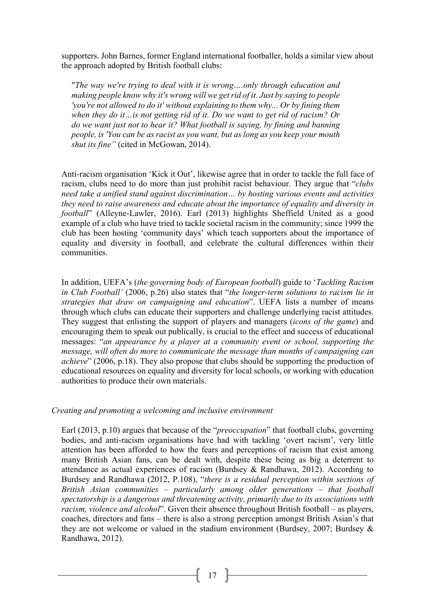supporters. John Barnes, former England international footballer, holds a similar view about the approach adopted by British football clubs:

"*The way we're trying to deal with it is wrong….only through education and making people know why it's wrong will we get rid of it. Just by saying to people 'you're not allowed to do it' without explaining to them why... Or by fining them when they do it…is not getting rid of it. Do we want to get rid of racism? Or do we want just not to hear it? What football is saying, by fining and banning people, is 'You can be as racist as you want, but as long as you keep your mouth shut its fine"* (cited in McGowan, 2014).

Anti-racism organisation 'Kick it Out', likewise agree that in order to tackle the full face of racism, clubs need to do more than just prohibit racist behaviour. They argue that "*clubs need take a unified stand against discrimination… by hosting various events and activities they need to raise awareness and educate about the importance of equality and diversity in football*" (Alleyne-Lawler, 2016). Earl (2013) highlights Sheffield United as a good example of a club who have tried to tackle societal racism in the community; since 1999 the club has been hosting 'community days' which teach supporters about the importance of equality and diversity in football, and celebrate the cultural differences within their communities.

In addition, UEFA's (*the governing body of European football*) guide to '*Tackling Racism in Club Football'* (2006, p.26) also states that "*the longer-term solutions to racism lie in strategies that draw on campaigning and education*". UEFA lists a number of means through which clubs can educate their supporters and challenge underlying racist attitudes. They suggest that enlisting the support of players and managers (*icons of the game*) and encouraging them to speak out publically, is crucial to the effect and success of educational messages: "*an appearance by a player at a community event or school, supporting the message, will often do more to communicate the message than months of campaigning can achieve*" (2006, p.18). They also propose that clubs should be supporting the production of educational resources on equality and diversity for local schools, or working with education authorities to produce their own materials.

#### *Creating and promoting a welcoming and inclusive environment*

Earl (2013, p.10) argues that because of the "*preoccupation*" that football clubs, governing bodies, and anti-racism organisations have had with tackling 'overt racism', very little attention has been afforded to how the fears and perceptions of racism that exist among many British Asian fans, can be dealt with, despite these being as big a deterrent to attendance as actual experiences of racism (Burdsey & Randhawa, 2012). According to Burdsey and Randhawa (2012, P.108), "*there is a residual perception within sections of British Asian communities – particularly among older generations – that football spectatorship is a dangerous and threatening activity, primarily due to its associations with racism, violence and alcohol*". Given their absence throughout British football – as players, coaches, directors and fans – there is also a strong perception amongst British Asian's that they are not welcome or valued in the stadium environment (Burdsey, 2007; Burdsey & Randhawa, 2012).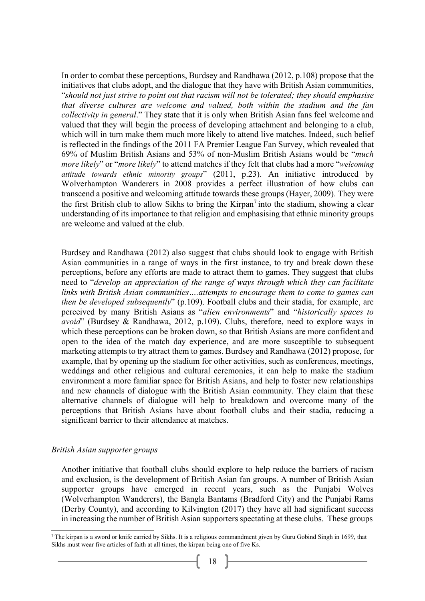In order to combat these perceptions, Burdsey and Randhawa (2012, p.108) propose that the initiatives that clubs adopt, and the dialogue that they have with British Asian communities, "*should not just strive to point out that racism will not be tolerated; they should emphasise that diverse cultures are welcome and valued, both within the stadium and the fan collectivity in general*." They state that it is only when British Asian fans feel welcome and valued that they will begin the process of developing attachment and belonging to a club, which will in turn make them much more likely to attend live matches. Indeed, such belief is reflected in the findings of the 2011 FA Premier League Fan Survey, which revealed that 69% of Muslim British Asians and 53% of non-Muslim British Asians would be "*much more likely*" or "*more likely*" to attend matches if they felt that clubs had a more "*welcoming attitude towards ethnic minority groups*" (2011, p.23). An initiative introduced by Wolverhampton Wanderers in 2008 provides a perfect illustration of how clubs can transcend a positive and welcoming attitude towards these groups (Hayer, 2009). They were the first British club to allow Sikhs to bring the Kirpan<sup>7</sup> into the stadium, showing a clear understanding of its importance to that religion and emphasising that ethnic minority groups are welcome and valued at the club.

Burdsey and Randhawa (2012) also suggest that clubs should look to engage with British Asian communities in a range of ways in the first instance, to try and break down these perceptions, before any efforts are made to attract them to games. They suggest that clubs need to "*develop an appreciation of the range of ways through which they can facilitate links with British Asian communities….attempts to encourage them to come to games can then be developed subsequently*" (p.109). Football clubs and their stadia, for example, are perceived by many British Asians as "*alien environments*" and "*historically spaces to avoid*" (Burdsey & Randhawa, 2012, p.109). Clubs, therefore, need to explore ways in which these perceptions can be broken down, so that British Asians are more confident and open to the idea of the match day experience, and are more susceptible to subsequent marketing attempts to try attract them to games. Burdsey and Randhawa (2012) propose, for example, that by opening up the stadium for other activities, such as conferences, meetings, weddings and other religious and cultural ceremonies, it can help to make the stadium environment a more familiar space for British Asians, and help to foster new relationships and new channels of dialogue with the British Asian community. They claim that these alternative channels of dialogue will help to breakdown and overcome many of the perceptions that British Asians have about football clubs and their stadia, reducing a significant barrier to their attendance at matches.

#### *British Asian supporter groups*

Another initiative that football clubs should explore to help reduce the barriers of racism and exclusion, is the development of British Asian fan groups. A number of British Asian supporter groups have emerged in recent years, such as the Punjabi Wolves (Wolverhampton Wanderers), the Bangla Bantams (Bradford City) and the Punjabi Rams (Derby County), and according to Kilvington (2017) they have all had significant success in increasing the number of British Asian supporters spectating at these clubs. These groups

<sup>7</sup> The kirpan is a sword or knife carried by Sikhs. It is a religious commandment given by Guru Gobind Singh in 1699, that Sikhs must wear five articles of faith at all times, the kirpan being one of five Ks.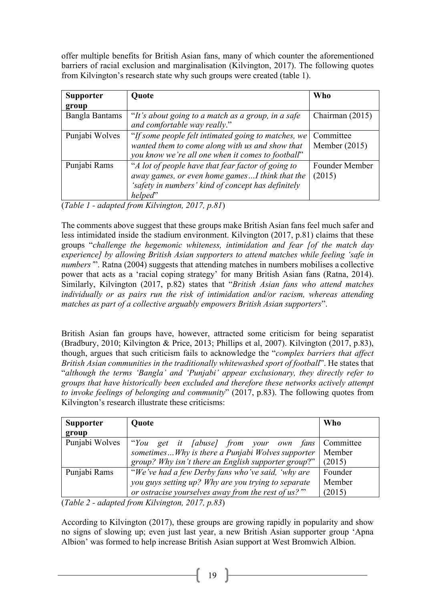offer multiple benefits for British Asian fans, many of which counter the aforementioned barriers of racial exclusion and marginalisation (Kilvington, 2017). The following quotes from Kilvington's research state why such groups were created (table 1).

| <b>Supporter</b><br>group | Quote                                                                                                                                                                 | Who                          |
|---------------------------|-----------------------------------------------------------------------------------------------------------------------------------------------------------------------|------------------------------|
| Bangla Bantams            | "It's about going to a match as a group, in a safe<br>and comfortable way really."                                                                                    | Chairman (2015)              |
| Punjabi Wolves            | "If some people felt intimated going to matches, we<br>wanted them to come along with us and show that<br>you know we're all one when it comes to football"           | Committee<br>Member $(2015)$ |
| Punjabi Rams              | "A lot of people have that fear factor of going to<br>away games, or even home gamesI think that the<br>'safety in numbers' kind of concept has definitely<br>helped" | Founder Member<br>(2015)     |

(*Table 1 - adapted from Kilvington, 2017, p.81*)

The comments above suggest that these groups make British Asian fans feel much safer and less intimidated inside the stadium environment. Kilvington (2017, p.81) claims that these groups "*challenge the hegemonic whiteness, intimidation and fear [of the match day experience] by allowing British Asian supporters to attend matches while feeling 'safe in numbers*". Ratna (2004) suggests that attending matches in numbers mobilises a collective power that acts as a 'racial coping strategy' for many British Asian fans (Ratna, 2014). Similarly, Kilvington (2017, p.82) states that "*British Asian fans who attend matches individually or as pairs run the risk of intimidation and/or racism, whereas attending matches as part of a collective arguably empowers British Asian supporters*".

British Asian fan groups have, however, attracted some criticism for being separatist (Bradbury, 2010; Kilvington & Price, 2013; Phillips et al, 2007). Kilvington (2017, p.83), though, argues that such criticism fails to acknowledge the "*complex barriers that affect British Asian communities in the traditionally whitewashed sport of football*". He states that "*although the terms 'Bangla' and 'Punjabi' appear exclusionary, they directly refer to groups that have historically been excluded and therefore these networks actively attempt to invoke feelings of belonging and community*" (2017, p.83). The following quotes from Kilvington's research illustrate these criticisms:

| <b>Supporter</b> | Quote                                               | <b>Who</b> |
|------------------|-----------------------------------------------------|------------|
| group            |                                                     |            |
| Punjabi Wolves   | "You get it [abuse] from your own fans              | Committee  |
|                  | sometimesWhy is there a Punjabi Wolves supporter    | Member     |
|                  | group? Why isn't there an English supporter group?" | (2015)     |
| Punjabi Rams     | "We've had a few Derby fans who've said, 'why are   | Founder    |
|                  | you guys setting up? Why are you trying to separate | Member     |
|                  | or ostracise yourselves away from the rest of us?"  | (2015)     |

(*Table 2 - adapted from Kilvington, 2017, p.83*)

According to Kilvington (2017), these groups are growing rapidly in popularity and show no signs of slowing up; even just last year, a new British Asian supporter group 'Apna Albion' was formed to help increase British Asian support at West Bromwich Albion.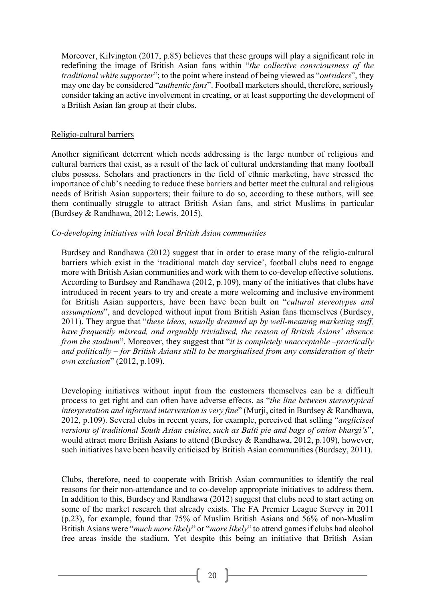Moreover, Kilvington (2017, p.85) believes that these groups will play a significant role in redefining the image of British Asian fans within "*the collective consciousness of the traditional white supporter*"; to the point where instead of being viewed as "*outsiders*", they may one day be considered "*authentic fans*". Football marketers should, therefore, seriously consider taking an active involvement in creating, or at least supporting the development of a British Asian fan group at their clubs.

#### Religio-cultural barriers

Another significant deterrent which needs addressing is the large number of religious and cultural barriers that exist, as a result of the lack of cultural understanding that many football clubs possess. Scholars and practioners in the field of ethnic marketing, have stressed the importance of club's needing to reduce these barriers and better meet the cultural and religious needs of British Asian supporters; their failure to do so, according to these authors, will see them continually struggle to attract British Asian fans, and strict Muslims in particular (Burdsey & Randhawa, 2012; Lewis, 2015).

#### *Co-developing initiatives with local British Asian communities*

Burdsey and Randhawa (2012) suggest that in order to erase many of the religio-cultural barriers which exist in the 'traditional match day service', football clubs need to engage more with British Asian communities and work with them to co-develop effective solutions. According to Burdsey and Randhawa (2012, p.109), many of the initiatives that clubs have introduced in recent years to try and create a more welcoming and inclusive environment for British Asian supporters, have been have been built on "*cultural stereotypes and assumptions*", and developed without input from British Asian fans themselves (Burdsey, 2011). They argue that "*these ideas, usually dreamed up by well-meaning marketing staff, have frequently misread, and arguably trivialised, the reason of British Asians' absence from the stadium*". Moreover, they suggest that "*it is completely unacceptable –practically and politically – for British Asians still to be marginalised from any consideration of their own exclusion*" (2012, p.109).

Developing initiatives without input from the customers themselves can be a difficult process to get right and can often have adverse effects, as "*the line between stereotypical interpretation and informed intervention is very fine*" (Murji, cited in Burdsey & Randhawa, 2012, p.109). Several clubs in recent years, for example, perceived that selling "*anglicised versions of traditional South Asian cuisine*, *such as Balti pie and bags of onion bhargi's*", would attract more British Asians to attend (Burdsey & Randhawa, 2012, p.109), however, such initiatives have been heavily criticised by British Asian communities (Burdsey, 2011).

Clubs, therefore, need to cooperate with British Asian communities to identify the real reasons for their non-attendance and to co-develop appropriate initiatives to address them. In addition to this, Burdsey and Randhawa (2012) suggest that clubs need to start acting on some of the market research that already exists. The FA Premier League Survey in 2011 (p.23), for example, found that 75% of Muslim British Asians and 56% of non-Muslim British Asians were "*much more likely*" or "*more likely*" to attend games if clubs had alcohol free areas inside the stadium. Yet despite this being an initiative that British Asian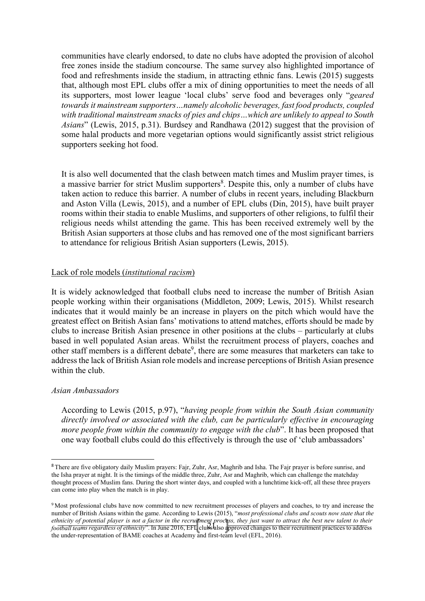communities have clearly endorsed, to date no clubs have adopted the provision of alcohol free zones inside the stadium concourse. The same survey also highlighted importance of food and refreshments inside the stadium, in attracting ethnic fans. Lewis (2015) suggests that, although most EPL clubs offer a mix of dining opportunities to meet the needs of all its supporters, most lower league 'local clubs' serve food and beverages only "*geared towards it mainstream supporters…namely alcoholic beverages, fast food products, coupled with traditional mainstream snacks of pies and chips…which are unlikely to appeal to South Asians*" (Lewis, 2015, p.31). Burdsey and Randhawa (2012) suggest that the provision of some halal products and more vegetarian options would significantly assist strict religious supporters seeking hot food.

It is also well documented that the clash between match times and Muslim prayer times, is a massive barrier for strict Muslim supporters<sup>8</sup>. Despite this, only a number of clubs have taken action to reduce this barrier. A number of clubs in recent years, including Blackburn and Aston Villa (Lewis, 2015), and a number of EPL clubs (Din, 2015), have built prayer rooms within their stadia to enable Muslims, and supporters of other religions, to fulfil their religious needs whilst attending the game. This has been received extremely well by the British Asian supporters at those clubs and has removed one of the most significant barriers to attendance for religious British Asian supporters (Lewis, 2015).

#### Lack of role models (*institutional racism*)

It is widely acknowledged that football clubs need to increase the number of British Asian people working within their organisations (Middleton, 2009; Lewis, 2015). Whilst research indicates that it would mainly be an increase in players on the pitch which would have the greatest effect on British Asian fans' motivations to attend matches, efforts should be made by clubs to increase British Asian presence in other positions at the clubs – particularly at clubs based in well populated Asian areas. Whilst the recruitment process of players, coaches and other staff members is a different debate<sup>9</sup>, there are some measures that marketers can take to addressthe lack of British Asian role models and increase perceptions of British Asian presence within the club.

#### *Asian Ambassadors*

According to Lewis (2015, p.97), "*having people from within the South Asian community directly involved or associated with the club, can be particularly effective in encouraging more people from within the community to engage with the club*". It has been proposed that one way football clubs could do this effectively is through the use of 'club ambassadors'

<sup>8</sup>There are five obligatory daily Muslim prayers: Fajr, Zuhr, Asr, Maghrib and Isha. The Fajr prayer is before sunrise, and the Isha prayer at night. It is the timings of the middle three, Zuhr, Asr and Maghrib, which can challenge the matchday thought process of Muslim fans. During the short winter days, and coupled with a lunchtime kick-off, all these three prayers can come into play when the match is in play.

<sup>&</sup>lt;sup>9</sup> Most professional clubs have now committed to new recruitment processes of players and coaches, to try and increase the number of British Asians within the game. According to Lewis (2015), "*most professional clubs and scouts now state that the*  ethnicity of potential player is not a factor in the recruitment process, they just want to attract the best new talent to their<br>football teams regardless of ethnicity". In June 2016, EFL clubs also approved changes to the the under-representation of BAME coaches at Academy and first-team level (EFL, 2016).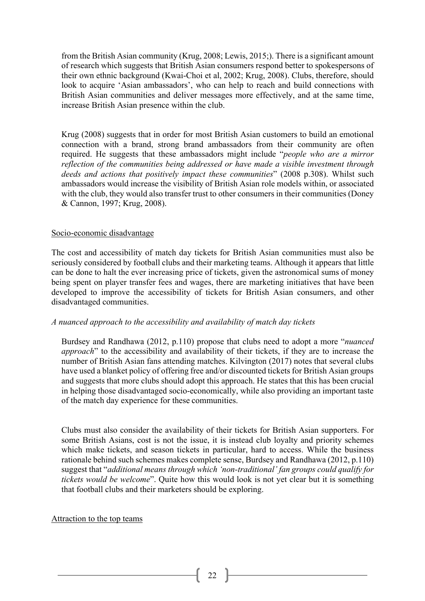from the British Asian community (Krug, 2008; Lewis, 2015;). There is a significant amount of research which suggests that British Asian consumers respond better to spokespersons of their own ethnic background (Kwai-Choi et al, 2002; Krug, 2008). Clubs, therefore, should look to acquire 'Asian ambassadors', who can help to reach and build connections with British Asian communities and deliver messages more effectively, and at the same time, increase British Asian presence within the club.

Krug (2008) suggests that in order for most British Asian customers to build an emotional connection with a brand, strong brand ambassadors from their community are often required. He suggests that these ambassadors might include "*people who are a mirror reflection of the communities being addressed or have made a visible investment through deeds and actions that positively impact these communities*" (2008 p.308). Whilst such ambassadors would increase the visibility of British Asian role models within, or associated with the club, they would also transfer trust to other consumers in their communities (Doney & Cannon, 1997; Krug, 2008).

#### Socio-economic disadvantage

The cost and accessibility of match day tickets for British Asian communities must also be seriously considered by football clubs and their marketing teams. Although it appears that little can be done to halt the ever increasing price of tickets, given the astronomical sums of money being spent on player transfer fees and wages, there are marketing initiatives that have been developed to improve the accessibility of tickets for British Asian consumers, and other disadvantaged communities.

#### *A nuanced approach to the accessibility and availability of match day tickets*

Burdsey and Randhawa (2012, p.110) propose that clubs need to adopt a more "*nuanced approach*" to the accessibility and availability of their tickets, if they are to increase the number of British Asian fans attending matches. Kilvington (2017) notes that several clubs have used a blanket policy of offering free and/or discounted tickets for British Asian groups and suggests that more clubs should adopt this approach. He states that this has been crucial in helping those disadvantaged socio-economically, while also providing an important taste of the match day experience for these communities.

Clubs must also consider the availability of their tickets for British Asian supporters. For some British Asians, cost is not the issue, it is instead club loyalty and priority schemes which make tickets, and season tickets in particular, hard to access. While the business rationale behind such schemes makes complete sense, Burdsey and Randhawa (2012, p.110) suggest that "*additional means through which 'non-traditional' fan groups could qualify for tickets would be welcome*". Quite how this would look is not yet clear but it is something that football clubs and their marketers should be exploring.

#### Attraction to the top teams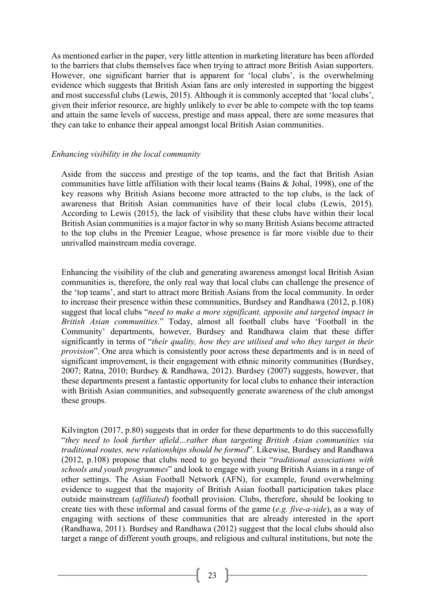As mentioned earlier in the paper, very little attention in marketing literature has been afforded to the barriers that clubs themselves face when trying to attract more British Asian supporters. However, one significant barrier that is apparent for 'local clubs', is the overwhelming evidence which suggests that British Asian fans are only interested in supporting the biggest and most successful clubs (Lewis, 2015). Although it is commonly accepted that 'local clubs', given their inferior resource, are highly unlikely to ever be able to compete with the top teams and attain the same levels of success, prestige and mass appeal, there are some measures that they can take to enhance their appeal amongst local British Asian communities.

#### *Enhancing visibility in the local community*

Aside from the success and prestige of the top teams, and the fact that British Asian communities have little affiliation with their local teams (Bains & Johal, 1998), one of the key reasons why British Asians become more attracted to the top clubs, is the lack of awareness that British Asian communities have of their local clubs (Lewis, 2015). According to Lewis (2015), the lack of visibility that these clubs have within their local British Asian communities is a major factor in why so many British Asians become attracted to the top clubs in the Premier League, whose presence is far more visible due to their unrivalled mainstream media coverage.

Enhancing the visibility of the club and generating awareness amongst local British Asian communities is, therefore, the only real way that local clubs can challenge the presence of the 'top teams', and start to attract more British Asians from the local community. In order to increase their presence within these communities, Burdsey and Randhawa (2012, p.108) suggest that local clubs "*need to make a more significant, apposite and targeted impact in British Asian communities.*" Today, almost all football clubs have 'Football in the Community' departments, however, Burdsey and Randhawa claim that these differ significantly in terms of "*their quality, how they are utilised and who they target in their provision*". One area which is consistently poor across these departments and is in need of significant improvement, is their engagement with ethnic minority communities (Burdsey, 2007; Ratna, 2010; Burdsey & Randhawa, 2012). Burdsey (2007) suggests, however, that these departments present a fantastic opportunity for local clubs to enhance their interaction with British Asian communities, and subsequently generate awareness of the club amongst these groups.

Kilvington (2017, p.80) suggests that in order for these departments to do this successfully "*they need to look further afield…rather than targeting British Asian communities via traditional routes, new relationships should be formed*". Likewise, Burdsey and Randhawa (2012, p.108) propose that clubs need to go beyond their "*traditional associations with schools and youth programmes*" and look to engage with young British Asians in a range of other settings. The Asian Football Network (AFN), for example, found overwhelming evidence to suggest that the majority of British Asian football participation takes place outside mainstream (*affiliated*) football provision. Clubs, therefore, should be looking to create ties with these informal and casual forms of the game (*e.g. five-a-side*), as a way of engaging with sections of these communities that are already interested in the sport (Randhawa, 2011). Burdsey and Randhawa (2012) suggest that the local clubs should also target a range of different youth groups, and religious and cultural institutions, but note the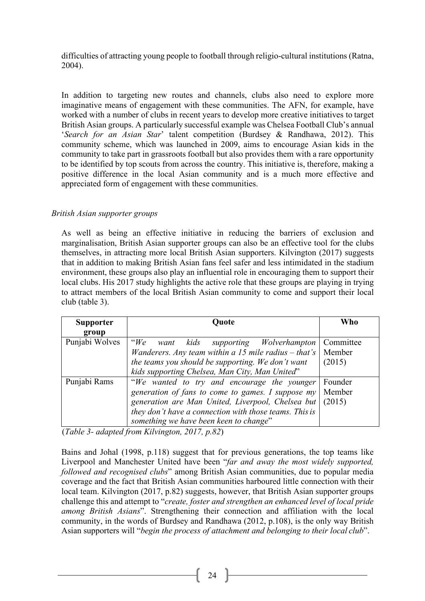difficulties of attracting young people to football through religio-cultural institutions (Ratna, 2004).

In addition to targeting new routes and channels, clubs also need to explore more imaginative means of engagement with these communities. The AFN, for example, have worked with a number of clubs in recent years to develop more creative initiatives to target British Asian groups. A particularly successful example was Chelsea Football Club's annual '*Search for an Asian Star*' talent competition (Burdsey & Randhawa, 2012). This community scheme, which was launched in 2009, aims to encourage Asian kids in the community to take part in grassroots football but also provides them with a rare opportunity to be identified by top scouts from across the country. This initiative is, therefore, making a positive difference in the local Asian community and is a much more effective and appreciated form of engagement with these communities.

#### *British Asian supporter groups*

As well as being an effective initiative in reducing the barriers of exclusion and marginalisation, British Asian supporter groups can also be an effective tool for the clubs themselves, in attracting more local British Asian supporters. Kilvington (2017) suggests that in addition to making British Asian fans feel safer and less intimidated in the stadium environment, these groups also play an influential role in encouraging them to support their local clubs. His 2017 study highlights the active role that these groups are playing in trying to attract members of the local British Asian community to come and support their local club (table 3).

| Quote<br><b>Supporter</b> |                                                        | Who       |
|---------------------------|--------------------------------------------------------|-----------|
| group                     |                                                        |           |
| Punjabi Wolves            | $W_e$<br>want kids supporting Wolverhampton            | Committee |
|                           | Wanderers. Any team within a 15 mile radius – that's   | Member    |
|                           | the teams you should be supporting. We don't want      | (2015)    |
|                           | kids supporting Chelsea, Man City, Man United"         |           |
| Punjabi Rams              | "We wanted to try and encourage the younger            | Founder   |
|                           | generation of fans to come to games. I suppose my      | Member    |
|                           | generation are Man United, Liverpool, Chelsea but      | (2015)    |
|                           | they don't have a connection with those teams. This is |           |
|                           | something we have been keen to change"                 |           |

(*Table 3- adapted from Kilvington, 2017, p.82*)

Bains and Johal (1998, p.118) suggest that for previous generations, the top teams like Liverpool and Manchester United have been "*far and away the most widely supported, followed and recognised clubs*" among British Asian communities, due to popular media coverage and the fact that British Asian communities harboured little connection with their local team. Kilvington (2017, p.82) suggests, however, that British Asian supporter groups challenge this and attempt to "*create, foster and strengthen an enhanced level of local pride among British Asians*". Strengthening their connection and affiliation with the local community, in the words of Burdsey and Randhawa (2012, p.108), is the only way British Asian supporters will "*begin the process of attachment and belonging to their local club*".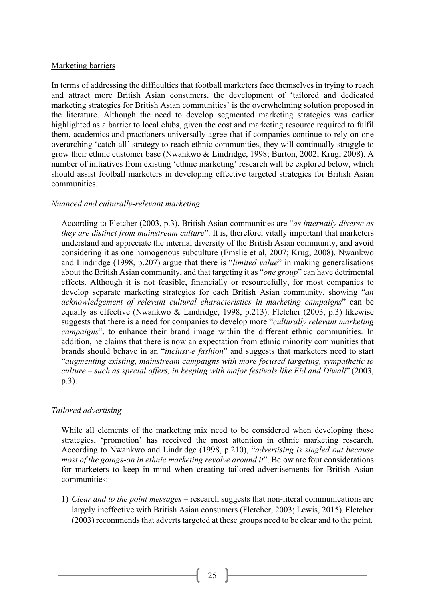#### Marketing barriers

In terms of addressing the difficulties that football marketers face themselves in trying to reach and attract more British Asian consumers, the development of 'tailored and dedicated marketing strategies for British Asian communities' is the overwhelming solution proposed in the literature. Although the need to develop segmented marketing strategies was earlier highlighted as a barrier to local clubs, given the cost and marketing resource required to fulfil them, academics and practioners universally agree that if companies continue to rely on one overarching 'catch-all' strategy to reach ethnic communities, they will continually struggle to grow their ethnic customer base (Nwankwo & Lindridge, 1998; Burton, 2002; Krug, 2008). A number of initiatives from existing 'ethnic marketing' research will be explored below, which should assist football marketers in developing effective targeted strategies for British Asian communities.

#### *Nuanced and culturally-relevant marketing*

According to Fletcher (2003, p.3), British Asian communities are "*as internally diverse as they are distinct from mainstream culture*". It is, therefore, vitally important that marketers understand and appreciate the internal diversity of the British Asian community, and avoid considering it as one homogenous subculture (Emslie et al, 2007; Krug, 2008). Nwankwo and Lindridge (1998, p.207) argue that there is "*limited value*" in making generalisations about the British Asian community, and that targeting it as "*one group*" can have detrimental effects. Although it is not feasible, financially or resourcefully, for most companies to develop separate marketing strategies for each British Asian community, showing "*an acknowledgement of relevant cultural characteristics in marketing campaigns*" can be equally as effective (Nwankwo & Lindridge, 1998, p.213). Fletcher (2003, p.3) likewise suggests that there is a need for companies to develop more "*culturally relevant marketing campaigns*", to enhance their brand image within the different ethnic communities. In addition, he claims that there is now an expectation from ethnic minority communities that brands should behave in an "*inclusive fashion*" and suggests that marketers need to start "*augmenting existing, mainstream campaigns with more focused targeting, sympathetic to culture – such as special offers, in keeping with major festivals like Eid and Diwali*" (2003, p.3).

#### *Tailored advertising*

While all elements of the marketing mix need to be considered when developing these strategies, 'promotion' has received the most attention in ethnic marketing research. According to Nwankwo and Lindridge (1998, p.210), "*advertising is singled out because most of the goings-on in ethnic marketing revolve around it*". Below are four considerations for marketers to keep in mind when creating tailored advertisements for British Asian communities:

1) *Clear and to the point messages* – research suggests that non-literal communications are largely ineffective with British Asian consumers (Fletcher, 2003; Lewis, 2015). Fletcher (2003) recommends that adverts targeted at these groups need to be clear and to the point.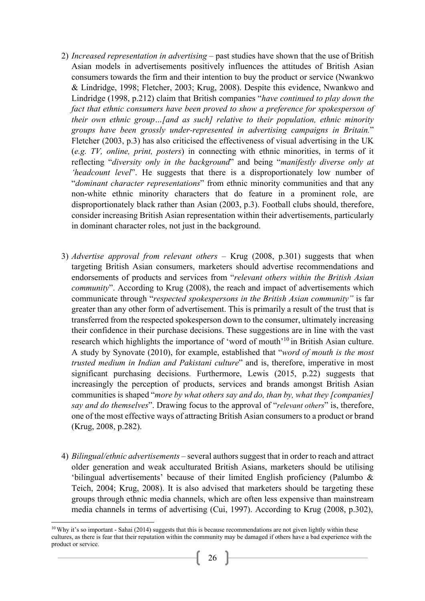- 2) *Increased representation in advertising*  past studies have shown that the use of British Asian models in advertisements positively influences the attitudes of British Asian consumers towards the firm and their intention to buy the product or service (Nwankwo & Lindridge, 1998; Fletcher, 2003; Krug, 2008). Despite this evidence, Nwankwo and Lindridge (1998, p.212) claim that British companies "*have continued to play down the fact that ethnic consumers have been proved to show a preference for spokesperson of their own ethnic group…[and as such] relative to their population, ethnic minority groups have been grossly under-represented in advertising campaigns in Britain.*" Fletcher (2003, p.3) has also criticised the effectiveness of visual advertising in the UK (*e.g. TV, online, print, posters*) in connecting with ethnic minorities, in terms of it reflecting "*diversity only in the background*" and being "*manifestly diverse only at 'headcount level'*'. He suggests that there is a disproportionately low number of "*dominant character representations*" from ethnic minority communities and that any non-white ethnic minority characters that do feature in a prominent role, are disproportionately black rather than Asian (2003, p.3). Football clubs should, therefore, consider increasing British Asian representation within their advertisements, particularly in dominant character roles, not just in the background.
- 3) *Advertise approval from relevant others –* Krug (2008, p.301) suggests that when targeting British Asian consumers, marketers should advertise recommendations and endorsements of products and services from "*relevant others within the British Asian community*". According to Krug (2008), the reach and impact of advertisements which communicate through "*respected spokespersons in the British Asian community"* is far greater than any other form of advertisement. This is primarily a result of the trust that is transferred from the respected spokesperson down to the consumer, ultimately increasing their confidence in their purchase decisions. These suggestions are in line with the vast research which highlights the importance of 'word of mouth'<sup>10</sup> in British Asian culture. A study by Synovate (2010), for example, established that "*word of mouth is the most trusted medium in Indian and Pakistani culture*" and is, therefore, imperative in most significant purchasing decisions. Furthermore, Lewis (2015, p.22) suggests that increasingly the perception of products, services and brands amongst British Asian communities is shaped "*more by what others say and do, than by, what they [companies] say and do themselves*". Drawing focus to the approval of "*relevant others*" is, therefore, one of the most effective ways of attracting British Asian consumersto a product or brand (Krug, 2008, p.282).
- 4) *Bilingual/ethnic advertisements –* several authorssuggest that in order to reach and attract older generation and weak acculturated British Asians, marketers should be utilising 'bilingual advertisements' because of their limited English proficiency (Palumbo & Teich, 2004; Krug, 2008). It is also advised that marketers should be targeting these groups through ethnic media channels, which are often less expensive than mainstream media channels in terms of advertising (Cui, 1997). According to Krug (2008, p.302),

<sup>&</sup>lt;sup>10</sup> Why it's so important - Sahai (2014) suggests that this is because recommendations are not given lightly within these cultures, as there is fear that their reputation within the community may be damaged if others have a bad experience with the product or service.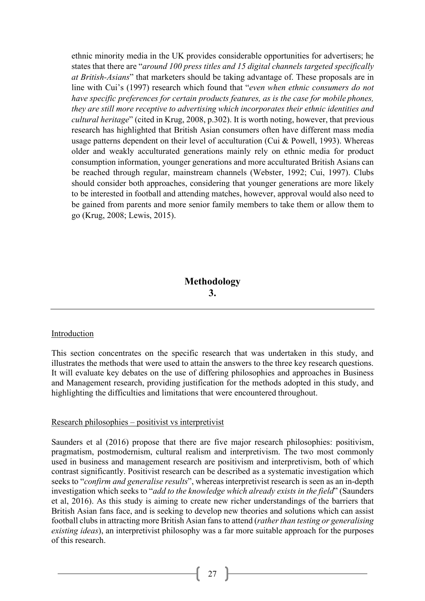ethnic minority media in the UK provides considerable opportunities for advertisers; he states that there are "*around 100 press titles and 15 digital channels targeted specifically at British-Asians*" that marketers should be taking advantage of. These proposals are in line with Cui's (1997) research which found that "*even when ethnic consumers do not have specific preferences for certain products features, as is the case for mobile phones, they are still more receptive to advertising which incorporates their ethnic identities and cultural heritage*" (cited in Krug, 2008, p.302). It is worth noting, however, that previous research has highlighted that British Asian consumers often have different mass media usage patterns dependent on their level of acculturation (Cui & Powell, 1993). Whereas older and weakly acculturated generations mainly rely on ethnic media for product consumption information, younger generations and more acculturated British Asians can be reached through regular, mainstream channels (Webster, 1992; Cui, 1997). Clubs should consider both approaches, considering that younger generations are more likely to be interested in football and attending matches, however, approval would also need to be gained from parents and more senior family members to take them or allow them to go (Krug, 2008; Lewis, 2015).

#### **Methodology 3.**

#### Introduction

This section concentrates on the specific research that was undertaken in this study, and illustrates the methods that were used to attain the answers to the three key research questions. It will evaluate key debates on the use of differing philosophies and approaches in Business and Management research, providing justification for the methods adopted in this study, and highlighting the difficulties and limitations that were encountered throughout.

#### Research philosophies – positivist vs interpretivist

Saunders et al (2016) propose that there are five major research philosophies: positivism, pragmatism, postmodernism, cultural realism and interpretivism. The two most commonly used in business and management research are positivism and interpretivism, both of which contrast significantly. Positivist research can be described as a systematic investigation which seeks to "*confirm and generalise results*", whereas interpretivist research is seen as an in-depth investigation which seeks to "*add to the knowledge which already exists in the field*" (Saunders et al, 2016). As this study is aiming to create new richer understandings of the barriers that British Asian fans face, and is seeking to develop new theories and solutions which can assist football clubs in attracting more British Asian fans to attend (*rather than testing or generalising existing ideas*), an interpretivist philosophy was a far more suitable approach for the purposes of this research.

27  $\|$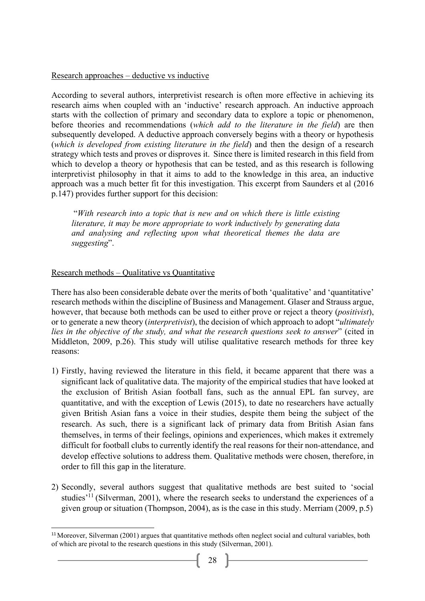#### Research approaches – deductive vs inductive

According to several authors, interpretivist research is often more effective in achieving its research aims when coupled with an 'inductive' research approach. An inductive approach starts with the collection of primary and secondary data to explore a topic or phenomenon, before theories and recommendations (*which add to the literature in the field*) are then subsequently developed. A deductive approach conversely begins with a theory or hypothesis (*which is developed from existing literature in the field*) and then the design of a research strategy which tests and proves or disproves it. Since there is limited research in this field from which to develop a theory or hypothesis that can be tested, and as this research is following interpretivist philosophy in that it aims to add to the knowledge in this area, an inductive approach was a much better fit for this investigation. This excerpt from Saunders et al (2016 p.147) provides further support for this decision:

"*With research into a topic that is new and on which there is little existing literature, it may be more appropriate to work inductively by generating data and analysing and reflecting upon what theoretical themes the data are suggesting*".

#### Research methods – Qualitative vs Quantitative

There has also been considerable debate over the merits of both 'qualitative' and 'quantitative' research methods within the discipline of Business and Management. Glaser and Strauss argue, however, that because both methods can be used to either prove or reject a theory (*positivist*), or to generate a new theory (*interpretivist*), the decision of which approach to adopt "*ultimately lies in the objective of the study, and what the research questions seek to answer*" (cited in Middleton, 2009, p.26). This study will utilise qualitative research methods for three key reasons:

- 1) Firstly, having reviewed the literature in this field, it became apparent that there was a significant lack of qualitative data. The majority of the empirical studies that have looked at the exclusion of British Asian football fans, such as the annual EPL fan survey, are quantitative, and with the exception of Lewis (2015), to date no researchers have actually given British Asian fans a voice in their studies, despite them being the subject of the research. As such, there is a significant lack of primary data from British Asian fans themselves, in terms of their feelings, opinions and experiences, which makes it extremely difficult for football clubs to currently identify the real reasons for their non-attendance, and develop effective solutions to address them. Qualitative methods were chosen, therefore, in order to fill this gap in the literature.
- 2) Secondly, several authors suggest that qualitative methods are best suited to 'social studies'11 (Silverman, 2001), where the research seeks to understand the experiences of a given group or situation (Thompson, 2004), as is the case in this study. Merriam (2009, p.5)

<sup>&</sup>lt;sup>11</sup> Moreover, Silverman (2001) argues that quantitative methods often neglect social and cultural variables, both of which are pivotal to the research questions in this study (Silverman, 2001).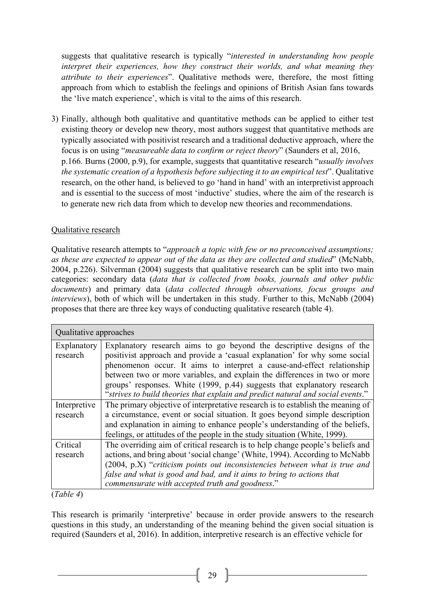suggests that qualitative research is typically "*interested in understanding how people interpret their experiences, how they construct their worlds, and what meaning they attribute to their experiences*". Qualitative methods were, therefore, the most fitting approach from which to establish the feelings and opinions of British Asian fans towards the 'live match experience', which is vital to the aims of this research.

3) Finally, although both qualitative and quantitative methods can be applied to either test existing theory or develop new theory, most authors suggest that quantitative methods are typically associated with positivist research and a traditional deductive approach, where the focus is on using "*measureable data to confirm or reject theory*" (Saunders et al, 2016, p.166. Burns (2000, p.9), for example, suggests that quantitative research "*usually involves the systematic creation of a hypothesis before subjecting it to an empirical test*". Qualitative research, on the other hand, is believed to go 'hand in hand' with an interpretivist approach and is essential to the success of most 'inductive' studies, where the aim of the research is to generate new rich data from which to develop new theories and recommendations.

#### Qualitative research

Qualitative research attempts to "*approach a topic with few or no preconceived assumptions; as these are expected to appear out of the data as they are collected and studied*" (McNabb, 2004, p.226). Silverman (2004) suggests that qualitative research can be split into two main categories: secondary data (*data that is collected from books, journals and other public documents*) and primary data (*data collected through observations, focus groups and interviews*), both of which will be undertaken in this study. Further to this, McNabb (2004) proposes that there are three key ways of conducting qualitative research (table 4).

| Qualitative approaches                                                                                                                                                                                                                                                                                                                                                                                                                                                                               |                                                                                                                                                                                                                                                                                                                                                                        |  |  |  |
|------------------------------------------------------------------------------------------------------------------------------------------------------------------------------------------------------------------------------------------------------------------------------------------------------------------------------------------------------------------------------------------------------------------------------------------------------------------------------------------------------|------------------------------------------------------------------------------------------------------------------------------------------------------------------------------------------------------------------------------------------------------------------------------------------------------------------------------------------------------------------------|--|--|--|
| Explanatory research aims to go beyond the descriptive designs of the<br>Explanatory<br>positivist approach and provide a 'casual explanation' for why some social<br>research<br>phenomenon occur. It aims to interpret a cause-and-effect relationship<br>between two or more variables, and explain the differences in two or more<br>groups' responses. White (1999, p.44) suggests that explanatory research<br>"strives to build theories that explain and predict natural and social events." |                                                                                                                                                                                                                                                                                                                                                                        |  |  |  |
| Interpretive<br>research                                                                                                                                                                                                                                                                                                                                                                                                                                                                             | The primary objective of interpretative research is to establish the meaning of<br>a circumstance, event or social situation. It goes beyond simple description<br>and explanation in aiming to enhance people's understanding of the beliefs,<br>feelings, or attitudes of the people in the study situation (White, 1999).                                           |  |  |  |
| Critical<br>research                                                                                                                                                                                                                                                                                                                                                                                                                                                                                 | The overriding aim of critical research is to help change people's beliefs and<br>actions, and bring about 'social change' (White, 1994). According to McNabb<br>(2004, p.X) "criticism points out inconsistencies between what is true and<br>false and what is good and bad, and it aims to bring to actions that<br>commensurate with accepted truth and goodness." |  |  |  |

(*Table 4*)

This research is primarily 'interpretive' because in order provide answers to the research questions in this study, an understanding of the meaning behind the given social situation is required (Saunders et al, 2016). In addition, interpretive research is an effective vehicle for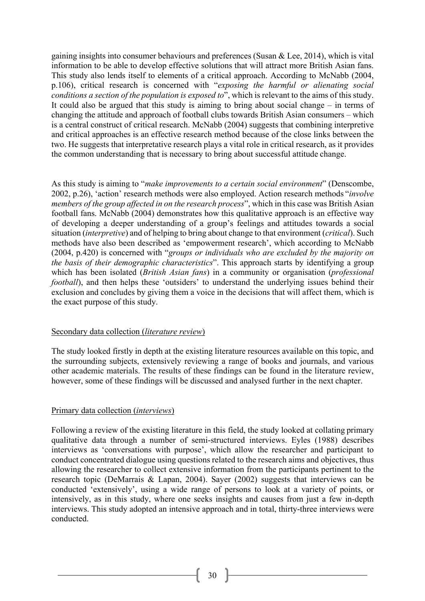gaining insights into consumer behaviours and preferences (Susan & Lee, 2014), which is vital information to be able to develop effective solutions that will attract more British Asian fans. This study also lends itself to elements of a critical approach. According to McNabb (2004, p.106), critical research is concerned with "*exposing the harmful or alienating social conditions a section of the population is exposed to*", which is relevant to the aims of this study. It could also be argued that this study is aiming to bring about social change – in terms of changing the attitude and approach of football clubs towards British Asian consumers – which is a central construct of critical research. McNabb (2004) suggests that combining interpretive and critical approaches is an effective research method because of the close links between the two. He suggests that interpretative research plays a vital role in critical research, as it provides the common understanding that is necessary to bring about successful attitude change.

As this study is aiming to "*make improvements to a certain social environment*" (Denscombe, 2002, p.26), 'action' research methods were also employed. Action research methods "*involve members of the group affected in on the research process*", which in this case was British Asian football fans. McNabb (2004) demonstrates how this qualitative approach is an effective way of developing a deeper understanding of a group's feelings and attitudes towards a social situation (*interpretive*) and of helping to bring about change to that environment (*critical*). Such methods have also been described as 'empowerment research', which according to McNabb (2004, p.420) is concerned with "*groups or individuals who are excluded by the majority on the basis of their demographic characteristics*". This approach starts by identifying a group which has been isolated (*British Asian fans*) in a community or organisation (*professional football*), and then helps these 'outsiders' to understand the underlying issues behind their exclusion and concludes by giving them a voice in the decisions that will affect them, which is the exact purpose of this study.

#### Secondary data collection (*literature review*)

The study looked firstly in depth at the existing literature resources available on this topic, and the surrounding subjects, extensively reviewing a range of books and journals, and various other academic materials. The results of these findings can be found in the literature review, however, some of these findings will be discussed and analysed further in the next chapter.

#### Primary data collection (*interviews*)

Following a review of the existing literature in this field, the study looked at collating primary qualitative data through a number of semi-structured interviews. Eyles (1988) describes interviews as 'conversations with purpose', which allow the researcher and participant to conduct concentrated dialogue using questions related to the research aims and objectives, thus allowing the researcher to collect extensive information from the participants pertinent to the research topic (DeMarrais & Lapan, 2004). Sayer (2002) suggests that interviews can be conducted 'extensively', using a wide range of persons to look at a variety of points, or intensively, as in this study, where one seeks insights and causes from just a few in-depth interviews. This study adopted an intensive approach and in total, thirty-three interviews were conducted.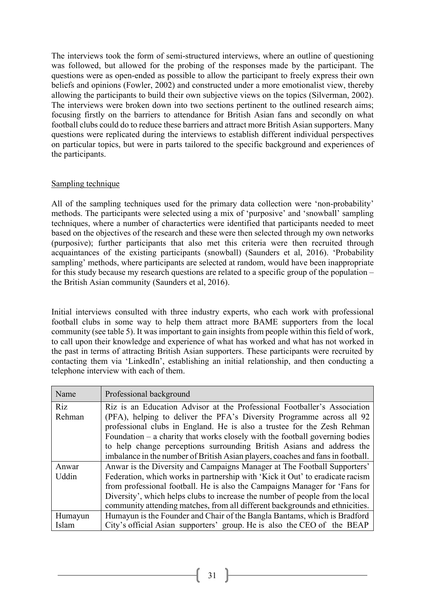The interviews took the form of semi-structured interviews, where an outline of questioning was followed, but allowed for the probing of the responses made by the participant. The questions were as open-ended as possible to allow the participant to freely express their own beliefs and opinions (Fowler, 2002) and constructed under a more emotionalist view, thereby allowing the participants to build their own subjective views on the topics (Silverman, 2002). The interviews were broken down into two sections pertinent to the outlined research aims; focusing firstly on the barriers to attendance for British Asian fans and secondly on what football clubs could do to reduce these barriers and attract more British Asian supporters. Many questions were replicated during the interviews to establish different individual perspectives on particular topics, but were in parts tailored to the specific background and experiences of the participants.

#### Sampling technique

All of the sampling techniques used for the primary data collection were 'non-probability' methods. The participants were selected using a mix of 'purposive' and 'snowball' sampling techniques, where a number of charactertics were identified that participants needed to meet based on the objectives of the research and these were then selected through my own networks (purposive); further participants that also met this criteria were then recruited through acquaintances of the existing participants (snowball) (Saunders et al, 2016). 'Probability sampling' methods, where participants are selected at random, would have been inappropriate for this study because my research questions are related to a specific group of the population – the British Asian community (Saunders et al, 2016).

Initial interviews consulted with three industry experts, who each work with professional football clubs in some way to help them attract more BAME supporters from the local community (see table 5). It was important to gain insights from people within this field of work, to call upon their knowledge and experience of what has worked and what has not worked in the past in terms of attracting British Asian supporters. These participants were recruited by contacting them via 'LinkedIn', establishing an initial relationship, and then conducting a telephone interview with each of them.

| Name                                                                                   | Professional background                                                         |  |  |  |
|----------------------------------------------------------------------------------------|---------------------------------------------------------------------------------|--|--|--|
| Riz<br>Riz is an Education Advisor at the Professional Footballer's Association        |                                                                                 |  |  |  |
| Rehman                                                                                 | (PFA), helping to deliver the PFA's Diversity Programme across all 92           |  |  |  |
|                                                                                        | professional clubs in England. He is also a trustee for the Zesh Rehman         |  |  |  |
|                                                                                        | Foundation – a charity that works closely with the football governing bodies    |  |  |  |
|                                                                                        | to help change perceptions surrounding British Asians and address the           |  |  |  |
|                                                                                        | imbalance in the number of British Asian players, coaches and fans in football. |  |  |  |
| Anwar                                                                                  | Anwar is the Diversity and Campaigns Manager at The Football Supporters'        |  |  |  |
| Uddin<br>Federation, which works in partnership with 'Kick it Out' to eradicate racism |                                                                                 |  |  |  |
|                                                                                        | from professional football. He is also the Campaigns Manager for 'Fans for      |  |  |  |
|                                                                                        | Diversity', which helps clubs to increase the number of people from the local   |  |  |  |
|                                                                                        | community attending matches, from all different backgrounds and ethnicities.    |  |  |  |
| Humayun                                                                                | Humayun is the Founder and Chair of the Bangla Bantams, which is Bradford       |  |  |  |
| Islam                                                                                  | City's official Asian supporters' group. He is also the CEO of the BEAP         |  |  |  |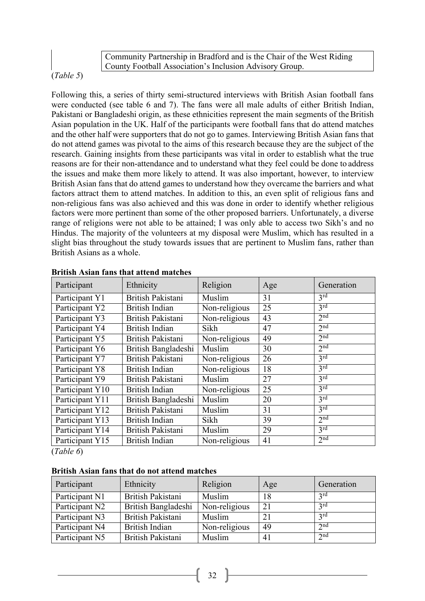## (*Table 5*)

Community Partnership in Bradford and is the Chair of the West Riding County Football Association's Inclusion Advisory Group.

Following this, a series of thirty semi-structured interviews with British Asian football fans were conducted (see table 6 and 7). The fans were all male adults of either British Indian, Pakistani or Bangladeshi origin, as these ethnicities represent the main segments of the British Asian population in the UK. Half of the participants were football fans that do attend matches and the other half were supporters that do not go to games. Interviewing British Asian fans that do not attend games was pivotal to the aims of this research because they are the subject of the research. Gaining insights from these participants was vital in order to establish what the true reasons are for their non-attendance and to understand what they feel could be done to address the issues and make them more likely to attend. It was also important, however, to interview British Asian fans that do attend games to understand how they overcame the barriers and what factors attract them to attend matches. In addition to this, an even split of religious fans and non-religious fans was also achieved and this was done in order to identify whether religious factors were more pertinent than some of the other proposed barriers. Unfortunately, a diverse range of religions were not able to be attained; I was only able to access two Sikh's and no Hindus. The majority of the volunteers at my disposal were Muslim, which has resulted in a slight bias throughout the study towards issues that are pertinent to Muslim fans, rather than British Asians as a whole.

#### Participant Ethnicity Religion Age Generation Participant Y1 British Pakistani Muslim 31 3<sup>rd</sup> Participant Y2 British Indian Non-religious 25 3<sup>rd</sup><br>Participant Y3 British Pakistani Non-religious 43 2<sup>nd</sup> Participant Y3 British Pakistani Non-religious 43 2<sup>nd</sup><br>Participant Y4 British Indian Sikh 47 2<sup>nd</sup> Participant Y4 British Indian Sikh 47 Participant Y5 British Pakistani Non-religious 49 2<sup>nd</sup><br>Participant Y6 British Bangladeshi Muslim 30 2<sup>nd</sup> Participant Y6 British Bangladeshi Muslim 30 2<sup>nd</sup><br>Participant Y7 British Pakistani Non-religious 26 3<sup>rd</sup> Participant Y7 British Pakistani Non-religious 26 3<sup>rd</sup><br>Participant Y8 British Indian Non-religious 18 3<sup>rd</sup> Participant Y8 | British Indian | Non-religious | 18 Participant Y9 British Pakistani Muslim 27 3<sup>rd</sup><br>Participant Y10 British Indian Non-religious 25 3<sup>rd</sup> Participant Y10 | British Indian | Non-religious |  $25$ Participant Y11 British Bangladeshi Muslim 20 3rd Participant Y12 | British Pakistani | Muslim | 31 | 3<sup>rd</sup> Participant Y13 British Indian Sikh 39 2<sup>nd</sup><br>Participant Y14 British Pakistani Muslim 29 3rd Participant Y14 British Pakistani Muslim 29 Participant Y15 | British Indian | Non-religious | 41 | 2<sup>nd</sup>

#### **British Asian fans that attend matches**

(*Table 6*)

#### **British Asian fans that do not attend matches**

| Participant    | Ethnicity             | Religion      | Age | Generation      |
|----------------|-----------------------|---------------|-----|-----------------|
| Participant N1 | British Pakistani     | Muslim        | 18  | 2rd             |
| Participant N2 | British Bangladeshi   | Non-religious | 21  | 2rd             |
| Participant N3 | British Pakistani     | Muslim        | 21  | 2rd             |
| Participant N4 | <b>British Indian</b> | Non-religious | 49  | 2nd             |
| Participant N5 | British Pakistani     | Muslim        | 41  | 2 <sup>nd</sup> |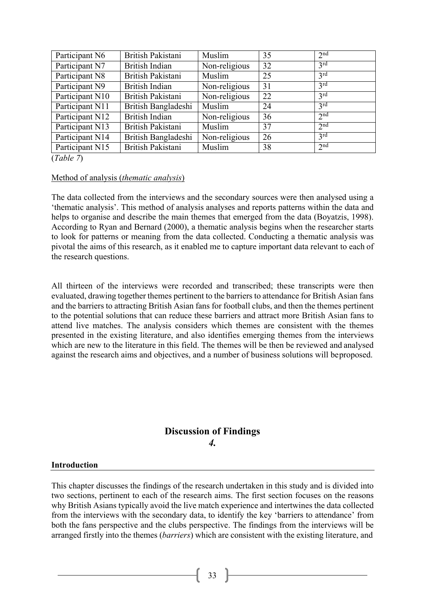| Participant N6    | British Pakistani     | Muslim        | 35 | 2 <sub>nd</sub> |
|-------------------|-----------------------|---------------|----|-----------------|
| Participant N7    | British Indian        | Non-religious | 32 | 3 <sup>rd</sup> |
| Participant N8    | British Pakistani     | Muslim        | 25 | 3 <sup>rd</sup> |
| Participant N9    | <b>British Indian</b> | Non-religious | 31 | 3 <sup>rd</sup> |
| Participant N10   | British Pakistani     | Non-religious | 22 | 3 <sup>rd</sup> |
| Participant N11   | British Bangladeshi   | Muslim        | 24 | 3 <sup>rd</sup> |
| Participant N12   | <b>British Indian</b> | Non-religious | 36 | 2 <sub>nd</sub> |
| Participant N13   | British Pakistani     | Muslim        | 37 | 2 <sub>nd</sub> |
| Participant $N14$ | British Bangladeshi   | Non-religious | 26 | 3 <sup>rd</sup> |
| Participant N15   | British Pakistani     | Muslim        | 38 | 2 <sub>nd</sub> |

(*Table 7*)

#### Method of analysis (*thematic analysis*)

The data collected from the interviews and the secondary sources were then analysed using a 'thematic analysis'. This method of analysis analyses and reports patterns within the data and helps to organise and describe the main themes that emerged from the data (Boyatzis, 1998). According to Ryan and Bernard (2000), a thematic analysis begins when the researcher starts to look for patterns or meaning from the data collected. Conducting a thematic analysis was pivotal the aims of this research, as it enabled me to capture important data relevant to each of the research questions.

All thirteen of the interviews were recorded and transcribed; these transcripts were then evaluated, drawing together themes pertinent to the barriers to attendance for British Asian fans and the barriers to attracting British Asian fans for football clubs, and then the themes pertinent to the potential solutions that can reduce these barriers and attract more British Asian fans to attend live matches. The analysis considers which themes are consistent with the themes presented in the existing literature, and also identifies emerging themes from the interviews which are new to the literature in this field. The themes will be then be reviewed and analysed against the research aims and objectives, and a number of business solutions will beproposed.

#### **Discussion of Findings** *4.*

#### **Introduction**

This chapter discusses the findings of the research undertaken in this study and is divided into two sections, pertinent to each of the research aims. The first section focuses on the reasons why British Asians typically avoid the live match experience and intertwines the data collected from the interviews with the secondary data, to identify the key 'barriers to attendance' from both the fans perspective and the clubs perspective. The findings from the interviews will be arranged firstly into the themes (*barriers*) which are consistent with the existing literature, and

33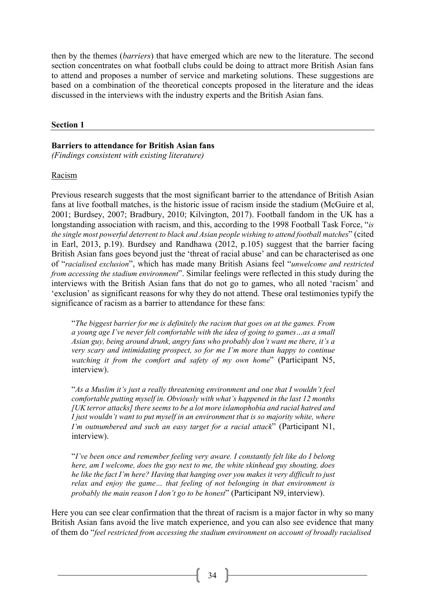then by the themes (*barriers*) that have emerged which are new to the literature. The second section concentrates on what football clubs could be doing to attract more British Asian fans to attend and proposes a number of service and marketing solutions. These suggestions are based on a combination of the theoretical concepts proposed in the literature and the ideas discussed in the interviews with the industry experts and the British Asian fans.

#### **Section 1**

#### **Barriers to attendance for British Asian fans**

*(Findings consistent with existing literature)*

#### Racism

Previous research suggests that the most significant barrier to the attendance of British Asian fans at live football matches, is the historic issue of racism inside the stadium (McGuire et al, 2001; Burdsey, 2007; Bradbury, 2010; Kilvington, 2017). Football fandom in the UK has a longstanding association with racism, and this, according to the 1998 Football Task Force, "*is the single most powerful deterrent to black and Asian people wishing to attend football matches*" (cited in Earl, 2013, p.19). Burdsey and Randhawa (2012, p.105) suggest that the barrier facing British Asian fans goes beyond just the 'threat of racial abuse' and can be characterised as one of "*racialised exclusion*", which has made many British Asians feel "*unwelcome and restricted from accessing the stadium environment*". Similar feelings were reflected in this study during the interviews with the British Asian fans that do not go to games, who all noted 'racism' and 'exclusion' as significant reasons for why they do not attend. These oral testimonies typify the significance of racism as a barrier to attendance for these fans:

"*The biggest barrier for me is definitely the racism that goes on at the games. From a young age I've never felt comfortable with the idea of going to games…as a small Asian guy, being around drunk, angry fans who probably don't want me there, it's a very scary and intimidating prospect, so for me I'm more than happy to continue watching it from the comfort and safety of my own home*" (Participant N5, interview).

"*As a Muslim it's just a really threatening environment and one that I wouldn't feel comfortable putting myself in. Obviously with what's happened in the last 12 months [UK terror attacks] there seems to be a lot more islamophobia and racial hatred and I just wouldn't want to put myself in an environment that is so majority white, where I'm outnumbered and such an easy target for a racial attack*" (Participant N1, interview).

"*I've been once and remember feeling very aware. I constantly felt like do I belong here, am I welcome, does the guy next to me, the white skinhead guy shouting, does he like the fact I'm here? Having that hanging over you makes it very difficult to just relax and enjoy the game… that feeling of not belonging in that environment is probably the main reason I don't go to be honest*" (Participant N9, interview).

Here you can see clear confirmation that the threat of racism is a major factor in why so many British Asian fans avoid the live match experience, and you can also see evidence that many of them do "*feel restricted from accessing the stadium environment on account of broadly racialised*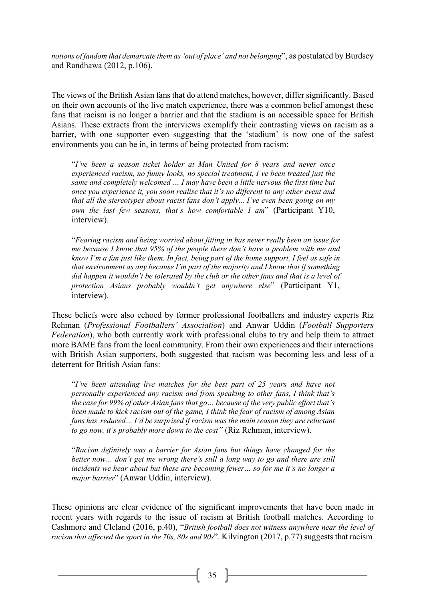*notions of fandom that demarcate them as'out of place' and not belonging*", as postulated by Burdsey and Randhawa (2012, p.106).

The views of the British Asian fans that do attend matches, however, differ significantly. Based on their own accounts of the live match experience, there was a common belief amongst these fans that racism is no longer a barrier and that the stadium is an accessible space for British Asians. These extracts from the interviews exemplify their contrasting views on racism as a barrier, with one supporter even suggesting that the 'stadium' is now one of the safest environments you can be in, in terms of being protected from racism:

"*I've been a season ticket holder at Man United for 8 years and never once experienced racism, no funny looks, no special treatment, I've been treated just the same and completely welcomed … I may have been a little nervous the first time but once you experience it, you soon realise that it's no different to any other event and that all the stereotypes about racist fans don't apply... I've even been going on my own the last few seasons, that's how comfortable I am*" (Participant Y10, interview).

"*Fearing racism and being worried about fitting in has never really been an issue for me because I know that 95% of the people there don't have a problem with me and know I'm a fan just like them. In fact, being part of the home support, I feel as safe in that environment as any because I'm part of the majority and I know that if something did happen it wouldn't be tolerated by the club or the other fans and that is a level of protection Asians probably wouldn't get anywhere else*" (Participant Y1, interview).

These beliefs were also echoed by former professional footballers and industry experts Riz Rehman (*Professional Footballers' Association*) and Anwar Uddin (*Football Supporters Federation*), who both currently work with professional clubs to try and help them to attract more BAME fans from the local community. From their own experiences and their interactions with British Asian supporters, both suggested that racism was becoming less and less of a deterrent for British Asian fans:

"*I've been attending live matches for the best part of 25 years and have not personally experienced any racism and from speaking to other fans, I think that's the case for 99% of other Asian fans that go… because of the very public effort that's been made to kick racism out of the game, I think the fear of racism of among Asian fans has reduced… I'd be surprised if racism was the main reason they are reluctant to go now, it's probably more down to the cost"* (Riz Rehman, interview).

"*Racism definitely was a barrier for Asian fans but things have changed for the better now… don't get me wrong there's still a long way to go and there are still incidents we hear about but these are becoming fewer… so for me it's no longer a major barrier*" (Anwar Uddin, interview).

These opinions are clear evidence of the significant improvements that have been made in recent years with regards to the issue of racism at British football matches. According to Cashmore and Cleland (2016, p.40), "*British football does not witness anywhere near the level of racism that affected the sport in the 70s, 80s and 90s*". Kilvington (2017, p.77) suggests that racism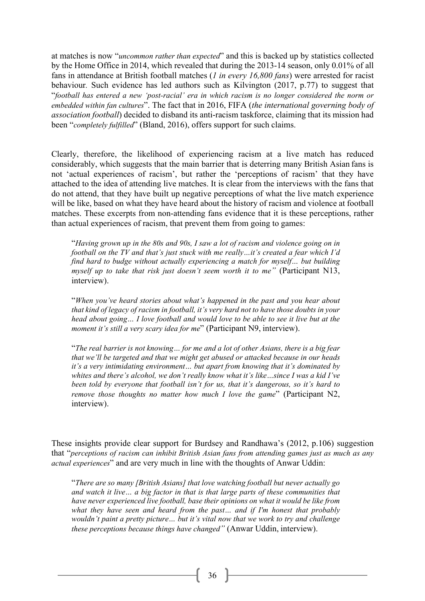at matches is now "*uncommon rather than expected*" and this is backed up by statistics collected by the Home Office in 2014, which revealed that during the 2013-14 season, only 0.01% of all fans in attendance at British football matches (*1 in every 16,800 fans*) were arrested for racist behaviour*.* Such evidence has led authors such as Kilvington (2017, p.77) to suggest that "*football has entered a new 'post-racial' era in which racism is no longer considered the norm or embedded within fan cultures*". The fact that in 2016, FIFA (*the international governing body of association football*) decided to disband its anti-racism taskforce, claiming that its mission had been "*completely fulfilled*" (Bland, 2016), offers support for such claims.

Clearly, therefore, the likelihood of experiencing racism at a live match has reduced considerably, which suggests that the main barrier that is deterring many British Asian fans is not 'actual experiences of racism', but rather the 'perceptions of racism' that they have attached to the idea of attending live matches. It is clear from the interviews with the fans that do not attend, that they have built up negative perceptions of what the live match experience will be like, based on what they have heard about the history of racism and violence at football matches. These excerpts from non-attending fans evidence that it is these perceptions, rather than actual experiences of racism, that prevent them from going to games:

"*Having grown up in the 80s and 90s, I saw a lot of racism and violence going on in football on the TV and that's just stuck with me really…it's created a fear which I'd find hard to budge without actually experiencing a match for myself… but building myself up to take that risk just doesn't seem worth it to me"* (Participant N13, interview).

"*When you've heard stories about what's happened in the past and you hear about that kind of legacy of racism in football, it's very hard not to have those doubts in your head about going… I love football and would love to be able to see it live but at the moment it's still a very scary idea for me*" (Participant N9, interview).

"*The real barrier is not knowing… for me and a lot of other Asians, there is a big fear that we'll be targeted and that we might get abused or attacked because in our heads it's a very intimidating environment… but apart from knowing that it's dominated by whites and there's alcohol, we don't really know what it's like…since I was a kid I've been told by everyone that football isn't for us, that it's dangerous, so it's hard to remove those thoughts no matter how much I love the game*" (Participant N2, interview).

These insights provide clear support for Burdsey and Randhawa's (2012, p.106) suggestion that "*perceptions of racism can inhibit British Asian fans from attending games just as much as any actual experiences*" and are very much in line with the thoughts of Anwar Uddin:

"*There are so many [British Asians] that love watching football but never actually go and watch it live… a big factor in that is that large parts of these communities that have never experienced live football, base their opinions on what it would be like from what they have seen and heard from the past… and if I'm honest that probably wouldn't paint a pretty picture… but it's vital now that we work to try and challenge these perceptions because things have changed"* (Anwar Uddin, interview).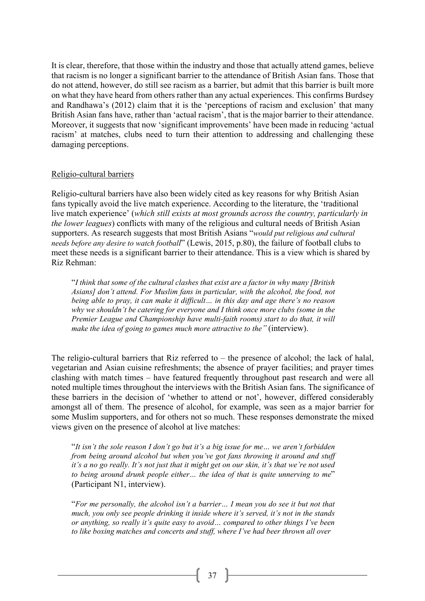It is clear, therefore, that those within the industry and those that actually attend games, believe that racism is no longer a significant barrier to the attendance of British Asian fans. Those that do not attend, however, do still see racism as a barrier, but admit that this barrier is built more on what they have heard from others rather than any actual experiences. This confirms Burdsey and Randhawa's (2012) claim that it is the 'perceptions of racism and exclusion' that many British Asian fans have, rather than 'actual racism', that is the major barrier to their attendance. Moreover, it suggests that now 'significant improvements' have been made in reducing 'actual racism' at matches, clubs need to turn their attention to addressing and challenging these damaging perceptions.

## Religio-cultural barriers

Religio-cultural barriers have also been widely cited as key reasons for why British Asian fans typically avoid the live match experience. According to the literature, the 'traditional live match experience' (*which still exists at most grounds across the country, particularly in the lower leagues*) conflicts with many of the religious and cultural needs of British Asian supporters. As research suggests that most British Asians "*would put religious and cultural needs before any desire to watch football*" (Lewis, 2015, p.80), the failure of football clubs to meet these needs is a significant barrier to their attendance. This is a view which is shared by Riz Rehman:

"*I think that some of the cultural clashes that exist are a factor in why many [British Asians] don't attend. For Muslim fans in particular, with the alcohol, the food, not being able to pray, it can make it difficult… in this day and age there's no reason why we shouldn't be catering for everyone and I think once more clubs (some in the Premier League and Championship have multi-faith rooms) start to do that, it will make the idea of going to games much more attractive to the"* (interview).

The religio-cultural barriers that Riz referred to – the presence of alcohol; the lack of halal, vegetarian and Asian cuisine refreshments; the absence of prayer facilities; and prayer times clashing with match times – have featured frequently throughout past research and were all noted multiple times throughout the interviews with the British Asian fans. The significance of these barriers in the decision of 'whether to attend or not', however, differed considerably amongst all of them. The presence of alcohol, for example, was seen as a major barrier for some Muslim supporters, and for others not so much. These responses demonstrate the mixed views given on the presence of alcohol at live matches:

"*It isn't the sole reason I don't go but it's a big issue for me… we aren't forbidden from being around alcohol but when you've got fans throwing it around and stuff it's a no go really. It's not just that it might get on our skin, it's that we're not used to being around drunk people either… the idea of that is quite unnerving to me*" (Participant N1, interview).

"*For me personally, the alcohol isn't a barrier… I mean you do see it but not that much, you only see people drinking it inside where it's served, it's not in the stands or anything, so really it's quite easy to avoid… compared to other things I've been to like boxing matches and concerts and stuff, where I've had beer thrown all over*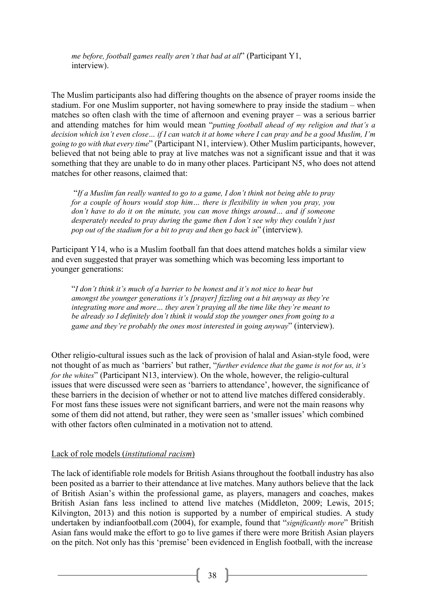*me before, football games really aren't that bad at all*" (Participant Y1, interview).

The Muslim participants also had differing thoughts on the absence of prayer rooms inside the stadium. For one Muslim supporter, not having somewhere to pray inside the stadium – when matches so often clash with the time of afternoon and evening prayer – was a serious barrier and attending matches for him would mean "*putting football ahead of my religion and that's a*  decision which isn't even close... if I can watch it at home where I can pray and be a good Muslim, I'm *going to go with that every time*" (Participant N1, interview). Other Muslim participants, however, believed that not being able to pray at live matches was not a significant issue and that it was something that they are unable to do in many other places. Participant N5, who does not attend matches for other reasons, claimed that:

"*If a Muslim fan really wanted to go to a game, I don't think not being able to pray for a couple of hours would stop him… there is flexibility in when you pray, you don't have to do it on the minute, you can move things around… and if someone desperately needed to pray during the game then I don't see why they couldn't just pop out of the stadium for a bit to pray and then go back in*" (interview).

Participant Y14, who is a Muslim football fan that does attend matches holds a similar view and even suggested that prayer was something which was becoming less important to younger generations:

"*I don't think it's much of a barrier to be honest and it's not nice to hear but amongst the younger generations it's [prayer] fizzling out a bit anyway as they're integrating more and more… they aren't praying all the time like they're meant to be already so I definitely don't think it would stop the younger ones from going to a game and they're probably the ones most interested in going anyway*" (interview).

Other religio-cultural issues such as the lack of provision of halal and Asian-style food, were not thought of as much as 'barriers' but rather, "*further evidence that the game is not for us, it's for the whites*" (Participant N13, interview). On the whole, however, the religio-cultural issues that were discussed were seen as 'barriers to attendance', however, the significance of these barriers in the decision of whether or not to attend live matches differed considerably. For most fans these issues were not significant barriers, and were not the main reasons why some of them did not attend, but rather, they were seen as 'smaller issues' which combined with other factors often culminated in a motivation not to attend.

# Lack of role models (*institutional racism*)

The lack of identifiable role models for British Asians throughout the football industry has also been posited as a barrier to their attendance at live matches. Many authors believe that the lack of British Asian's within the professional game, as players, managers and coaches, makes British Asian fans less inclined to attend live matches (Middleton, 2009; Lewis, 2015; Kilvington, 2013) and this notion is supported by a number of empirical studies. A study undertaken by indianfootball.com (2004), for example, found that "*significantly more*" British Asian fans would make the effort to go to live games if there were more British Asian players on the pitch. Not only has this 'premise' been evidenced in English football, with the increase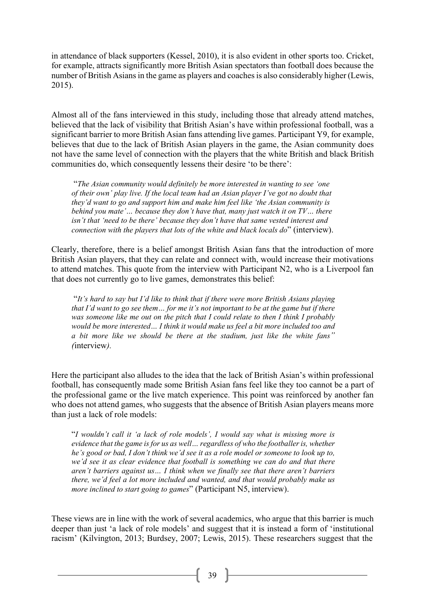in attendance of black supporters (Kessel, 2010), it is also evident in other sports too. Cricket, for example, attracts significantly more British Asian spectators than football does because the number of British Asians in the game as players and coaches is also considerably higher (Lewis, 2015).

Almost all of the fans interviewed in this study, including those that already attend matches, believed that the lack of visibility that British Asian's have within professional football, was a significant barrier to more British Asian fans attending live games. Participant Y9, for example, believes that due to the lack of British Asian players in the game, the Asian community does not have the same level of connection with the players that the white British and black British communities do, which consequently lessens their desire 'to be there':

"*The Asian community would definitely be more interested in wanting to see 'one of their own' play live. If the local team had an Asian player I've got no doubt that they'd want to go and support him and make him feel like 'the Asian community is behind you mate'… because they don't have that, many just watch it on TV… there isn't that 'need to be there' because they don't have that same vested interest and connection with the players that lots of the white and black locals do*" (interview).

Clearly, therefore, there is a belief amongst British Asian fans that the introduction of more British Asian players, that they can relate and connect with, would increase their motivations to attend matches. This quote from the interview with Participant N2, who is a Liverpool fan that does not currently go to live games, demonstrates this belief:

"*It's hard to say but I'd like to think that if there were more British Asians playing*  that I'd want to go see them... for me it's not important to be at the game but if there *was someone like me out on the pitch that I could relate to then I think I probably would be more interested… I think it would make us feel a bit more included too and a bit more like we should be there at the stadium, just like the white fans" (*interview*).*

Here the participant also alludes to the idea that the lack of British Asian's within professional football, has consequently made some British Asian fans feel like they too cannot be a part of the professional game or the live match experience. This point was reinforced by another fan who does not attend games, who suggests that the absence of British Asian players means more than just a lack of role models:

"*I wouldn't call it 'a lack of role models', I would say what is missing more is evidence that the game is for us as well… regardless of who the footballeris, whether*  he's good or bad, I don't think we'd see it as a role model or someone to look up to, *we'd see it as clear evidence that football is something we can do and that there aren't barriers against us… I think when we finally see that there aren't barriers there, we'd feel a lot more included and wanted, and that would probably make us more inclined to start going to games*" (Participant N5, interview).

These views are in line with the work of several academics, who argue that this barrier is much deeper than just 'a lack of role models' and suggest that it is instead a form of 'institutional racism' (Kilvington, 2013; Burdsey, 2007; Lewis, 2015). These researchers suggest that the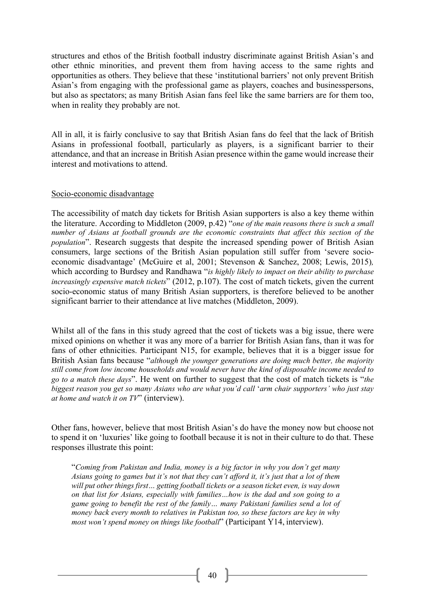structures and ethos of the British football industry discriminate against British Asian's and other ethnic minorities, and prevent them from having access to the same rights and opportunities as others. They believe that these 'institutional barriers' not only prevent British Asian's from engaging with the professional game as players, coaches and businesspersons, but also as spectators; as many British Asian fans feel like the same barriers are for them too, when in reality they probably are not.

All in all, it is fairly conclusive to say that British Asian fans do feel that the lack of British Asians in professional football, particularly as players, is a significant barrier to their attendance, and that an increase in British Asian presence within the game would increase their interest and motivations to attend.

#### Socio-economic disadvantage

The accessibility of match day tickets for British Asian supporters is also a key theme within the literature. According to Middleton (2009, p.42) "*one of the main reasons there is such a small number of Asians at football grounds are the economic constraints that affect this section of the population*". Research suggests that despite the increased spending power of British Asian consumers, large sections of the British Asian population still suffer from 'severe socioeconomic disadvantage' (McGuire et al, 2001; Stevenson & Sanchez, 2008; Lewis, 2015)*,*  which according to Burdsey and Randhawa "*is highly likely to impact on their ability to purchase increasingly expensive match tickets*" (2012, p.107). The cost of match tickets, given the current socio-economic status of many British Asian supporters, is therefore believed to be another significant barrier to their attendance at live matches (Middleton, 2009).

Whilst all of the fans in this study agreed that the cost of tickets was a big issue, there were mixed opinions on whether it was any more of a barrier for British Asian fans, than it was for fans of other ethnicities. Participant N15, for example, believes that it is a bigger issue for British Asian fans because "*although the younger generations are doing much better, the majority still come from low income households and would never have the kind of disposable income needed to go to a match these days*". He went on further to suggest that the cost of match tickets is "*the biggest reason you get so many Asians who are what you'd call* '*arm chair supporters' who just stay at home and watch it on TV*" (interview).

Other fans, however, believe that most British Asian's do have the money now but choose not to spend it on 'luxuries' like going to football because it is not in their culture to do that. These responses illustrate this point:

"*Coming from Pakistan and India, money is a big factor in why you don't get many Asians going to games but it's not that they can't afford it, it's just that a lot of them will put other things first… getting football tickets or a season ticket even, is way down on that list for Asians, especially with families…how is the dad and son going to a game going to benefit the rest of the family… many Pakistani families send a lot of money back every month to relatives in Pakistan too, so these factors are key in why most won't spend money on things like football*" (Participant Y14, interview).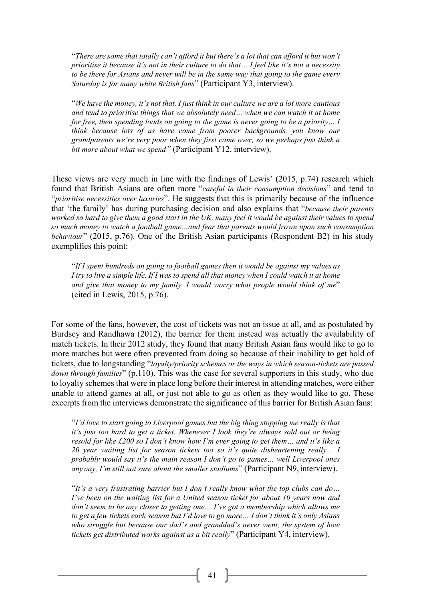"*There are some that totally can't afford it but there's a lot that can afford it but won't prioritise it because it's not in their culture to do that… I feel like it's not a necessity to be there for Asians and never will be in the same way that going to the game every Saturday is for many white British fans*" (Participant Y3, interview).

"*We have the money, it's not that, I just think in our culture we are a lot more cautious and tend to prioritise things that we absolutely need… when we can watch it at home for free, then spending loads on going to the game is never going to be a priority… I think because lots of us have come from poorer backgrounds, you know our grandparents we're very poor when they first came over, so we perhaps just think a bit more about what we spend"* (Participant Y12, interview).

These views are very much in line with the findings of Lewis' (2015, p.74) research which found that British Asians are often more "*careful in their consumption decisions*" and tend to "*prioritise necessities over luxuries*". He suggests that this is primarily because of the influence that 'the family' has during purchasing decision and also explains that "*because their parents*  worked so hard to give them a good start in the UK, many feel it would be against their values to spend *so much money to watch a football game…and fear that parents would frown upon such consumption behaviour*" (2015, p.76). One of the British Asian participants (Respondent B2) in his study exemplifies this point:

"*If I spent hundreds on going to football games then it would be against my values as*  I try to live a simple life. If I was to spend all that money when I could watch it at home *and give that money to my family, I would worry what people would think of me*" (cited in Lewis, 2015, p.76).

For some of the fans, however, the cost of tickets was not an issue at all, and as postulated by Burdsey and Randhawa (2012), the barrier for them instead was actually the availability of match tickets. In their 2012 study, they found that many British Asian fans would like to go to more matches but were often prevented from doing so because of their inability to get hold of tickets, due to longstanding "*loyalty/priority schemes or the ways in which season-tickets are passed down through families*" (p.110). This was the case for several supporters in this study, who due to loyalty schemes that were in place long before their interest in attending matches, were either unable to attend games at all, or just not able to go as often as they would like to go. These excerpts from the interviews demonstrate the significance of this barrier for British Asian fans:

"*I'd love to start going to Liverpool games but the big thing stopping me really is that it's just too hard to get a ticket. Whenever I look they're always sold out or being resold for like £200 so I don't know how I'm ever going to get them… and it's like a 20 year waiting list for season tickets too so it's quite disheartening really… I probably would say it's the main reason I don't go to games… well Liverpool ones*  anyway, I'm still not sure about the smaller stadiums" (Participant N9, interview).

"*It's a very frustrating barrier but I don't really know what the top clubs can do… I've been on the waiting list for a United season ticket for about 10 years now and don't seem to be any closer to getting one… I've got a membership which allows me to get a few tickets each season but I'd love to go more… I don't think it's only Asians who struggle but because our dad's and granddad's never went, the system of how tickets get distributed works against us a bit really*" (Participant Y4, interview).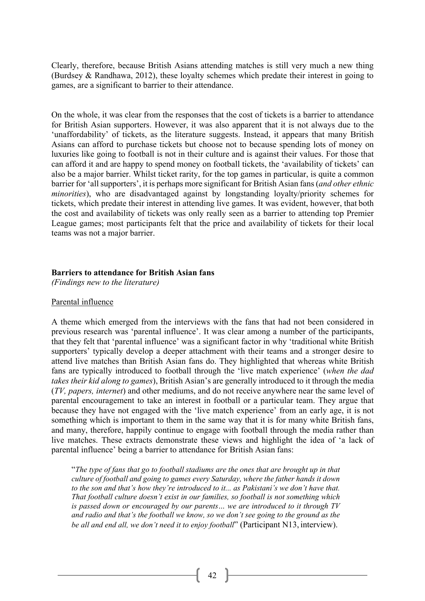Clearly, therefore, because British Asians attending matches is still very much a new thing (Burdsey & Randhawa, 2012), these loyalty schemes which predate their interest in going to games, are a significant to barrier to their attendance.

On the whole, it was clear from the responses that the cost of tickets is a barrier to attendance for British Asian supporters. However, it was also apparent that it is not always due to the 'unaffordability' of tickets, as the literature suggests. Instead, it appears that many British Asians can afford to purchase tickets but choose not to because spending lots of money on luxuries like going to football is not in their culture and is against their values. For those that can afford it and are happy to spend money on football tickets, the 'availability of tickets' can also be a major barrier. Whilst ticket rarity, for the top games in particular, is quite a common barrier for 'allsupporters', it is perhaps more significant for British Asian fans (*and other ethnic minorities*), who are disadvantaged against by longstanding loyalty/priority schemes for tickets, which predate their interest in attending live games. It was evident, however, that both the cost and availability of tickets was only really seen as a barrier to attending top Premier League games; most participants felt that the price and availability of tickets for their local teams was not a major barrier.

#### **Barriers to attendance for British Asian fans**

*(Findings new to the literature)*

#### Parental influence

A theme which emerged from the interviews with the fans that had not been considered in previous research was 'parental influence'. It was clear among a number of the participants, that they felt that 'parental influence' was a significant factor in why 'traditional white British supporters' typically develop a deeper attachment with their teams and a stronger desire to attend live matches than British Asian fans do. They highlighted that whereas white British fans are typically introduced to football through the 'live match experience' (*when the dad takes their kid along to games*), British Asian's are generally introduced to it through the media (*TV, papers, internet*) and other mediums, and do not receive anywhere near the same level of parental encouragement to take an interest in football or a particular team. They argue that because they have not engaged with the 'live match experience' from an early age, it is not something which is important to them in the same way that it is for many white British fans, and many, therefore, happily continue to engage with football through the media rather than live matches. These extracts demonstrate these views and highlight the idea of 'a lack of parental influence' being a barrier to attendance for British Asian fans:

"*The type of fans that go to football stadiums are the ones that are brought up in that culture of football and going to games every Saturday, where the father hands it down to the son and that's how they're introduced to it... as Pakistani's we don't have that. That football culture doesn't exist in our families, so football is not something which is passed down or encouraged by our parents… we are introduced to it through TV and radio and that's the football we know, so we don't see going to the ground as the be all and end all, we don't need it to enjoy football*" (Participant N13, interview).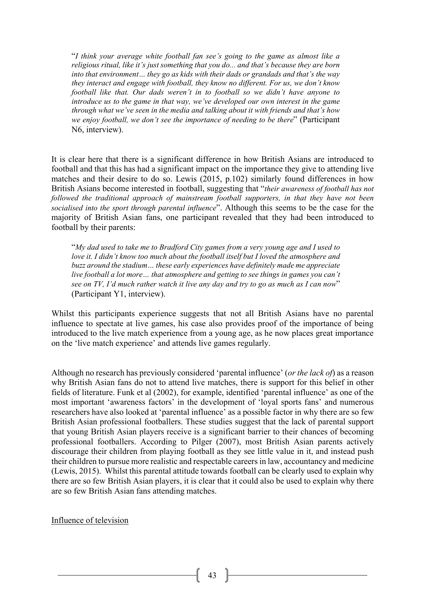"*I think your average white football fan see's going to the game as almost like a religious ritual, like it's just something that you do... and that's because they are born into that environment… they go as kids with their dads or grandads and that's the way they interact and engage with football, they know no different. For us, we don't know football like that. Our dads weren't in to football so we didn't have anyone to introduce us to the game in that way, we've developed our own interest in the game through what we've seen in the media and talking about it with friends and that's how we enjoy football, we don't see the importance of needing to be there*" (Participant N6, interview).

It is clear here that there is a significant difference in how British Asians are introduced to football and that this has had a significant impact on the importance they give to attending live matches and their desire to do so. Lewis (2015, p.102) similarly found differences in how British Asians become interested in football, suggesting that "*their awareness of football has not followed the traditional approach of mainstream football supporters, in that they have not been socialised into the sport through parental influence*". Although this seems to be the case for the majority of British Asian fans, one participant revealed that they had been introduced to football by their parents:

"*My dad used to take me to Bradford City games from a very young age and I used to love it. I didn't know too much about the football itself but I loved the atmosphere and buzz around the stadium… these early experiences have definitely made me appreciate live football a lot more… that atmosphere and getting to see things in games you can't see on TV, I'd much rather watch it live any day and try to go as much as I can now*" (Participant Y1, interview).

Whilst this participants experience suggests that not all British Asians have no parental influence to spectate at live games, his case also provides proof of the importance of being introduced to the live match experience from a young age, as he now places great importance on the 'live match experience' and attends live games regularly.

Although no research has previously considered 'parental influence' (*or the lack of*) as a reason why British Asian fans do not to attend live matches, there is support for this belief in other fields of literature. Funk et al (2002), for example, identified 'parental influence' as one of the most important 'awareness factors' in the development of 'loyal sports fans' and numerous researchers have also looked at 'parental influence' as a possible factor in why there are so few British Asian professional footballers. These studies suggest that the lack of parental support that young British Asian players receive is a significant barrier to their chances of becoming professional footballers. According to Pilger (2007), most British Asian parents actively discourage their children from playing football as they see little value in it, and instead push their children to pursue more realistic and respectable careers in law, accountancy and medicine (Lewis, 2015). Whilst this parental attitude towards football can be clearly used to explain why there are so few British Asian players, it is clear that it could also be used to explain why there are so few British Asian fans attending matches.

Influence of television

43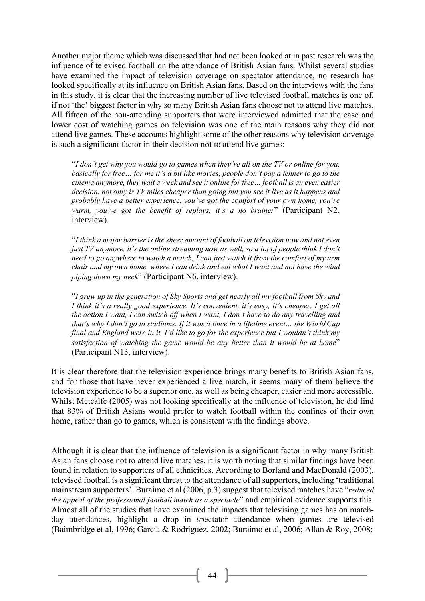Another major theme which was discussed that had not been looked at in past research was the influence of televised football on the attendance of British Asian fans. Whilst several studies have examined the impact of television coverage on spectator attendance, no research has looked specifically at its influence on British Asian fans. Based on the interviews with the fans in this study, it is clear that the increasing number of live televised football matches is one of, if not 'the' biggest factor in why so many British Asian fans choose not to attend live matches. All fifteen of the non-attending supporters that were interviewed admitted that the ease and lower cost of watching games on television was one of the main reasons why they did not attend live games. These accounts highlight some of the other reasons why television coverage is such a significant factor in their decision not to attend live games:

"*I don't get why you would go to games when they're all on the TV or online for you, basically for free… for me it's a bit like movies, people don't pay a tenner to go to the cinema anymore, they wait a week and see it online for free… football is an even easier decision, not only is TV miles cheaper than going but you see it live as it happens and probably have a better experience, you've got the comfort of your own home, you're warm, you've got the benefit of replays, it's a no brainer*" (Participant N2, interview).

"*I think a major barrier is the sheer amount of football on television now and not even just TV anymore, it's the online streaming now as well, so a lot of people think I don't need to go anywhere to watch a match, I can just watch it from the comfort of my arm chair and my own home, where I can drink and eat what I want and not have the wind piping down my neck*" (Participant N6, interview).

"*I grew up in the generation of Sky Sports and get nearly all my football from Sky and I think it's a really good experience. It's convenient, it's easy, it's cheaper, I get all the action I want, I can switch off when I want, I don't have to do any travelling and that's why I don't go to stadiums. If it was a once in a lifetime event… the WorldCup final and England were in it, I'd like to go for the experience but I wouldn't think my satisfaction of watching the game would be any better than it would be at home*" (Participant N13, interview).

It is clear therefore that the television experience brings many benefits to British Asian fans, and for those that have never experienced a live match, it seems many of them believe the television experience to be a superior one, as well as being cheaper, easier and more accessible. Whilst Metcalfe (2005) was not looking specifically at the influence of television, he did find that 83% of British Asians would prefer to watch football within the confines of their own home, rather than go to games, which is consistent with the findings above.

Although it is clear that the influence of television is a significant factor in why many British Asian fans choose not to attend live matches, it is worth noting that similar findings have been found in relation to supporters of all ethnicities. According to Borland and MacDonald (2003), televised football is a significant threat to the attendance of all supporters, including 'traditional mainstream supporters'. Buraimo et al (2006, p.3) suggest that televised matches have "*reduced the appeal of the professional football match as a spectacle*" and empirical evidence supports this. Almost all of the studies that have examined the impacts that televising games has on matchday attendances, highlight a drop in spectator attendance when games are televised (Baimbridge et al, 1996; Garcia & Rodriguez, 2002; Buraimo et al, 2006; Allan & Roy, 2008;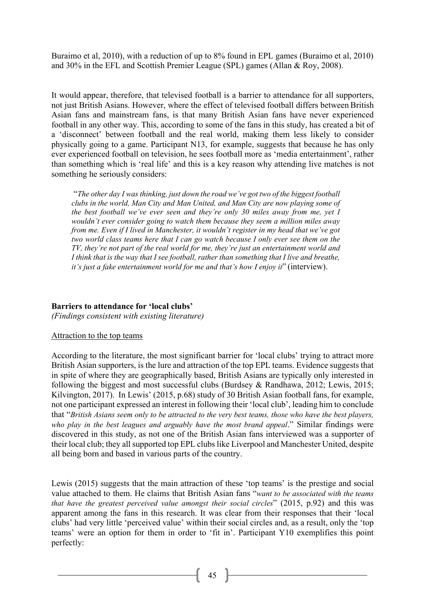Buraimo et al, 2010), with a reduction of up to 8% found in EPL games (Buraimo et al, 2010) and 30% in the EFL and Scottish Premier League (SPL) games (Allan & Roy, 2008).

It would appear, therefore, that televised football is a barrier to attendance for all supporters, not just British Asians. However, where the effect of televised football differs between British Asian fans and mainstream fans, is that many British Asian fans have never experienced football in any other way. This, according to some of the fans in this study, has created a bit of a 'disconnect' between football and the real world, making them less likely to consider physically going to a game. Participant N13, for example, suggests that because he has only ever experienced football on television, he sees football more as 'media entertainment', rather than something which is 'real life' and this is a key reason why attending live matches is not something he seriously considers:

"*The other day I was thinking, just down the road we've got two of the biggest football clubs in the world, Man City and Man United, and Man City are now playing some of the best football we've ever seen and they're only 30 miles away from me, yet I wouldn't ever consider going to watch them because they seem a million miles away from me. Even if I lived in Manchester, it wouldn't register in my head that we've got two world class teams here that I can go watch because I only ever see them on the TV, they're not part of the real world for me, they're just an entertainment world and I think that is the way that I see football, rather than something that I live and breathe, it's just a fake entertainment world for me and that's how I enjoy it*" (interview).

#### **Barriers to attendance for 'local clubs'**

*(Findings consistent with existing literature)*

#### Attraction to the top teams

According to the literature, the most significant barrier for 'local clubs' trying to attract more British Asian supporters, is the lure and attraction of the top EPL teams. Evidence suggests that in spite of where they are geographically based, British Asians are typically only interested in following the biggest and most successful clubs (Burdsey & Randhawa, 2012; Lewis, 2015; Kilvington, 2017). In Lewis' (2015, p.68) study of 30 British Asian football fans, for example, not one participant expressed an interest in following their 'local club', leading him to conclude that "*British Asians seem only to be attracted to the very best teams, those who have the best players, who play in the best leagues and arguably have the most brand appeal*." Similar findings were discovered in this study, as not one of the British Asian fans interviewed was a supporter of their local club; they all supported top EPL clubs like Liverpool and Manchester United, despite all being born and based in various parts of the country.

Lewis (2015) suggests that the main attraction of these 'top teams' is the prestige and social value attached to them. He claims that British Asian fans "*want to be associated with the teams that have the greatest perceived value amongst their social circles*" (2015, p.92) and this was apparent among the fans in this research. It was clear from their responses that their 'local clubs' had very little 'perceived value' within their social circles and, as a result, only the 'top teams' were an option for them in order to 'fit in'. Participant Y10 exemplifies this point perfectly: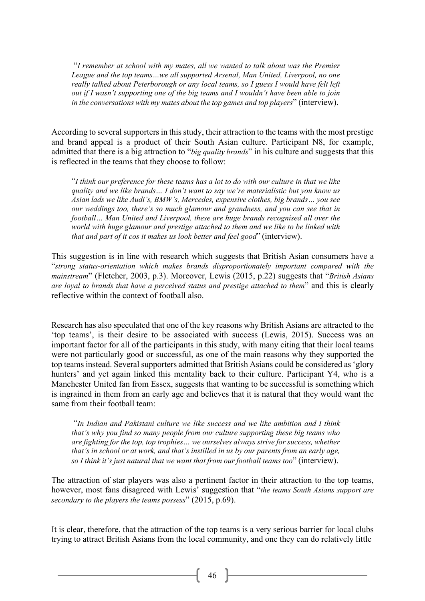"*I remember at school with my mates, all we wanted to talk about was the Premier League and the top teams…we all supported Arsenal, Man United, Liverpool, no one*  really talked about Peterborough or any local teams, so I guess I would have felt left *out if I wasn't supporting one of the big teams and I wouldn't have been able to join in the conversations with my mates about the top games and top players*" (interview).

According to several supporters in this study, their attraction to the teams with the most prestige and brand appeal is a product of their South Asian culture. Participant N8, for example, admitted that there is a big attraction to "*big quality brands*" in his culture and suggests that this is reflected in the teams that they choose to follow:

"*I think our preference for these teams has a lot to do with our culture in that we like quality and we like brands… I don't want to say we're materialistic but you know us Asian lads we like Audi's, BMW's, Mercedes, expensive clothes, big brands… you see our weddings too, there's so much glamour and grandness, and you can see that in football… Man United and Liverpool, these are huge brands recognised all over the world with huge glamour and prestige attached to them and we like to be linked with that and part of it cos it makes us look better and feel good*" (interview).

This suggestion is in line with research which suggests that British Asian consumers have a "*strong status-orientation which makes brands disproportionately important compared with the mainstream*" (Fletcher, 2003, p.3). Moreover, Lewis (2015, p.22) suggests that "*British Asians are loyal to brands that have a perceived status and prestige attached to them*" and this is clearly reflective within the context of football also.

Research has also speculated that one of the key reasons why British Asians are attracted to the 'top teams', is their desire to be associated with success (Lewis, 2015). Success was an important factor for all of the participants in this study, with many citing that their local teams were not particularly good or successful, as one of the main reasons why they supported the top teams instead. Several supporters admitted that British Asians could be considered as 'glory hunters' and yet again linked this mentality back to their culture. Participant Y4, who is a Manchester United fan from Essex, suggests that wanting to be successful is something which is ingrained in them from an early age and believes that it is natural that they would want the same from their football team:

"*In Indian and Pakistani culture we like success and we like ambition and I think that's why you find so many people from our culture supporting these big teams who are fighting for the top, top trophies… we ourselves always strive for success, whether that's in school or at work, and that's instilled in us by our parents from an early age, so I think it's just natural that we want that from our football teams too*" (interview).

The attraction of star players was also a pertinent factor in their attraction to the top teams, however, most fans disagreed with Lewis' suggestion that "*the teams South Asians support are secondary to the players the teams possess*" (2015, p.69).

It is clear, therefore, that the attraction of the top teams is a very serious barrier for local clubs trying to attract British Asians from the local community, and one they can do relatively little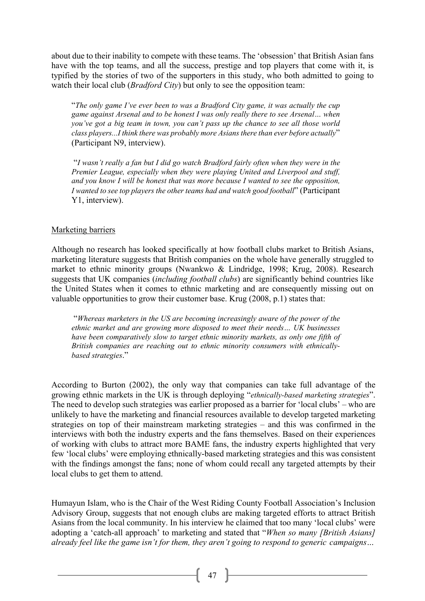about due to their inability to compete with these teams. The 'obsession' that British Asian fans have with the top teams, and all the success, prestige and top players that come with it, is typified by the stories of two of the supporters in this study, who both admitted to going to watch their local club (*Bradford City*) but only to see the opposition team:

"*The only game I've ever been to was a Bradford City game, it was actually the cup game against Arsenal and to be honest I was only really there to see Arsenal… when you've got a big team in town, you can't pass up the chance to see all those world class players...I think there was probably more Asians there than ever before actually*" (Participant N9, interview).

"*I wasn't really a fan but I did go watch Bradford fairly often when they were in the Premier League, especially when they were playing United and Liverpool and stuff, and you know I will be honest that was more because I wanted to see the opposition, I wanted to see top players the other teams had and watch good football*" (Participant Y1, interview).

#### Marketing barriers

Although no research has looked specifically at how football clubs market to British Asians, marketing literature suggests that British companies on the whole have generally struggled to market to ethnic minority groups (Nwankwo & Lindridge, 1998; Krug, 2008). Research suggests that UK companies (*including football clubs*) are significantly behind countries like the United States when it comes to ethnic marketing and are consequently missing out on valuable opportunities to grow their customer base. Krug (2008, p.1) states that:

"*Whereas marketers in the US are becoming increasingly aware of the power of the ethnic market and are growing more disposed to meet their needs… UK businesses have been comparatively slow to target ethnic minority markets, as only one fifth of British companies are reaching out to ethnic minority consumers with ethnicallybased strategies*."

According to Burton (2002), the only way that companies can take full advantage of the growing ethnic markets in the UK is through deploying "*ethnically-based marketing strategies*". The need to develop such strategies was earlier proposed as a barrier for 'local clubs' – who are unlikely to have the marketing and financial resources available to develop targeted marketing strategies on top of their mainstream marketing strategies – and this was confirmed in the interviews with both the industry experts and the fans themselves. Based on their experiences of working with clubs to attract more BAME fans, the industry experts highlighted that very few 'local clubs' were employing ethnically-based marketing strategies and this was consistent with the findings amongst the fans; none of whom could recall any targeted attempts by their local clubs to get them to attend.

Humayun Islam, who is the Chair of the West Riding County Football Association's Inclusion Advisory Group, suggests that not enough clubs are making targeted efforts to attract British Asians from the local community. In his interview he claimed that too many 'local clubs' were adopting a 'catch-all approach' to marketing and stated that "*When so many [British Asians] already feel like the game isn't for them, they aren't going to respond to generic campaigns…*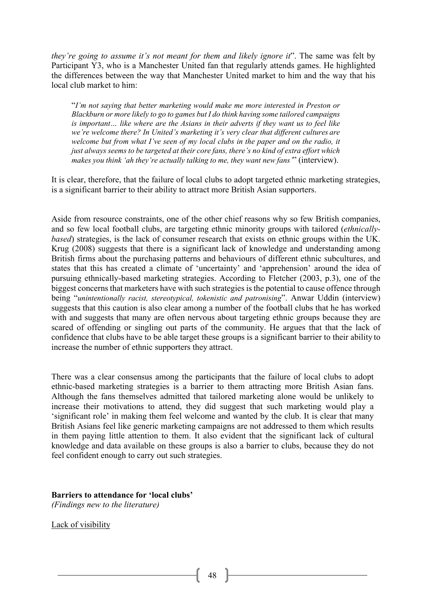*they're going to assume it's not meant for them and likely ignore it*". The same was felt by Participant Y3, who is a Manchester United fan that regularly attends games. He highlighted the differences between the way that Manchester United market to him and the way that his local club market to him:

"*I'm not saying that better marketing would make me more interested in Preston or Blackburn or more likely to go to games but I do think having some tailored campaigns is important… like where are the Asians in their adverts if they want us to feel like we're welcome there? In United's marketing it's very clear that different cultures are welcome but from what I've seen of my local clubs in the paper and on the radio, it just always seems to be targeted at their core fans, there's no kind of extra effort which makes you think 'ah they're actually talking to me, they want new fans'*" (interview).

It is clear, therefore, that the failure of local clubs to adopt targeted ethnic marketing strategies, is a significant barrier to their ability to attract more British Asian supporters.

Aside from resource constraints, one of the other chief reasons why so few British companies, and so few local football clubs, are targeting ethnic minority groups with tailored (*ethnicallybased*) strategies, is the lack of consumer research that exists on ethnic groups within the UK. Krug (2008) suggests that there is a significant lack of knowledge and understanding among British firms about the purchasing patterns and behaviours of different ethnic subcultures, and states that this has created a climate of 'uncertainty' and 'apprehension' around the idea of pursuing ethnically-based marketing strategies. According to Fletcher (2003, p.3), one of the biggest concerns that marketers have with such strategies is the potential to cause offence through being "*unintentionally racist, stereotypical, tokenistic and patronising*". Anwar Uddin (interview) suggests that this caution is also clear among a number of the football clubs that he has worked with and suggests that many are often nervous about targeting ethnic groups because they are scared of offending or singling out parts of the community. He argues that that the lack of confidence that clubs have to be able target these groups is a significant barrier to their ability to increase the number of ethnic supporters they attract.

There was a clear consensus among the participants that the failure of local clubs to adopt ethnic-based marketing strategies is a barrier to them attracting more British Asian fans. Although the fans themselves admitted that tailored marketing alone would be unlikely to increase their motivations to attend, they did suggest that such marketing would play a 'significant role' in making them feel welcome and wanted by the club. It is clear that many British Asians feel like generic marketing campaigns are not addressed to them which results in them paying little attention to them. It also evident that the significant lack of cultural knowledge and data available on these groups is also a barrier to clubs, because they do not feel confident enough to carry out such strategies.

**Barriers to attendance for 'local clubs'** *(Findings new to the literature)*

Lack of visibility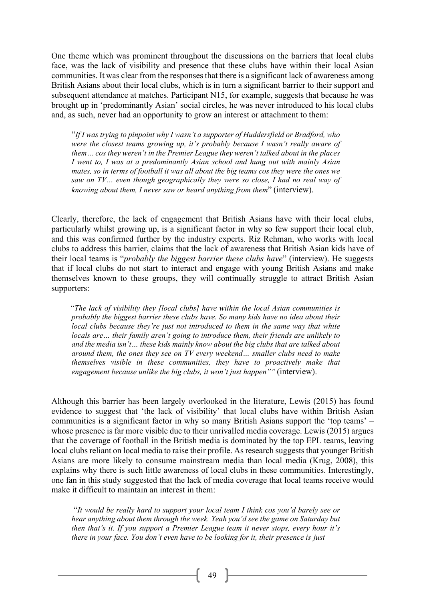One theme which was prominent throughout the discussions on the barriers that local clubs face, was the lack of visibility and presence that these clubs have within their local Asian communities. It was clear from the responses that there is a significant lack of awareness among British Asians about their local clubs, which is in turn a significant barrier to their support and subsequent attendance at matches. Participant N15, for example, suggests that because he was brought up in 'predominantly Asian' social circles, he was never introduced to his local clubs and, as such, never had an opportunity to grow an interest or attachment to them:

"*If I was trying to pinpoint why I wasn't a supporter of Huddersfield or Bradford, who were the closest teams growing up, it's probably because I wasn't really aware of them… cos they weren't in the Premier League they weren't talked about in the places I went to, I was at a predominantly Asian school and hung out with mainly Asian mates, so in terms of football it was all about the big teams cos they were the ones we saw on TV… even though geographically they were so close, I had no real way of knowing about them, I never saw or heard anything from them*" (interview).

Clearly, therefore, the lack of engagement that British Asians have with their local clubs, particularly whilst growing up, is a significant factor in why so few support their local club, and this was confirmed further by the industry experts. Riz Rehman, who works with local clubs to address this barrier, claims that the lack of awareness that British Asian kids have of their local teams is "*probably the biggest barrier these clubs have*" (interview). He suggests that if local clubs do not start to interact and engage with young British Asians and make themselves known to these groups, they will continually struggle to attract British Asian supporters:

"*The lack of visibility they [local clubs] have within the local Asian communities is probably the biggest barrier these clubs have. So many kids have no idea about their local clubs because they're just not introduced to them in the same way that white locals are… their family aren't going to introduce them, their friends are unlikely to and the media isn't… these kids mainly know about the big clubs that are talked about around them, the ones they see on TV every weekend… smaller clubs need to make themselves visible in these communities, they have to proactively make that engagement because unlike the big clubs, it won't just happen""* (interview).

Although this barrier has been largely overlooked in the literature, Lewis (2015) has found evidence to suggest that 'the lack of visibility' that local clubs have within British Asian communities is a significant factor in why so many British Asians support the 'top teams' – whose presence is far more visible due to their unrivalled media coverage. Lewis (2015) argues that the coverage of football in the British media is dominated by the top EPL teams, leaving local clubs reliant on local media to raise their profile. As research suggests that younger British Asians are more likely to consume mainstream media than local media (Krug, 2008), this explains why there is such little awareness of local clubs in these communities. Interestingly, one fan in this study suggested that the lack of media coverage that local teams receive would make it difficult to maintain an interest in them:

"*It would be really hard to support your local team I think cos you'd barely see or hear anything about them through the week. Yeah you'd see the game on Saturday but then that's it. If you support a Premier League team it never stops, every hour it's there in your face. You don't even have to be looking for it, their presence is just*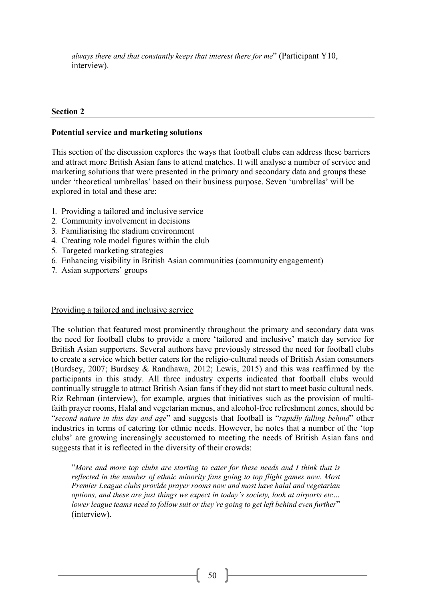*always there and that constantly keeps that interest there for me*" (Participant Y10, interview).

#### **Section 2**

#### **Potential service and marketing solutions**

This section of the discussion explores the ways that football clubs can address these barriers and attract more British Asian fans to attend matches. It will analyse a number of service and marketing solutions that were presented in the primary and secondary data and groups these under 'theoretical umbrellas' based on their business purpose. Seven 'umbrellas' will be explored in total and these are:

- 1. Providing a tailored and inclusive service
- 2. Community involvement in decisions
- 3. Familiarising the stadium environment
- 4. Creating role model figures within the club
- 5. Targeted marketing strategies
- 6. Enhancing visibility in British Asian communities (community engagement)
- 7. Asian supporters' groups

#### Providing a tailored and inclusive service

The solution that featured most prominently throughout the primary and secondary data was the need for football clubs to provide a more 'tailored and inclusive' match day service for British Asian supporters. Several authors have previously stressed the need for football clubs to create a service which better caters for the religio-cultural needs of British Asian consumers (Burdsey, 2007; Burdsey & Randhawa, 2012; Lewis, 2015) and this was reaffirmed by the participants in this study. All three industry experts indicated that football clubs would continually struggle to attract British Asian fans if they did not start to meet basic cultural neds. Riz Rehman (interview), for example, argues that initiatives such as the provision of multifaith prayer rooms, Halal and vegetarian menus, and alcohol-free refreshment zones, should be "*second nature in this day and age*" and suggests that football is "*rapidly falling behind*" other industries in terms of catering for ethnic needs. However, he notes that a number of the 'top clubs' are growing increasingly accustomed to meeting the needs of British Asian fans and suggests that it is reflected in the diversity of their crowds:

"*More and more top clubs are starting to cater for these needs and I think that is reflected in the number of ethnic minority fans going to top flight games now. Most Premier League clubs provide prayer rooms now and most have halal and vegetarian options, and these are just things we expect in today's society, look at airports etc… lower league teams need to follow suit or they're going to get left behind even further*" (interview).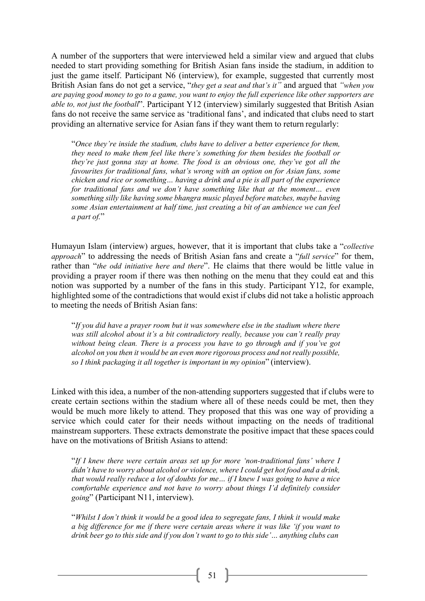A number of the supporters that were interviewed held a similar view and argued that clubs needed to start providing something for British Asian fans inside the stadium, in addition to just the game itself. Participant N6 (interview), for example, suggested that currently most British Asian fans do not get a service, "*they get a seat and that's it"* and argued that *"when you*  are paying good money to go to a game, you want to enjoy the full experience like other supporters are *able to, not just the football*". Participant Y12 (interview) similarly suggested that British Asian fans do not receive the same service as 'traditional fans', and indicated that clubs need to start providing an alternative service for Asian fans if they want them to return regularly:

"*Once they're inside the stadium, clubs have to deliver a better experience for them, they need to make them feel like there's something for them besides the football or they're just gonna stay at home. The food is an obvious one, they've got all the favourites for traditional fans, what's wrong with an option on for Asian fans, some chicken and rice or something… having a drink and a pie is all part of the experience for traditional fans and we don't have something like that at the moment… even something silly like having some bhangra music played before matches, maybe having some Asian entertainment at half time, just creating a bit of an ambience we can feel a part of.*"

Humayun Islam (interview) argues, however, that it is important that clubs take a "*collective approach*" to addressing the needs of British Asian fans and create a "*full service*" for them, rather than "*the odd initiative here and there*". He claims that there would be little value in providing a prayer room if there was then nothing on the menu that they could eat and this notion was supported by a number of the fans in this study. Participant Y12, for example, highlighted some of the contradictions that would exist if clubs did not take a holistic approach to meeting the needs of British Asian fans:

"*If you did have a prayer room but it was somewhere else in the stadium where there was still alcohol about it's a bit contradictory really, because you can't really pray without being clean. There is a process you have to go through and if you've got alcohol on you then it would be an even more rigorous process and not really possible, so I think packaging it all together is important in my opinion*" (interview).

Linked with this idea, a number of the non-attending supporters suggested that if clubs were to create certain sections within the stadium where all of these needs could be met, then they would be much more likely to attend. They proposed that this was one way of providing a service which could cater for their needs without impacting on the needs of traditional mainstream supporters. These extracts demonstrate the positive impact that these spaces could have on the motivations of British Asians to attend:

"*If I knew there were certain areas set up for more 'non-traditional fans' where I didn't have to worry about alcohol or violence, where I could get hot food and a drink, that would really reduce a lot of doubts for me… if I knew I was going to have a nice comfortable experience and not have to worry about things I'd definitely consider going*" (Participant N11, interview).

"*Whilst I don't think it would be a good idea to segregate fans, I think it would make a big difference for me if there were certain areas where it was like 'if you want to drink beer go to this side and if you don't want to go to this side'… anything clubs can*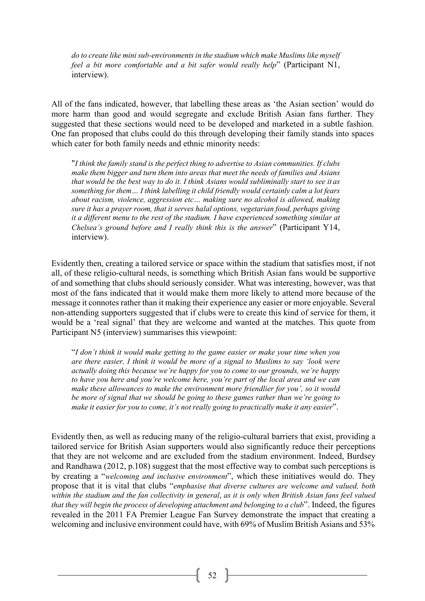*do to create like minisub-environmentsin the stadium which make Muslims like myself feel a bit more comfortable and a bit safer would really help*" (Participant N1, interview).

All of the fans indicated, however, that labelling these areas as 'the Asian section' would do more harm than good and would segregate and exclude British Asian fans further. They suggested that these sections would need to be developed and marketed in a subtle fashion. One fan proposed that clubs could do this through developing their family stands into spaces which cater for both family needs and ethnic minority needs:

"*I think the family stand is the perfect thing to advertise to Asian communities. If clubs make them bigger and turn them into areas that meet the needs of families and Asians that would be the best way to do it. I think Asians would subliminally start to see it as something for them… I think labelling it child friendly would certainly calm a lot fears about racism, violence, aggression etc… making sure no alcohol is allowed, making sure it has a prayer room, that it serves halal options, vegetarian food, perhaps giving it a different menu to the rest of the stadium. I have experienced something similar at Chelsea's ground before and I really think this is the answer*" (Participant Y14, interview).

Evidently then, creating a tailored service or space within the stadium that satisfies most, if not all, of these religio-cultural needs, is something which British Asian fans would be supportive of and something that clubs should seriously consider. What was interesting, however, was that most of the fans indicated that it would make them more likely to attend more because of the message it connotes rather than it making their experience any easier or more enjoyable. Several non-attending supporters suggested that if clubs were to create this kind of service for them, it would be a 'real signal' that they are welcome and wanted at the matches. This quote from Participant N5 (interview) summarises this viewpoint:

"*I don't think it would make getting to the game easier or make your time when you are there easier, I think it would be more of a signal to Muslims to say 'look were actually doing this because we're happy for you to come to our grounds, we're happy to have you here and you're welcome here, you're part of the local area and we can make these allowances to make the environment more friendlier for you', so it would be more of signal that we should be going to these games rather than we're going to make it easier for you to come, it's not really going to practically make it any easier*".

Evidently then, as well as reducing many of the religio-cultural barriers that exist, providing a tailored service for British Asian supporters would also significantly reduce their perceptions that they are not welcome and are excluded from the stadium environment. Indeed, Burdsey and Randhawa (2012, p.108) suggest that the most effective way to combat such perceptions is by creating a "*welcoming and inclusive environment*", which these initiatives would do. They propose that it is vital that clubs "*emphasise that diverse cultures are welcome and valued, both within the stadium and the fan collectivity in general*, *as it is only when British Asian fans feel valued that they will begin the process of developing attachment and belonging to a club*". Indeed, the figures revealed in the 2011 FA Premier League Fan Survey demonstrate the impact that creating a welcoming and inclusive environment could have, with 69% of Muslim British Asians and 53%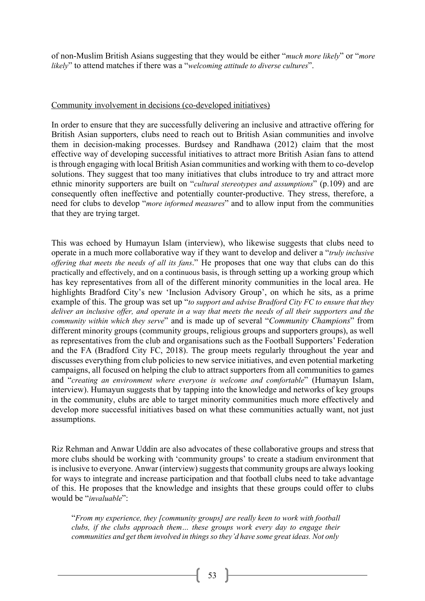of non-Muslim British Asians suggesting that they would be either "*much more likely*" or "*more likely*" to attend matches if there was a "*welcoming attitude to diverse cultures*".

#### Community involvement in decisions (co-developed initiatives)

In order to ensure that they are successfully delivering an inclusive and attractive offering for British Asian supporters, clubs need to reach out to British Asian communities and involve them in decision-making processes. Burdsey and Randhawa (2012) claim that the most effective way of developing successful initiatives to attract more British Asian fans to attend isthrough engaging with local British Asian communities and working with them to co-develop solutions. They suggest that too many initiatives that clubs introduce to try and attract more ethnic minority supporters are built on "*cultural stereotypes and assumptions*" (p.109) and are consequently often ineffective and potentially counter-productive. They stress, therefore, a need for clubs to develop "*more informed measures*" and to allow input from the communities that they are trying target.

This was echoed by Humayun Islam (interview), who likewise suggests that clubs need to operate in a much more collaborative way if they want to develop and deliver a "*truly inclusive offering that meets the needs of all its fans*." He proposes that one way that clubs can do this practically and effectively, and on a continuous basis, is through setting up a working group which has key representatives from all of the different minority communities in the local area. He highlights Bradford City's new 'Inclusion Advisory Group', on which he sits, as a prime example of this. The group was set up "*to support and advise Bradford City FC to ensure that they deliver an inclusive offer, and operate in a way that meets the needs of all their supporters and the community within which they serve*" and is made up of several "*Community Champions*" from different minority groups (community groups, religious groups and supporters groups), as well as representatives from the club and organisations such as the Football Supporters' Federation and the FA (Bradford City FC, 2018). The group meets regularly throughout the year and discusses everything from club policies to new service initiatives, and even potential marketing campaigns, all focused on helping the club to attract supporters from all communities to games and "*creating an environment where everyone is welcome and comfortable*" (Humayun Islam, interview). Humayun suggests that by tapping into the knowledge and networks of key groups in the community, clubs are able to target minority communities much more effectively and develop more successful initiatives based on what these communities actually want, not just assumptions.

Riz Rehman and Anwar Uddin are also advocates of these collaborative groups and stress that more clubs should be working with 'community groups' to create a stadium environment that is inclusive to everyone. Anwar (interview) suggests that community groups are always looking for ways to integrate and increase participation and that football clubs need to take advantage of this. He proposes that the knowledge and insights that these groups could offer to clubs would be "*invaluable*":

"*From my experience, they [community groups] are really keen to work with football clubs, if the clubs approach them… these groups work every day to engage their communities and get them involved in things so they'd have some great ideas. Not only*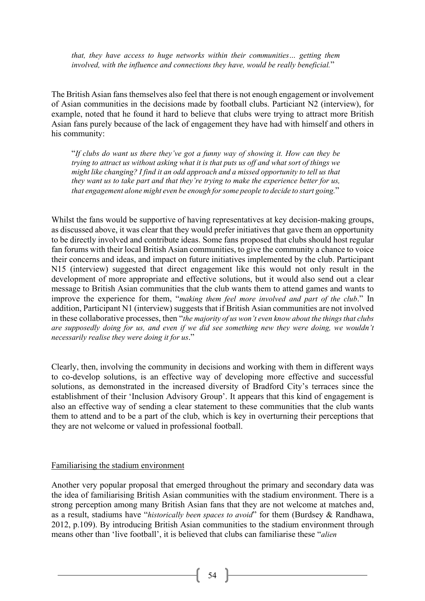*that, they have access to huge networks within their communities… getting them involved, with the influence and connections they have, would be really beneficial.*"

The British Asian fans themselves also feel that there is not enough engagement or involvement of Asian communities in the decisions made by football clubs. Particiant N2 (interview), for example, noted that he found it hard to believe that clubs were trying to attract more British Asian fans purely because of the lack of engagement they have had with himself and others in his community:

"*If clubs do want us there they've got a funny way of showing it. How can they be trying to attract us without asking what it is that puts us off and what sort of things we might like changing? I find it an odd approach and a missed opportunity to tell us that they want us to take part and that they're trying to make the experience better for us, that engagement alone might even be enough forsome people to decide to start going.*"

Whilst the fans would be supportive of having representatives at key decision-making groups, as discussed above, it was clear that they would prefer initiatives that gave them an opportunity to be directly involved and contribute ideas. Some fans proposed that clubs should host regular fan forums with their local British Asian communities, to give the community a chance to voice their concerns and ideas, and impact on future initiatives implemented by the club. Participant N15 (interview) suggested that direct engagement like this would not only result in the development of more appropriate and effective solutions, but it would also send out a clear message to British Asian communities that the club wants them to attend games and wants to improve the experience for them, "*making them feel more involved and part of the club*." In addition, Participant N1 (interview) suggests that if British Asian communities are not involved in these collaborative processes, then "*the majority of us won't even know about the thingsthat clubs are supposedly doing for us, and even if we did see something new they were doing, we wouldn't necessarily realise they were doing it for us*."

Clearly, then, involving the community in decisions and working with them in different ways to co-develop solutions, is an effective way of developing more effective and successful solutions, as demonstrated in the increased diversity of Bradford City's terraces since the establishment of their 'Inclusion Advisory Group'. It appears that this kind of engagement is also an effective way of sending a clear statement to these communities that the club wants them to attend and to be a part of the club, which is key in overturning their perceptions that they are not welcome or valued in professional football.

#### Familiarising the stadium environment

Another very popular proposal that emerged throughout the primary and secondary data was the idea of familiarising British Asian communities with the stadium environment. There is a strong perception among many British Asian fans that they are not welcome at matches and, as a result, stadiums have "*historically been spaces to avoid*" for them (Burdsey & Randhawa, 2012, p.109). By introducing British Asian communities to the stadium environment through means other than 'live football', it is believed that clubs can familiarise these "*alien*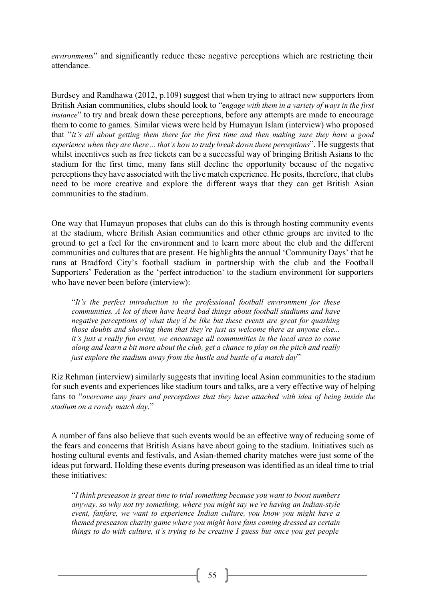*environments*" and significantly reduce these negative perceptions which are restricting their attendance.

Burdsey and Randhawa (2012, p.109) suggest that when trying to attract new supporters from British Asian communities, clubs should look to "e*ngage with them in a variety of ways in the first instance*" to try and break down these perceptions, before any attempts are made to encourage them to come to games. Similar views were held by Humayun Islam (interview) who proposed that "*it's all about getting them there for the first time and then making sure they have a good experience when they are there… that's how to truly break down those perceptions*". He suggests that whilst incentives such as free tickets can be a successful way of bringing British Asians to the stadium for the first time, many fans still decline the opportunity because of the negative perceptions they have associated with the live match experience. He posits, therefore, that clubs need to be more creative and explore the different ways that they can get British Asian communities to the stadium.

One way that Humayun proposes that clubs can do this is through hosting community events at the stadium, where British Asian communities and other ethnic groups are invited to the ground to get a feel for the environment and to learn more about the club and the different communities and cultures that are present. He highlights the annual 'Community Days' that he runs at Bradford City's football stadium in partnership with the club and the Football Supporters' Federation as the 'perfect introduction' to the stadium environment for supporters who have never been before (interview):

"*It's the perfect introduction to the professional football environment for these communities. A lot of them have heard bad things about football stadiums and have negative perceptions of what they'd be like but these events are great for quashing those doubts and showing them that they're just as welcome there as anyone else... it's just a really fun event, we encourage all communities in the local area to come along and learn a bit more about the club, get a chance to play on the pitch and really just explore the stadium away from the hustle and bustle of a match day*"

Riz Rehman (interview) similarly suggests that inviting local Asian communities to the stadium for such events and experiences like stadium tours and talks, are a very effective way of helping fans to "*overcome any fears and perceptions that they have attached with idea of being inside the stadium on a rowdy match day.*"

A number of fans also believe that such events would be an effective way of reducing some of the fears and concerns that British Asians have about going to the stadium. Initiatives such as hosting cultural events and festivals, and Asian-themed charity matches were just some of the ideas put forward. Holding these events during preseason was identified as an ideal time to trial these initiatives:

"*I think preseason is great time to trial something because you want to boost numbers anyway, so why not try something, where you might say we're having an Indian-style event, fanfare, we want to experience Indian culture, you know you might have a themed preseason charity game where you might have fans coming dressed as certain things to do with culture, it's trying to be creative I guess but once you get people*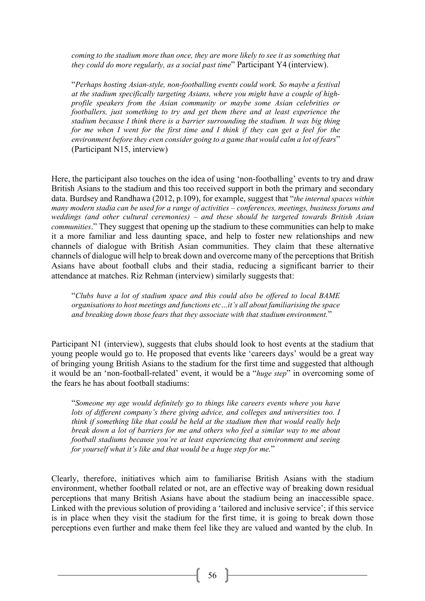*coming to the stadium more than once, they are more likely to see it as something that they could do more regularly, as a social past time*" Participant Y4 (interview).

"*Perhaps hosting Asian-style, non-footballing events could work. So maybe a festival at the stadium specifically targeting Asians, where you might have a couple of highprofile speakers from the Asian community or maybe some Asian celebrities or footballers, just something to try and get them there and at least experience the stadium because I think there is a barrier surrounding the stadium. It was big thing for me when I went for the first time and I think if they can get a feel for the environment before they even consider going to a game that would calm a lot of fears*" (Participant N15, interview)

Here, the participant also touches on the idea of using 'non-footballing' events to try and draw British Asians to the stadium and this too received support in both the primary and secondary data. Burdsey and Randhawa (2012, p.109), for example, suggest that "*the internal spaces within many modern stadia can be used for a range of activities – conferences, meetings, business forums and weddings (and other cultural ceremonies) – and these should be targeted towards British Asian communities*." They suggest that opening up the stadium to these communities can help to make it a more familiar and less daunting space, and help to foster new relationships and new channels of dialogue with British Asian communities. They claim that these alternative channels of dialogue will help to break down and overcome many of the perceptionsthat British Asians have about football clubs and their stadia, reducing a significant barrier to their attendance at matches. Riz Rehman (interview) similarly suggests that:

"*Clubs have a lot of stadium space and this could also be offered to local BAME organisationsto host meetings and functions etc…it's all about familiarising the space and breaking down those fears that they associate with that stadium environment.*"

Participant N1 (interview), suggests that clubs should look to host events at the stadium that young people would go to. He proposed that events like 'careers days' would be a great way of bringing young British Asians to the stadium for the first time and suggested that although it would be an 'non-football-related' event, it would be a "*huge step*" in overcoming some of the fears he has about football stadiums:

"*Someone my age would definitely go to things like careers events where you have lots of different company's there giving advice, and colleges and universities too. I think if something like that could be held at the stadium then that would really help break down a lot of barriers for me and others who feel a similar way to me about football stadiums because you're at least experiencing that environment and seeing for yourself what it's like and that would be a huge step for me.*"

Clearly, therefore, initiatives which aim to familiarise British Asians with the stadium environment, whether football related or not, are an effective way of breaking down residual perceptions that many British Asians have about the stadium being an inaccessible space. Linked with the previous solution of providing a 'tailored and inclusive service'; if this service is in place when they visit the stadium for the first time, it is going to break down those perceptions even further and make them feel like they are valued and wanted by the club. In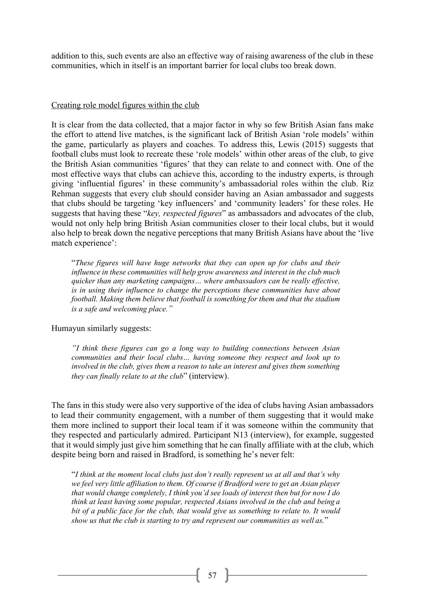addition to this, such events are also an effective way of raising awareness of the club in these communities, which in itself is an important barrier for local clubs too break down.

#### Creating role model figures within the club

It is clear from the data collected, that a major factor in why so few British Asian fans make the effort to attend live matches, is the significant lack of British Asian 'role models' within the game, particularly as players and coaches. To address this, Lewis (2015) suggests that football clubs must look to recreate these 'role models' within other areas of the club, to give the British Asian communities 'figures' that they can relate to and connect with. One of the most effective ways that clubs can achieve this, according to the industry experts, is through giving 'influential figures' in these community's ambassadorial roles within the club. Riz Rehman suggests that every club should consider having an Asian ambassador and suggests that clubs should be targeting 'key influencers' and 'community leaders' for these roles. He suggests that having these "*key, respected figures*" as ambassadors and advocates of the club, would not only help bring British Asian communities closer to their local clubs, but it would also help to break down the negative perceptions that many British Asians have about the 'live match experience':

"*These figures will have huge networks that they can open up for clubs and their influence in these communities will help grow awareness and interest in the club much quicker than any marketing campaigns… where ambassadors can be really effective, is in using their influence to change the perceptions these communities have about football. Making them believe that football is something for them and that the stadium is a safe and welcoming place."*

#### Humayun similarly suggests:

*"I think these figures can go a long way to building connections between Asian communities and their local clubs… having someone they respect and look up to involved in the club, gives them a reason to take an interest and gives them something they can finally relate to at the club*" (interview).

The fans in this study were also very supportive of the idea of clubs having Asian ambassadors to lead their community engagement, with a number of them suggesting that it would make them more inclined to support their local team if it was someone within the community that they respected and particularly admired. Participant N13 (interview), for example, suggested that it would simply just give him something that he can finally affiliate with at the club, which despite being born and raised in Bradford, is something he's never felt:

"*I think at the moment local clubs just don't really represent us at all and that's why we feel very little affiliation to them. Of course if Bradford were to get an Asian player that would change completely, I think you'd see loads of interest then but for now I do think at least having some popular, respected Asians involved in the club and being a bit of a public face for the club, that would give us something to relate to. It would show us that the club is starting to try and represent our communities as well as.*"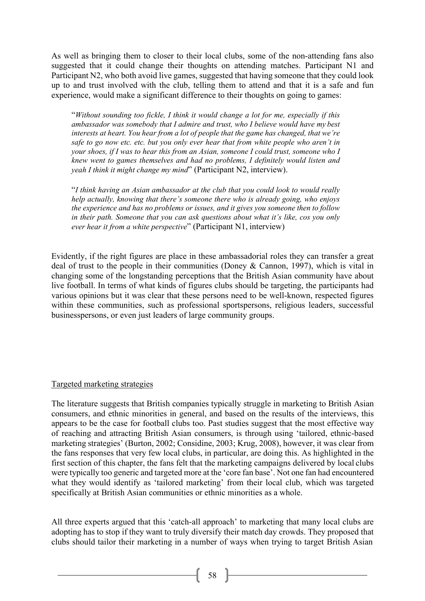As well as bringing them to closer to their local clubs, some of the non-attending fans also suggested that it could change their thoughts on attending matches. Participant N1 and Participant N2, who both avoid live games, suggested that having someone that they could look up to and trust involved with the club, telling them to attend and that it is a safe and fun experience, would make a significant difference to their thoughts on going to games:

"*Without sounding too fickle, I think it would change a lot for me, especially if this ambassador was somebody that I admire and trust, who I believe would have my best interests at heart. You hear from a lot of people that the game has changed, that we're safe to go now etc. etc. but you only ever hear that from white people who aren't in your shoes, if I was to hear this from an Asian, someone I could trust, someone who I knew went to games themselves and had no problems, I definitely would listen and yeah I think it might change my mind*" (Participant N2, interview).

"*I think having an Asian ambassador at the club that you could look to would really help actually, knowing that there's someone there who is already going, who enjoys the experience and has no problems or issues, and it gives you someone then to follow in their path. Someone that you can ask questions about what it's like, cos you only ever hear it from a white perspective*" (Participant N1, interview)

Evidently, if the right figures are place in these ambassadorial roles they can transfer a great deal of trust to the people in their communities (Doney & Cannon, 1997), which is vital in changing some of the longstanding perceptions that the British Asian community have about live football. In terms of what kinds of figures clubs should be targeting, the participants had various opinions but it was clear that these persons need to be well-known, respected figures within these communities, such as professional sportspersons, religious leaders, successful businesspersons, or even just leaders of large community groups.

# Targeted marketing strategies

The literature suggests that British companies typically struggle in marketing to British Asian consumers, and ethnic minorities in general, and based on the results of the interviews, this appears to be the case for football clubs too. Past studies suggest that the most effective way of reaching and attracting British Asian consumers, is through using 'tailored, ethnic-based marketing strategies' (Burton, 2002; Considine, 2003; Krug, 2008), however, it was clear from the fans responses that very few local clubs, in particular, are doing this. As highlighted in the first section of this chapter, the fans felt that the marketing campaigns delivered by local clubs were typically too generic and targeted more at the 'core fan base'. Not one fan had encountered what they would identify as 'tailored marketing' from their local club, which was targeted specifically at British Asian communities or ethnic minorities as a whole.

All three experts argued that this 'catch-all approach' to marketing that many local clubs are adopting has to stop if they want to truly diversify their match day crowds. They proposed that clubs should tailor their marketing in a number of ways when trying to target British Asian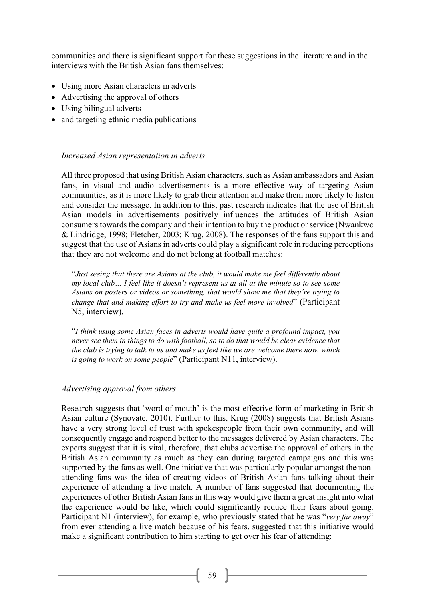communities and there is significant support for these suggestions in the literature and in the interviews with the British Asian fans themselves:

- Using more Asian characters in adverts
- Advertising the approval of others
- Using bilingual adverts
- and targeting ethnic media publications

#### *Increased Asian representation in adverts*

All three proposed that using British Asian characters, such as Asian ambassadors and Asian fans, in visual and audio advertisements is a more effective way of targeting Asian communities, as it is more likely to grab their attention and make them more likely to listen and consider the message. In addition to this, past research indicates that the use of British Asian models in advertisements positively influences the attitudes of British Asian consumers towards the company and their intention to buy the product or service (Nwankwo & Lindridge, 1998; Fletcher, 2003; Krug, 2008). The responses of the fans support this and suggest that the use of Asians in adverts could play a significant role in reducing perceptions that they are not welcome and do not belong at football matches:

"*Just seeing that there are Asians at the club, it would make me feel differently about my local club… I feel like it doesn't represent us at all at the minute so to see some Asians on posters or videos or something, that would show me that they're trying to change that and making effort to try and make us feel more involved*" (Participant N5, interview).

"*I think using some Asian faces in adverts would have quite a profound impact, you never see them in things to do with football, so to do that would be clear evidence that the club is trying to talk to us and make us feel like we are welcome there now, which is going to work on some people*" (Participant N11, interview).

#### *Advertising approval from others*

Research suggests that 'word of mouth' is the most effective form of marketing in British Asian culture (Synovate, 2010). Further to this, Krug (2008) suggests that British Asians have a very strong level of trust with spokespeople from their own community, and will consequently engage and respond better to the messages delivered by Asian characters. The experts suggest that it is vital, therefore, that clubs advertise the approval of others in the British Asian community as much as they can during targeted campaigns and this was supported by the fans as well. One initiative that was particularly popular amongst the nonattending fans was the idea of creating videos of British Asian fans talking about their experience of attending a live match. A number of fans suggested that documenting the experiences of other British Asian fans in this way would give them a great insight into what the experience would be like, which could significantly reduce their fears about going. Participant N1 (interview), for example, who previously stated that he was "*very far away*" from ever attending a live match because of his fears, suggested that this initiative would make a significant contribution to him starting to get over his fear of attending: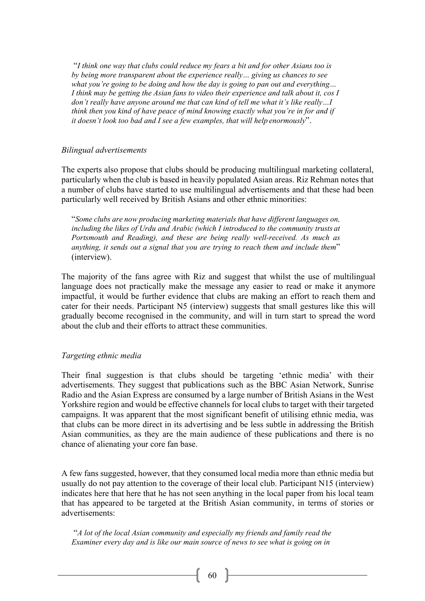"*I think one way that clubs could reduce my fears a bit and for other Asians too is by being more transparent about the experience really… giving us chances to see what you're going to be doing and how the day is going to pan out and everything… I think may be getting the Asian fans to video their experience and talk about it, cos I don't really have anyone around me that can kind of tell me what it's like really…I think then you kind of have peace of mind knowing exactly what you're in for and if it doesn't look too bad and I see a few examples, that will help enormously*".

## *Bilingual advertisements*

The experts also propose that clubs should be producing multilingual marketing collateral, particularly when the club is based in heavily populated Asian areas. Riz Rehman notes that a number of clubs have started to use multilingual advertisements and that these had been particularly well received by British Asians and other ethnic minorities:

"*Some clubs are now producing marketing materials that have different languages on, including the likes of Urdu and Arabic (which I introduced to the community trusts at Portsmouth and Reading), and these are being really well-received. As much as anything, it sends out a signal that you are trying to reach them and include them*" (interview).

The majority of the fans agree with Riz and suggest that whilst the use of multilingual language does not practically make the message any easier to read or make it anymore impactful, it would be further evidence that clubs are making an effort to reach them and cater for their needs. Participant N5 (interview) suggests that small gestures like this will gradually become recognised in the community, and will in turn start to spread the word about the club and their efforts to attract these communities.

# *Targeting ethnic media*

Their final suggestion is that clubs should be targeting 'ethnic media' with their advertisements. They suggest that publications such as the BBC Asian Network, Sunrise Radio and the Asian Express are consumed by a large number of British Asians in the West Yorkshire region and would be effective channels for local clubs to target with their targeted campaigns. It was apparent that the most significant benefit of utilising ethnic media, was that clubs can be more direct in its advertising and be less subtle in addressing the British Asian communities, as they are the main audience of these publications and there is no chance of alienating your core fan base.

A few fans suggested, however, that they consumed local media more than ethnic media but usually do not pay attention to the coverage of their local club. Participant N15 (interview) indicates here that here that he has not seen anything in the local paper from his local team that has appeared to be targeted at the British Asian community, in terms of stories or advertisements:

"*A lot of the local Asian community and especially my friends and family read the Examiner every day and is like our main source of news to see what is going on in*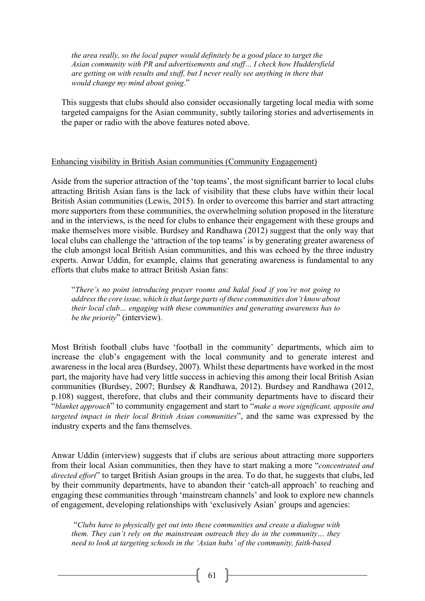*the area really, so the local paper would definitely be a good place to target the Asian community with PR and advertisements and stuff… I check how Huddersfield are getting on with results and stuff, but I never really see anything in there that would change my mind about going*."

This suggests that clubs should also consider occasionally targeting local media with some targeted campaigns for the Asian community, subtly tailoring stories and advertisements in the paper or radio with the above features noted above.

#### Enhancing visibility in British Asian communities (Community Engagement)

Aside from the superior attraction of the 'top teams', the most significant barrier to local clubs attracting British Asian fans is the lack of visibility that these clubs have within their local British Asian communities (Lewis, 2015). In order to overcome this barrier and start attracting more supporters from these communities, the overwhelming solution proposed in the literature and in the interviews, is the need for clubs to enhance their engagement with these groups and make themselves more visible. Burdsey and Randhawa (2012) suggest that the only way that local clubs can challenge the 'attraction of the top teams' is by generating greater awareness of the club amongst local British Asian communities, and this was echoed by the three industry experts. Anwar Uddin, for example, claims that generating awareness is fundamental to any efforts that clubs make to attract British Asian fans:

"*There's no point introducing prayer rooms and halal food if you're not going to addressthe core issue, which isthat large parts of these communities don't know about their local club… engaging with these communities and generating awareness has to be the priority*" (interview).

Most British football clubs have 'football in the community' departments, which aim to increase the club's engagement with the local community and to generate interest and awareness in the local area (Burdsey, 2007). Whilst these departments have worked in the most part, the majority have had very little success in achieving this among their local British Asian communities (Burdsey, 2007; Burdsey & Randhawa, 2012). Burdsey and Randhawa (2012, p.108) suggest, therefore, that clubs and their community departments have to discard their "*blanket approach*" to community engagement and start to "*make a more significant, apposite and targeted impact in their local British Asian communities*", and the same was expressed by the industry experts and the fans themselves.

Anwar Uddin (interview) suggests that if clubs are serious about attracting more supporters from their local Asian communities, then they have to start making a more "*concentrated and directed effort*" to target British Asian groups in the area. To do that, he suggests that clubs, led by their community departments, have to abandon their 'catch-all approach' to reaching and engaging these communities through 'mainstream channels' and look to explore new channels of engagement, developing relationships with 'exclusively Asian' groups and agencies:

"*Clubs have to physically get out into these communities and create a dialogue with them. They can't rely on the mainstream outreach they do in the community… they need to look at targeting schools in the 'Asian hubs' of the community, faith-based*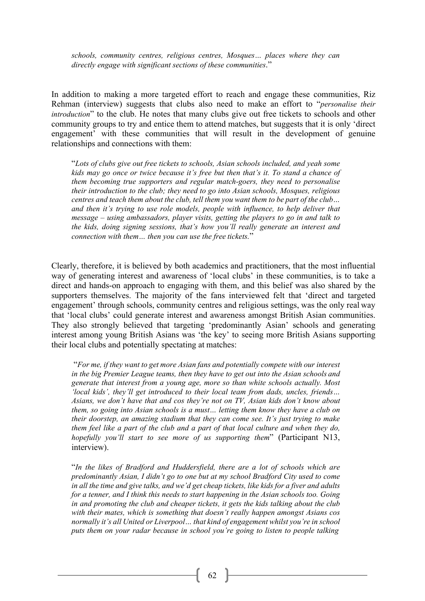*schools, community centres, religious centres, Mosques… places where they can directly engage with significant sections of these communities*."

In addition to making a more targeted effort to reach and engage these communities, Riz Rehman (interview) suggests that clubs also need to make an effort to "*personalise their introduction*" to the club. He notes that many clubs give out free tickets to schools and other community groups to try and entice them to attend matches, but suggests that it is only 'direct engagement' with these communities that will result in the development of genuine relationships and connections with them:

"*Lots of clubs give out free tickets to schools, Asian schools included, and yeah some kids may go once or twice because it's free but then that's it. To stand a chance of them becoming true supporters and regular match-goers, they need to personalise their introduction to the club; they need to go into Asian schools, Mosques, religious centres and teach them about the club, tell them you want them to be part of the club… and then it's trying to use role models, people with influence, to help deliver that message – using ambassadors, player visits, getting the players to go in and talk to the kids, doing signing sessions, that's how you'll really generate an interest and connection with them… then you can use the free tickets.*"

Clearly, therefore, it is believed by both academics and practitioners, that the most influential way of generating interest and awareness of 'local clubs' in these communities, is to take a direct and hands-on approach to engaging with them, and this belief was also shared by the supporters themselves. The majority of the fans interviewed felt that 'direct and targeted engagement' through schools, community centres and religious settings, was the only real way that 'local clubs' could generate interest and awareness amongst British Asian communities. They also strongly believed that targeting 'predominantly Asian' schools and generating interest among young British Asians was 'the key' to seeing more British Asians supporting their local clubs and potentially spectating at matches:

"*For me, if they want to get more Asian fans and potentially compete with our interest in the big Premier League teams, then they have to get out into the Asian schools and generate that interest from a young age, more so than white schools actually. Most 'local kids', they'll get introduced to their local team from dads, uncles, friends… Asians, we don't have that and cos they're not on TV, Asian kids don't know about them, so going into Asian schools is a must… letting them know they have a club on their doorstep, an amazing stadium that they can come see. It's just trying to make them feel like a part of the club and a part of that local culture and when they do, hopefully you'll start to see more of us supporting them*" (Participant N13, interview).

"*In the likes of Bradford and Huddersfield, there are a lot of schools which are predominantly Asian, I didn't go to one but at my school Bradford City used to come*  in all the time and give talks, and we'd get cheap tickets, like kids for a fiver and adults *for a tenner, and I think this needs to start happening in the Asian schools too. Going in and promoting the club and cheaper tickets, it gets the kids talking about the club with their mates, which is something that doesn't really happen amongst Asians cos normally it's all United or Liverpool… that kind of engagement whilst you're in school puts them on your radar because in school you're going to listen to people talking*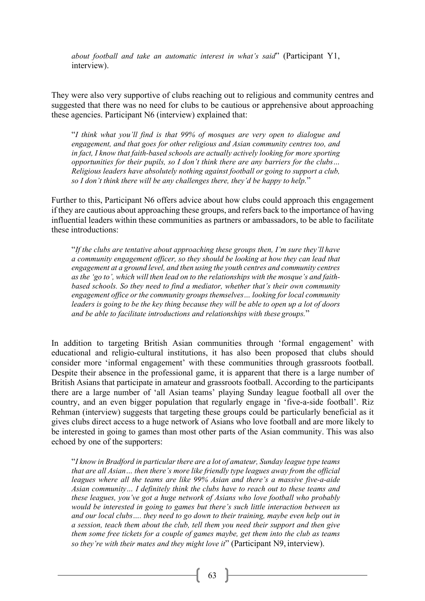*about football and take an automatic interest in what's said*" (Participant Y1, interview).

They were also very supportive of clubs reaching out to religious and community centres and suggested that there was no need for clubs to be cautious or apprehensive about approaching these agencies. Participant N6 (interview) explained that:

"*I think what you'll find is that 99% of mosques are very open to dialogue and engagement, and that goes for other religious and Asian community centres too, and in fact, I know that faith-based schools are actually actively looking for more sporting opportunities for their pupils, so I don't think there are any barriers for the clubs… Religious leaders have absolutely nothing against football or going to support a club, so I don't think there will be any challenges there, they'd be happy to help.*"

Further to this, Participant N6 offers advice about how clubs could approach this engagement if they are cautious about approaching these groups, and refers back to the importance of having influential leaders within these communities as partners or ambassadors, to be able to facilitate these introductions:

"*If the clubs are tentative about approaching these groups then, I'm sure they'll have a community engagement officer, so they should be looking at how they can lead that engagement at a ground level, and then using the youth centres and community centres as the 'go to', which will then lead on to the relationships with the mosque's and faithbased schools. So they need to find a mediator, whether that's their own community engagement office or the community groups themselves… looking for local community*  leaders is going to be the key thing because they will be able to open up a lot of doors *and be able to facilitate introductions and relationships with these groups.*"

In addition to targeting British Asian communities through 'formal engagement' with educational and religio-cultural institutions, it has also been proposed that clubs should consider more 'informal engagement' with these communities through grassroots football. Despite their absence in the professional game, it is apparent that there is a large number of British Asians that participate in amateur and grassroots football. According to the participants there are a large number of 'all Asian teams' playing Sunday league football all over the country, and an even bigger population that regularly engage in 'five-a-side football'. Riz Rehman (interview) suggests that targeting these groups could be particularly beneficial as it gives clubs direct access to a huge network of Asians who love football and are more likely to be interested in going to games than most other parts of the Asian community. This was also echoed by one of the supporters:

"*I know in Bradford in particular there are a lot of amateur, Sunday league type teams that are all Asian… then there's more like friendly type leagues away from the official leagues where all the teams are like 99% Asian and there's a massive five-a-aide Asian community… I definitely think the clubs have to reach out to these teams and these leagues, you've got a huge network of Asians who love football who probably would be interested in going to games but there's such little interaction between us and our local clubs…. they need to go down to their training, maybe even help out in a session, teach them about the club, tell them you need their support and then give them some free tickets for a couple of games maybe, get them into the club as teams so they're with their mates and they might love it*" (Participant N9, interview).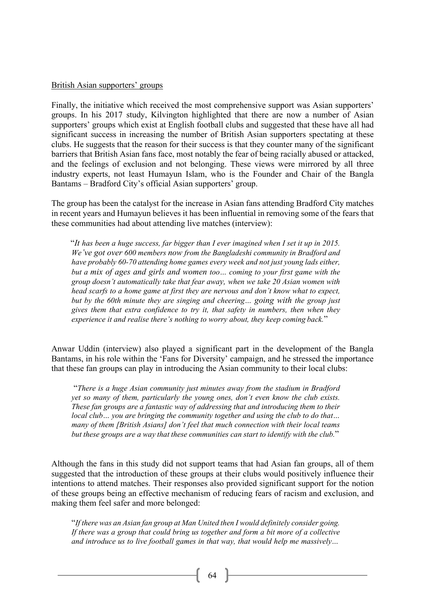#### British Asian supporters' groups

Finally, the initiative which received the most comprehensive support was Asian supporters' groups. In his 2017 study, Kilvington highlighted that there are now a number of Asian supporters' groups which exist at English football clubs and suggested that these have all had significant success in increasing the number of British Asian supporters spectating at these clubs. He suggests that the reason for their success is that they counter many of the significant barriers that British Asian fans face, most notably the fear of being racially abused or attacked, and the feelings of exclusion and not belonging. These views were mirrored by all three industry experts, not least Humayun Islam, who is the Founder and Chair of the Bangla Bantams – Bradford City's official Asian supporters' group.

The group has been the catalyst for the increase in Asian fans attending Bradford City matches in recent years and Humayun believes it has been influential in removing some of the fears that these communities had about attending live matches (interview):

"*It has been a huge success, far bigger than I ever imagined when I set it up in 2015. We've got over 600 members now from the Bangladeshi community in Bradford and have probably 60-70 attending home games every week and not just young lads either, but a mix of ages and girls and women too… coming to your first game with the group doesn't automatically take that fear away, when we take 20 Asian women with head scarfs to a home game at first they are nervous and don't know what to expect, but by the 60th minute they are singing and cheering… going with the group just gives them that extra confidence to try it, that safety in numbers, then when they experience it and realise there's nothing to worry about, they keep coming back.*"

Anwar Uddin (interview) also played a significant part in the development of the Bangla Bantams, in his role within the 'Fans for Diversity' campaign, and he stressed the importance that these fan groups can play in introducing the Asian community to their local clubs:

"*There is a huge Asian community just minutes away from the stadium in Bradford yet so many of them, particularly the young ones, don't even know the club exists. These fan groups are a fantastic way of addressing that and introducing them to their local club… you are bringing the community together and using the club to do that… many of them [British Asians] don't feel that much connection with their local teams but these groups are a way that these communities can start to identify with the club.*"

Although the fans in this study did not support teams that had Asian fan groups, all of them suggested that the introduction of these groups at their clubs would positively influence their intentions to attend matches. Their responses also provided significant support for the notion of these groups being an effective mechanism of reducing fears of racism and exclusion, and making them feel safer and more belonged:

"*If there was an Asian fan group at Man United then I would definitely consider going. If there was a group that could bring us together and form a bit more of a collective and introduce us to live football games in that way, that would help me massively…*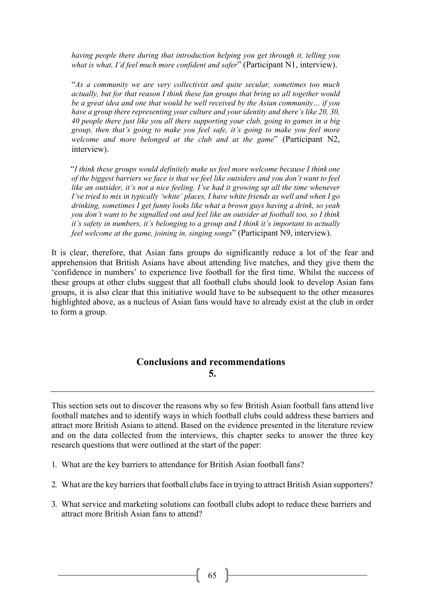*having people there during that introduction helping you get through it, telling you what is what, I'd feel much more confident and safer*" (Participant N1, interview).

"*As a community we are very collectivist and quite secular, sometimes too much actually, but for that reason I think these fan groups that bring us all together would be a great idea and one that would be well received by the Asian community… if you have a group there representing your culture and your identity and there's like 20, 30, 40 people there just like you all there supporting your club, going to games in a big group, then that's going to make you feel safe, it's going to make you feel more welcome and more belonged at the club and at the game*" (Participant N2, interview).

"*I think these groups would definitely make us feel more welcome because I think one of the biggest barriers we face is that we feel like outsiders and you don't want to feel like an outsider, it's not a nice feeling. I've had it growing up all the time whenever I've tried to mix in typically 'white' places, I have white friends as well and when I go drinking, sometimes I get funny looks like what a brown guys having a drink, so yeah you don't want to be signalled out and feel like an outsider at football too, so I think it's safety in numbers, it's belonging to a group and I think it's important to actually feel welcome at the game, joining in, singing songs*" (Participant N9, interview).

It is clear, therefore, that Asian fans groups do significantly reduce a lot of the fear and apprehension that British Asians have about attending live matches, and they give them the 'confidence in numbers' to experience live football for the first time. Whilst the success of these groups at other clubs suggest that all football clubs should look to develop Asian fans groups, it is also clear that this initiative would have to be subsequent to the other measures highlighted above, as a nucleus of Asian fans would have to already exist at the club in order to form a group.

# **Conclusions and recommendations 5.**

This section sets out to discover the reasons why so few British Asian football fans attend live football matches and to identify ways in which football clubs could address these barriers and attract more British Asians to attend. Based on the evidence presented in the literature review and on the data collected from the interviews, this chapter seeks to answer the three key research questions that were outlined at the start of the paper:

- 1. What are the key barriers to attendance for British Asian football fans?
- 2. What are the key barriers that football clubs face in trying to attract British Asian supporters?
- 3. What service and marketing solutions can football clubs adopt to reduce these barriers and attract more British Asian fans to attend?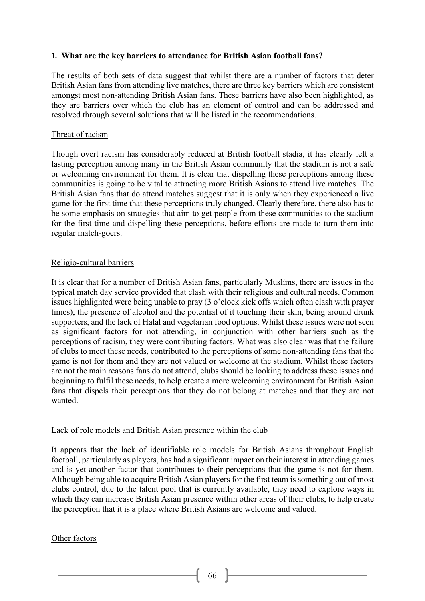#### **1. What are the key barriers to attendance for British Asian football fans?**

The results of both sets of data suggest that whilst there are a number of factors that deter British Asian fans from attending live matches, there are three key barriers which are consistent amongst most non-attending British Asian fans. These barriers have also been highlighted, as they are barriers over which the club has an element of control and can be addressed and resolved through several solutions that will be listed in the recommendations.

## Threat of racism

Though overt racism has considerably reduced at British football stadia, it has clearly left a lasting perception among many in the British Asian community that the stadium is not a safe or welcoming environment for them. It is clear that dispelling these perceptions among these communities is going to be vital to attracting more British Asians to attend live matches. The British Asian fans that do attend matches suggest that it is only when they experienced a live game for the first time that these perceptions truly changed. Clearly therefore, there also has to be some emphasis on strategies that aim to get people from these communities to the stadium for the first time and dispelling these perceptions, before efforts are made to turn them into regular match-goers.

## Religio-cultural barriers

It is clear that for a number of British Asian fans, particularly Muslims, there are issues in the typical match day service provided that clash with their religious and cultural needs. Common issues highlighted were being unable to pray (3 o'clock kick offs which often clash with prayer times), the presence of alcohol and the potential of it touching their skin, being around drunk supporters, and the lack of Halal and vegetarian food options. Whilst these issues were not seen as significant factors for not attending, in conjunction with other barriers such as the perceptions of racism, they were contributing factors. What was also clear was that the failure of clubs to meet these needs, contributed to the perceptions of some non-attending fans that the game is not for them and they are not valued or welcome at the stadium. Whilst these factors are not the main reasons fans do not attend, clubs should be looking to address these issues and beginning to fulfil these needs, to help create a more welcoming environment for British Asian fans that dispels their perceptions that they do not belong at matches and that they are not wanted.

#### Lack of role models and British Asian presence within the club

It appears that the lack of identifiable role models for British Asians throughout English football, particularly as players, has had a significant impact on their interest in attending games and is yet another factor that contributes to their perceptions that the game is not for them. Although being able to acquire British Asian players for the first team is something out of most clubs control, due to the talent pool that is currently available, they need to explore ways in which they can increase British Asian presence within other areas of their clubs, to help create the perception that it is a place where British Asians are welcome and valued.

#### Other factors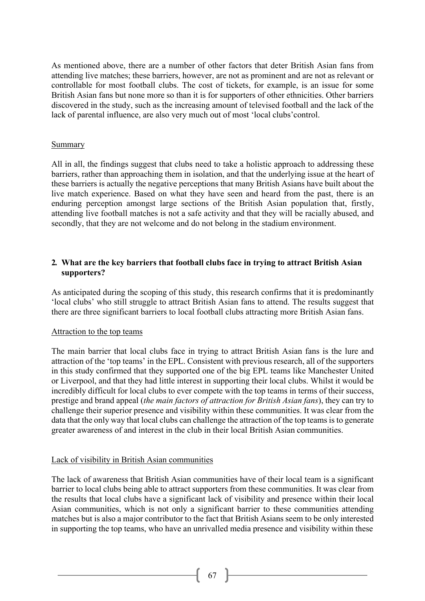As mentioned above, there are a number of other factors that deter British Asian fans from attending live matches; these barriers, however, are not as prominent and are not as relevant or controllable for most football clubs. The cost of tickets, for example, is an issue for some British Asian fans but none more so than it is for supporters of other ethnicities. Other barriers discovered in the study, such as the increasing amount of televised football and the lack of the lack of parental influence, are also very much out of most 'local clubs'control.

#### Summary

All in all, the findings suggest that clubs need to take a holistic approach to addressing these barriers, rather than approaching them in isolation, and that the underlying issue at the heart of these barriers is actually the negative perceptions that many British Asians have built about the live match experience. Based on what they have seen and heard from the past, there is an enduring perception amongst large sections of the British Asian population that, firstly, attending live football matches is not a safe activity and that they will be racially abused, and secondly, that they are not welcome and do not belong in the stadium environment.

## **2. What are the key barriers that football clubs face in trying to attract British Asian supporters?**

As anticipated during the scoping of this study, this research confirms that it is predominantly 'local clubs' who still struggle to attract British Asian fans to attend. The results suggest that there are three significant barriers to local football clubs attracting more British Asian fans.

#### Attraction to the top teams

The main barrier that local clubs face in trying to attract British Asian fans is the lure and attraction of the 'top teams' in the EPL. Consistent with previous research, all of the supporters in this study confirmed that they supported one of the big EPL teams like Manchester United or Liverpool, and that they had little interest in supporting their local clubs. Whilst it would be incredibly difficult for local clubs to ever compete with the top teams in terms of their success, prestige and brand appeal (*the main factors of attraction for British Asian fans*), they can try to challenge their superior presence and visibility within these communities. It was clear from the data that the only way that local clubs can challenge the attraction of the top teams is to generate greater awareness of and interest in the club in their local British Asian communities.

# Lack of visibility in British Asian communities

The lack of awareness that British Asian communities have of their local team is a significant barrier to local clubs being able to attract supporters from these communities. It was clear from the results that local clubs have a significant lack of visibility and presence within their local Asian communities, which is not only a significant barrier to these communities attending matches but is also a major contributor to the fact that British Asians seem to be only interested in supporting the top teams, who have an unrivalled media presence and visibility within these

 $\begin{bmatrix} 67 \end{bmatrix}$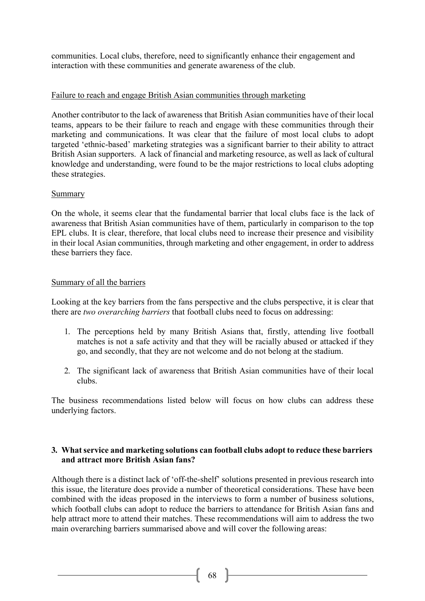communities. Local clubs, therefore, need to significantly enhance their engagement and interaction with these communities and generate awareness of the club.

## Failure to reach and engage British Asian communities through marketing

Another contributor to the lack of awareness that British Asian communities have of their local teams, appears to be their failure to reach and engage with these communities through their marketing and communications. It was clear that the failure of most local clubs to adopt targeted 'ethnic-based' marketing strategies was a significant barrier to their ability to attract British Asian supporters. A lack of financial and marketing resource, as well as lack of cultural knowledge and understanding, were found to be the major restrictions to local clubs adopting these strategies.

## Summary

On the whole, it seems clear that the fundamental barrier that local clubs face is the lack of awareness that British Asian communities have of them, particularly in comparison to the top EPL clubs. It is clear, therefore, that local clubs need to increase their presence and visibility in their local Asian communities, through marketing and other engagement, in order to address these barriers they face.

#### Summary of all the barriers

Looking at the key barriers from the fans perspective and the clubs perspective, it is clear that there are *two overarching barriers* that football clubs need to focus on addressing:

- 1. The perceptions held by many British Asians that, firstly, attending live football matches is not a safe activity and that they will be racially abused or attacked if they go, and secondly, that they are not welcome and do not belong at the stadium.
- 2. The significant lack of awareness that British Asian communities have of their local clubs.

The business recommendations listed below will focus on how clubs can address these underlying factors.

## **3. Whatservice and marketing solutions can football clubs adopt to reduce these barriers and attract more British Asian fans?**

Although there is a distinct lack of 'off-the-shelf' solutions presented in previous research into this issue, the literature does provide a number of theoretical considerations. These have been combined with the ideas proposed in the interviews to form a number of business solutions, which football clubs can adopt to reduce the barriers to attendance for British Asian fans and help attract more to attend their matches. These recommendations will aim to address the two main overarching barriers summarised above and will cover the following areas: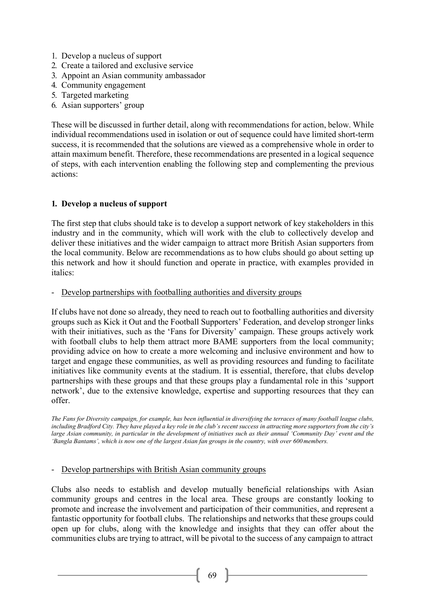- 1. Develop a nucleus of support
- 2. Create a tailored and exclusive service
- 3. Appoint an Asian community ambassador
- 4. Community engagement
- 5. Targeted marketing
- 6. Asian supporters' group

These will be discussed in further detail, along with recommendations for action, below. While individual recommendations used in isolation or out of sequence could have limited short-term success, it is recommended that the solutions are viewed as a comprehensive whole in order to attain maximum benefit. Therefore, these recommendations are presented in a logical sequence of steps, with each intervention enabling the following step and complementing the previous actions:

# **1. Develop a nucleus of support**

The first step that clubs should take is to develop a support network of key stakeholders in this industry and in the community, which will work with the club to collectively develop and deliver these initiatives and the wider campaign to attract more British Asian supporters from the local community. Below are recommendations as to how clubs should go about setting up this network and how it should function and operate in practice, with examples provided in italics:

- Develop partnerships with footballing authorities and diversity groups

If clubs have not done so already, they need to reach out to footballing authorities and diversity groups such as Kick it Out and the Football Supporters' Federation, and develop stronger links with their initiatives, such as the 'Fans for Diversity' campaign. These groups actively work with football clubs to help them attract more BAME supporters from the local community; providing advice on how to create a more welcoming and inclusive environment and how to target and engage these communities, as well as providing resources and funding to facilitate initiatives like community events at the stadium. It is essential, therefore, that clubs develop partnerships with these groups and that these groups play a fundamental role in this 'support network', due to the extensive knowledge, expertise and supporting resources that they can offer.

The Fans for Diversity campaign, for example, has been influential in diversifying the terraces of many football league clubs, including Bradford City. They have played a key role in the club's recent success in attracting more supporters from the city's *large Asian community, in particular in the development of initiatives such as their annual 'Community Day' event and the 'Bangla Bantams', which is now one of the largest Asian fan groups in the country, with over 600members.*

#### - Develop partnerships with British Asian community groups

Clubs also needs to establish and develop mutually beneficial relationships with Asian community groups and centres in the local area. These groups are constantly looking to promote and increase the involvement and participation of their communities, and represent a fantastic opportunity for football clubs. The relationships and networks that these groups could open up for clubs, along with the knowledge and insights that they can offer about the communities clubs are trying to attract, will be pivotal to the success of any campaign to attract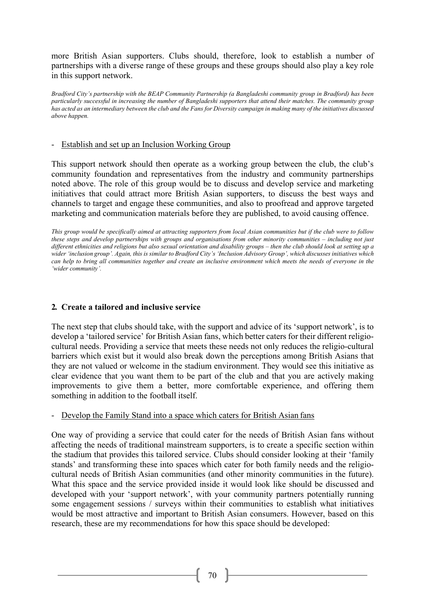more British Asian supporters. Clubs should, therefore, look to establish a number of partnerships with a diverse range of these groups and these groups should also play a key role in this support network.

*Bradford City's partnership with the BEAP Community Partnership (a Bangladeshi community group in Bradford) has been particularly successful in increasing the number of Bangladeshi supporters that attend their matches. The community group*  has acted as an intermediary between the club and the Fans for Diversity campaign in making many of the initiatives discussed *above happen.*

#### - Establish and set up an Inclusion Working Group

This support network should then operate as a working group between the club, the club's community foundation and representatives from the industry and community partnerships noted above. The role of this group would be to discuss and develop service and marketing initiatives that could attract more British Asian supporters, to discuss the best ways and channels to target and engage these communities, and also to proofread and approve targeted marketing and communication materials before they are published, to avoid causing offence.

*This group would be specifically aimed at attracting supporters from local Asian communities but if the club were to follow these steps and develop partnerships with groups and organisations from other minority communities – including not just different ethnicities and religions but also sexual orientation and disability groups – then the club should look at setting up a*  wider 'inclusion group'. Again, this is similar to Bradford City's 'Inclusion Advisory Group', which discusses initiatives which *can help to bring all communities together and create an inclusive environment which meets the needs of everyone in the 'wider community'.*

#### **2. Create a tailored and inclusive service**

The next step that clubs should take, with the support and advice of its 'support network', is to develop a 'tailored service' for British Asian fans, which better caters for their different religiocultural needs. Providing a service that meets these needs not only reduces the religio-cultural barriers which exist but it would also break down the perceptions among British Asians that they are not valued or welcome in the stadium environment. They would see this initiative as clear evidence that you want them to be part of the club and that you are actively making improvements to give them a better, more comfortable experience, and offering them something in addition to the football itself.

#### Develop the Family Stand into a space which caters for British Asian fans

One way of providing a service that could cater for the needs of British Asian fans without affecting the needs of traditional mainstream supporters, is to create a specific section within the stadium that provides this tailored service. Clubs should consider looking at their 'family stands' and transforming these into spaces which cater for both family needs and the religiocultural needs of British Asian communities (and other minority communities in the future). What this space and the service provided inside it would look like should be discussed and developed with your 'support network', with your community partners potentially running some engagement sessions / surveys within their communities to establish what initiatives would be most attractive and important to British Asian consumers. However, based on this research, these are my recommendations for how this space should be developed:

70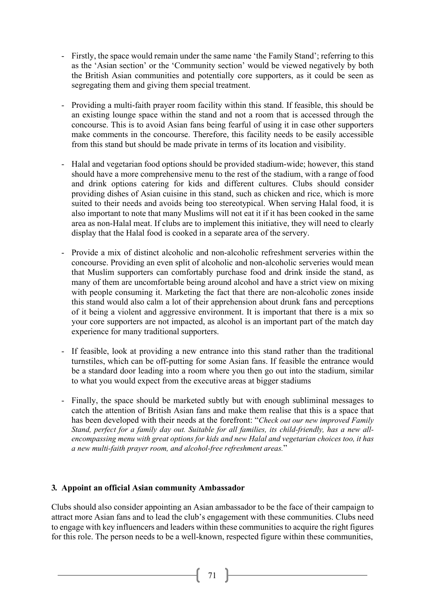- Firstly, the space would remain under the same name 'the Family Stand'; referring to this as the 'Asian section' or the 'Community section' would be viewed negatively by both the British Asian communities and potentially core supporters, as it could be seen as segregating them and giving them special treatment.
- Providing a multi-faith prayer room facility within this stand. If feasible, this should be an existing lounge space within the stand and not a room that is accessed through the concourse. This is to avoid Asian fans being fearful of using it in case other supporters make comments in the concourse. Therefore, this facility needs to be easily accessible from this stand but should be made private in terms of its location and visibility.
- Halal and vegetarian food options should be provided stadium-wide; however, this stand should have a more comprehensive menu to the rest of the stadium, with a range of food and drink options catering for kids and different cultures. Clubs should consider providing dishes of Asian cuisine in this stand, such as chicken and rice, which is more suited to their needs and avoids being too stereotypical. When serving Halal food, it is also important to note that many Muslims will not eat it if it has been cooked in the same area as non-Halal meat. If clubs are to implement this initiative, they will need to clearly display that the Halal food is cooked in a separate area of the servery.
- Provide a mix of distinct alcoholic and non-alcoholic refreshment serveries within the concourse. Providing an even split of alcoholic and non-alcoholic serveries would mean that Muslim supporters can comfortably purchase food and drink inside the stand, as many of them are uncomfortable being around alcohol and have a strict view on mixing with people consuming it. Marketing the fact that there are non-alcoholic zones inside this stand would also calm a lot of their apprehension about drunk fans and perceptions of it being a violent and aggressive environment. It is important that there is a mix so your core supporters are not impacted, as alcohol is an important part of the match day experience for many traditional supporters.
- If feasible, look at providing a new entrance into this stand rather than the traditional turnstiles, which can be off-putting for some Asian fans. If feasible the entrance would be a standard door leading into a room where you then go out into the stadium, similar to what you would expect from the executive areas at bigger stadiums
- Finally, the space should be marketed subtly but with enough subliminal messages to catch the attention of British Asian fans and make them realise that this is a space that has been developed with their needs at the forefront: "*Check out our new improved Family Stand, perfect for a family day out. Suitable for all families, its child-friendly, has a new allencompassing menu with great options for kids and new Halal and vegetarian choices too, it has a new multi-faith prayer room, and alcohol-free refreshment areas.*"

# **3. Appoint an official Asian community Ambassador**

Clubs should also consider appointing an Asian ambassador to be the face of their campaign to attract more Asian fans and to lead the club's engagement with these communities. Clubs need to engage with key influencers and leaders within these communitiesto acquire the right figures for this role. The person needs to be a well-known, respected figure within these communities,

71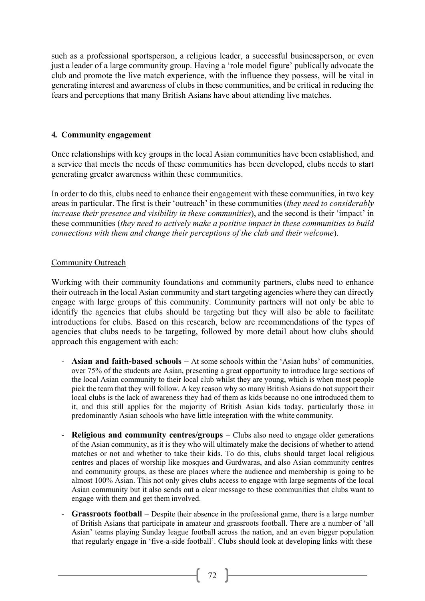such as a professional sportsperson, a religious leader, a successful businessperson, or even just a leader of a large community group. Having a 'role model figure' publically advocate the club and promote the live match experience, with the influence they possess, will be vital in generating interest and awareness of clubs in these communities, and be critical in reducing the fears and perceptions that many British Asians have about attending live matches.

## **4. Community engagement**

Once relationships with key groups in the local Asian communities have been established, and a service that meets the needs of these communities has been developed, clubs needs to start generating greater awareness within these communities.

In order to do this, clubs need to enhance their engagement with these communities, in two key areas in particular. The first is their 'outreach' in these communities (*they need to considerably increase their presence and visibility in these communities*), and the second is their 'impact' in these communities (*they need to actively make a positive impact in these communities to build connections with them and change their perceptions of the club and their welcome*).

### Community Outreach

Working with their community foundations and community partners, clubs need to enhance their outreach in the local Asian community and start targeting agencies where they can directly engage with large groups of this community. Community partners will not only be able to identify the agencies that clubs should be targeting but they will also be able to facilitate introductions for clubs. Based on this research, below are recommendations of the types of agencies that clubs needs to be targeting, followed by more detail about how clubs should approach this engagement with each:

- **Asian and faith-based schools**  At some schools within the 'Asian hubs' of communities, over 75% of the students are Asian, presenting a great opportunity to introduce large sections of the local Asian community to their local club whilst they are young, which is when most people pick the team that they will follow. A key reason why so many British Asians do not support their local clubs is the lack of awareness they had of them as kids because no one introduced them to it, and this still applies for the majority of British Asian kids today, particularly those in predominantly Asian schools who have little integration with the white community.
- **Religious and community centres/groups** Clubs also need to engage older generations of the Asian community, as it is they who will ultimately make the decisions of whether to attend matches or not and whether to take their kids. To do this, clubs should target local religious centres and places of worship like mosques and Gurdwaras, and also Asian community centres and community groups, as these are places where the audience and membership is going to be almost 100% Asian. This not only gives clubs access to engage with large segments of the local Asian community but it also sends out a clear message to these communities that clubs want to engage with them and get them involved.
- **Grassroots football**  Despite their absence in the professional game, there is a large number of British Asians that participate in amateur and grassroots football. There are a number of 'all Asian' teams playing Sunday league football across the nation, and an even bigger population that regularly engage in 'five-a-side football'. Clubs should look at developing links with these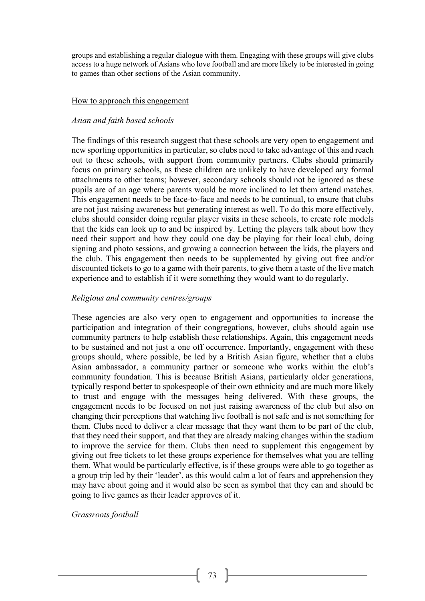groups and establishing a regular dialogue with them. Engaging with these groups will give clubs access to a huge network of Asians who love football and are more likely to be interested in going to games than other sections of the Asian community.

#### How to approach this engagement

### *Asian and faith based schools*

The findings of this research suggest that these schools are very open to engagement and new sporting opportunities in particular, so clubs need to take advantage of this and reach out to these schools, with support from community partners. Clubs should primarily focus on primary schools, as these children are unlikely to have developed any formal attachments to other teams; however, secondary schools should not be ignored as these pupils are of an age where parents would be more inclined to let them attend matches. This engagement needs to be face-to-face and needs to be continual, to ensure that clubs are not just raising awareness but generating interest as well. To do this more effectively, clubs should consider doing regular player visits in these schools, to create role models that the kids can look up to and be inspired by. Letting the players talk about how they need their support and how they could one day be playing for their local club, doing signing and photo sessions, and growing a connection between the kids, the players and the club. This engagement then needs to be supplemented by giving out free and/or discounted tickets to go to a game with their parents, to give them a taste of the live match experience and to establish if it were something they would want to do regularly.

#### *Religious and community centres/groups*

These agencies are also very open to engagement and opportunities to increase the participation and integration of their congregations, however, clubs should again use community partners to help establish these relationships. Again, this engagement needs to be sustained and not just a one off occurrence. Importantly, engagement with these groups should, where possible, be led by a British Asian figure, whether that a clubs Asian ambassador, a community partner or someone who works within the club's community foundation. This is because British Asians, particularly older generations, typically respond better to spokespeople of their own ethnicity and are much more likely to trust and engage with the messages being delivered. With these groups, the engagement needs to be focused on not just raising awareness of the club but also on changing their perceptions that watching live football is not safe and is not something for them. Clubs need to deliver a clear message that they want them to be part of the club, that they need their support, and that they are already making changes within the stadium to improve the service for them. Clubs then need to supplement this engagement by giving out free tickets to let these groups experience for themselves what you are telling them. What would be particularly effective, is if these groups were able to go together as a group trip led by their 'leader', as this would calm a lot of fears and apprehension they may have about going and it would also be seen as symbol that they can and should be going to live games as their leader approves of it.

*Grassroots football*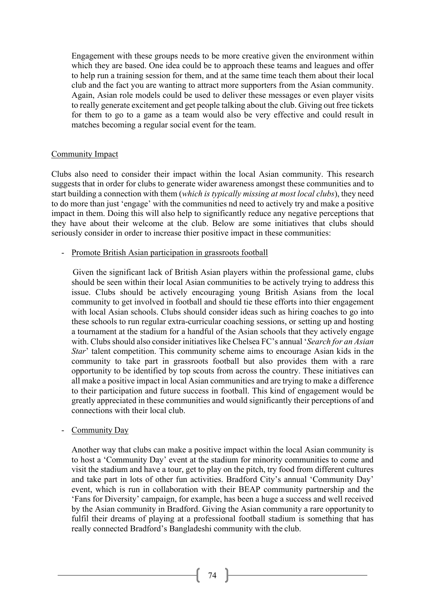Engagement with these groups needs to be more creative given the environment within which they are based. One idea could be to approach these teams and leagues and offer to help run a training session for them, and at the same time teach them about their local club and the fact you are wanting to attract more supporters from the Asian community. Again, Asian role models could be used to deliver these messages or even player visits to really generate excitement and get people talking about the club. Giving out free tickets for them to go to a game as a team would also be very effective and could result in matches becoming a regular social event for the team.

## Community Impact

Clubs also need to consider their impact within the local Asian community. This research suggests that in order for clubs to generate wider awareness amongst these communities and to start building a connection with them (*which is typically missing at most local clubs*), they need to do more than just 'engage' with the communities nd need to actively try and make a positive impact in them. Doing this will also help to significantly reduce any negative perceptions that they have about their welcome at the club. Below are some initiatives that clubs should seriously consider in order to increase thier positive impact in these communities:

### - Promote British Asian participation in grassroots football

Given the significant lack of British Asian players within the professional game, clubs should be seen within their local Asian communities to be actively trying to address this issue. Clubs should be actively encouraging young British Asians from the local community to get involved in football and should tie these efforts into thier engagement with local Asian schools. Clubs should consider ideas such as hiring coaches to go into these schools to run regular extra-curricular coaching sessions, or setting up and hosting a tournament at the stadium for a handful of the Asian schools that they actively engage with. Clubs should also consider initiatives like Chelsea FC's annual '*Search for an Asian Star'* talent competition. This community scheme aims to encourage Asian kids in the community to take part in grassroots football but also provides them with a rare opportunity to be identified by top scouts from across the country. These initiatives can all make a positive impact in local Asian communities and are trying to make a difference to their participation and future success in football. This kind of engagement would be greatly appreciated in these communities and would significantly their perceptions of and connections with their local club.

### - Community Day

Another way that clubs can make a positive impact within the local Asian community is to host a 'Community Day' event at the stadium for minority communities to come and visit the stadium and have a tour, get to play on the pitch, try food from different cultures and take part in lots of other fun activities. Bradford City's annual 'Community Day' event, which is run in collaboration with their BEAP community partnership and the 'Fans for Diversity' campaign, for example, has been a huge a success and well received by the Asian community in Bradford. Giving the Asian community a rare opportunity to fulfil their dreams of playing at a professional football stadium is something that has really connected Bradford's Bangladeshi community with the club.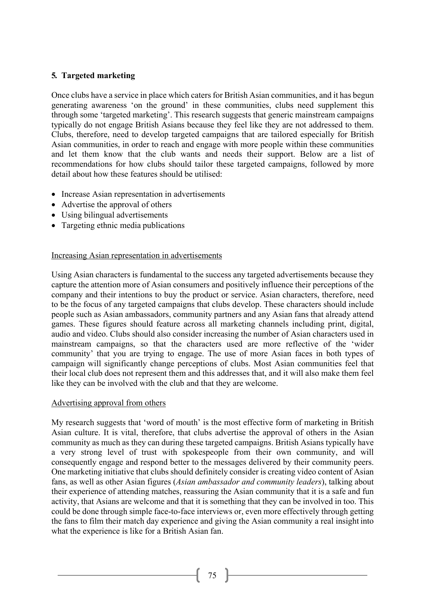# **5. Targeted marketing**

Once clubs have a service in place which caters for British Asian communities, and it has begun generating awareness 'on the ground' in these communities, clubs need supplement this through some 'targeted marketing'. This research suggests that generic mainstream campaigns typically do not engage British Asians because they feel like they are not addressed to them. Clubs, therefore, need to develop targeted campaigns that are tailored especially for British Asian communities, in order to reach and engage with more people within these communities and let them know that the club wants and needs their support. Below are a list of recommendations for how clubs should tailor these targeted campaigns, followed by more detail about how these features should be utilised:

- Increase Asian representation in advertisements
- Advertise the approval of others
- Using bilingual advertisements
- Targeting ethnic media publications

### Increasing Asian representation in advertisements

Using Asian characters is fundamental to the success any targeted advertisements because they capture the attention more of Asian consumers and positively influence their perceptions of the company and their intentions to buy the product or service. Asian characters, therefore, need to be the focus of any targeted campaigns that clubs develop. These characters should include people such as Asian ambassadors, community partners and any Asian fans that already attend games. These figures should feature across all marketing channels including print, digital, audio and video. Clubs should also consider increasing the number of Asian characters used in mainstream campaigns, so that the characters used are more reflective of the 'wider community' that you are trying to engage. The use of more Asian faces in both types of campaign will significantly change perceptions of clubs. Most Asian communities feel that their local club does not represent them and this addresses that, and it will also make them feel like they can be involved with the club and that they are welcome.

### Advertising approval from others

My research suggests that 'word of mouth' is the most effective form of marketing in British Asian culture. It is vital, therefore, that clubs advertise the approval of others in the Asian community as much as they can during these targeted campaigns. British Asians typically have a very strong level of trust with spokespeople from their own community, and will consequently engage and respond better to the messages delivered by their community peers. One marketing initiative that clubs should definitely consider is creating video content of Asian fans, as well as other Asian figures (*Asian ambassador and community leaders*), talking about their experience of attending matches, reassuring the Asian community that it is a safe and fun activity, that Asians are welcome and that it is something that they can be involved in too. This could be done through simple face-to-face interviews or, even more effectively through getting the fans to film their match day experience and giving the Asian community a real insight into what the experience is like for a British Asian fan.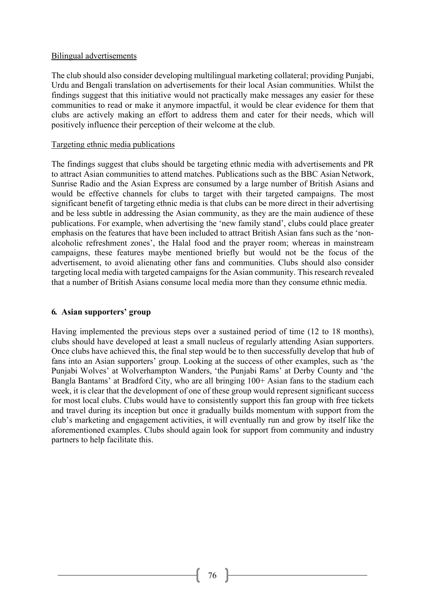## Bilingual advertisements

The club should also consider developing multilingual marketing collateral; providing Punjabi, Urdu and Bengali translation on advertisements for their local Asian communities. Whilst the findings suggest that this initiative would not practically make messages any easier for these communities to read or make it anymore impactful, it would be clear evidence for them that clubs are actively making an effort to address them and cater for their needs, which will positively influence their perception of their welcome at the club.

## Targeting ethnic media publications

The findings suggest that clubs should be targeting ethnic media with advertisements and PR to attract Asian communities to attend matches. Publications such as the BBC Asian Network, Sunrise Radio and the Asian Express are consumed by a large number of British Asians and would be effective channels for clubs to target with their targeted campaigns. The most significant benefit of targeting ethnic media is that clubs can be more direct in their advertising and be less subtle in addressing the Asian community, as they are the main audience of these publications. For example, when advertising the 'new family stand', clubs could place greater emphasis on the features that have been included to attract British Asian fans such as the 'nonalcoholic refreshment zones', the Halal food and the prayer room; whereas in mainstream campaigns, these features maybe mentioned briefly but would not be the focus of the advertisement, to avoid alienating other fans and communities. Clubs should also consider targeting local media with targeted campaigns for the Asian community. This research revealed that a number of British Asians consume local media more than they consume ethnic media.

# **6. Asian supporters' group**

Having implemented the previous steps over a sustained period of time (12 to 18 months), clubs should have developed at least a small nucleus of regularly attending Asian supporters. Once clubs have achieved this, the final step would be to then successfully develop that hub of fans into an Asian supporters' group. Looking at the success of other examples, such as 'the Punjabi Wolves' at Wolverhampton Wanders, 'the Punjabi Rams' at Derby County and 'the Bangla Bantams' at Bradford City, who are all bringing 100+ Asian fans to the stadium each week, it is clear that the development of one of these group would represent significant success for most local clubs. Clubs would have to consistently support this fan group with free tickets and travel during its inception but once it gradually builds momentum with support from the club's marketing and engagement activities, it will eventually run and grow by itself like the aforementioned examples. Clubs should again look for support from community and industry partners to help facilitate this.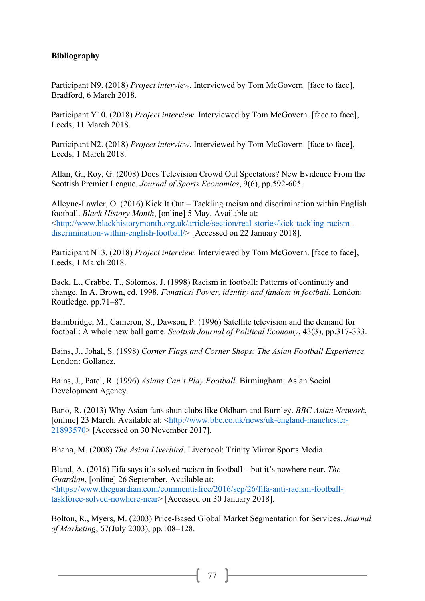## **Bibliography**

Participant N9. (2018) *Project interview*. Interviewed by Tom McGovern. [face to face], Bradford, 6 March 2018.

Participant Y10. (2018) *Project interview*. Interviewed by Tom McGovern. [face to face], Leeds, 11 March 2018.

Participant N2. (2018) *Project interview*. Interviewed by Tom McGovern. [face to face], Leeds, 1 March 2018.

Allan, G., Roy, G. (2008) Does Television Crowd Out Spectators? New Evidence From the Scottish Premier League. *Journal of Sports Economics*, 9(6), pp.592-605.

Alleyne-Lawler, O. (2016) Kick It Out – Tackling racism and discrimination within English football. *Black History Month*, [online] 5 May. Available at: [<http://www.blackhistorymonth.org.uk/article/section/real-stories/kick-tackling-racism](http://www.blackhistorymonth.org.uk/article/section/real-stories/kick-tackling-racism-discrimination-within-english-football/)[discrimination-within-english-football/>](http://www.blackhistorymonth.org.uk/article/section/real-stories/kick-tackling-racism-discrimination-within-english-football/) [Accessed on 22 January 2018].

Participant N13. (2018) *Project interview*. Interviewed by Tom McGovern. [face to face], Leeds, 1 March 2018.

Back, L., Crabbe, T., Solomos, J. (1998) Racism in football: Patterns of continuity and change. In A. Brown, ed. 1998. *Fanatics! Power, identity and fandom in football*. London: Routledge. pp.71–87.

Baimbridge, M., Cameron, S., Dawson, P. (1996) Satellite television and the demand for football: A whole new ball game. *Scottish Journal of Political Economy*, 43(3), pp.317-333.

Bains, J., Johal, S. (1998) *Corner Flags and Corner Shops: The Asian Football Experience*. London: Gollancz.

Bains, J., Patel, R. (1996) *Asians Can't Play Football*. Birmingham: Asian Social Development Agency.

Bano, R. (2013) Why Asian fans shun clubs like Oldham and Burnley. *BBC Asian Network*, [online] 23 March. Available at: [<http://www.bbc.co.uk/news/uk-england-manchester-](http://www.bbc.co.uk/news/uk-england-manchester-21893570)[21893570>](http://www.bbc.co.uk/news/uk-england-manchester-21893570) [Accessed on 30 November 2017].

Bhana, M. (2008) *The Asian Liverbird*. Liverpool: Trinity Mirror Sports Media.

Bland, A. (2016) Fifa says it's solved racism in football – but it's nowhere near. *The Guardian*, [online] 26 September. Available at: [<https://www.theguardian.com/commentisfree/2016/sep/26/fifa-anti-racism-football](https://www.theguardian.com/commentisfree/2016/sep/26/fifa-anti-racism-football-taskforce-solved-nowhere-near)[taskforce-solved-nowhere-near>](https://www.theguardian.com/commentisfree/2016/sep/26/fifa-anti-racism-football-taskforce-solved-nowhere-near) [Accessed on 30 January 2018].

Bolton, R., Myers, M. (2003) Price-Based Global Market Segmentation for Services. *Journal of Marketing*, 67(July 2003), pp.108–128.

77 }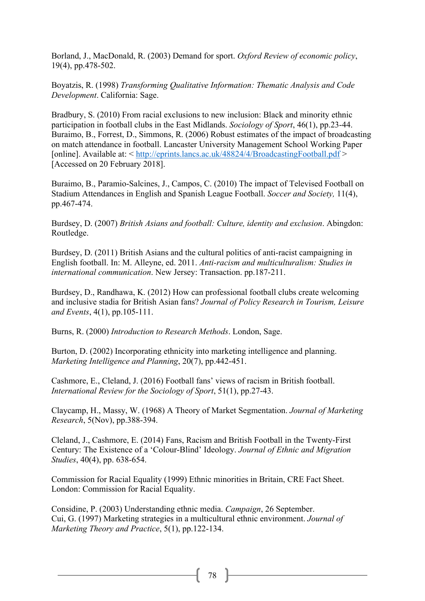Borland, J., MacDonald, R. (2003) Demand for sport. *Oxford Review of economic policy*, 19(4), pp.478-502.

Boyatzis, R. (1998) *Transforming Qualitative Information: Thematic Analysis and Code Development*. California: Sage.

Bradbury, S. (2010) From racial exclusions to new inclusion: Black and minority ethnic participation in football clubs in the East Midlands. *Sociology of Sport*, 46(1), pp.23-44. Buraimo, B., Forrest, D., Simmons, R. (2006) Robust estimates of the impact of broadcasting on match attendance in football. Lancaster University Management School Working Paper [online]. Available at: <<http://eprints.lancs.ac.uk/48824/4/BroadcastingFootball.pdf> > [Accessed on 20 February 2018].

Buraimo, B., Paramio-Salcines, J., Campos, C. (2010) The impact of Televised Football on Stadium Attendances in English and Spanish League Football. *Soccer and Society,* 11(4), pp.467-474.

Burdsey, D. (2007) *British Asians and football: Culture, identity and exclusion*. Abingdon: Routledge.

Burdsey, D. (2011) British Asians and the cultural politics of anti-racist campaigning in English football. In: M. Alleyne, ed. 2011. *Anti-racism and multiculturalism: Studies in international communication*. New Jersey: Transaction. pp.187-211.

Burdsey, D., Randhawa, K. (2012) How can professional football clubs create welcoming and inclusive stadia for British Asian fans? *Journal of Policy Research in Tourism, Leisure and Events*, 4(1), pp.105-111.

Burns, R. (2000) *Introduction to Research Methods*. London, Sage.

Burton, D. (2002) Incorporating ethnicity into marketing intelligence and planning. *Marketing Intelligence and Planning*, 20(7), pp.442-451.

Cashmore, E., Cleland, J. (2016) Football fans' views of racism in British football. *International Review for the Sociology of Sport*, 51(1), pp.27-43.

Claycamp, H., Massy, W. (1968) A Theory of Market Segmentation. *Journal of Marketing Research*, 5(Nov), pp.388-394.

Cleland, J., Cashmore, E. (2014) Fans, Racism and British Football in the Twenty-First Century: The Existence of a 'Colour-Blind' Ideology. *Journal of Ethnic and Migration Studies*, 40(4), pp. 638-654.

Commission for Racial Equality (1999) Ethnic minorities in Britain, CRE Fact Sheet. London: Commission for Racial Equality.

Considine, P. (2003) Understanding ethnic media. *Campaign*, 26 September. Cui, G. (1997) Marketing strategies in a multicultural ethnic environment. *Journal of Marketing Theory and Practice*, 5(1), pp.122-134.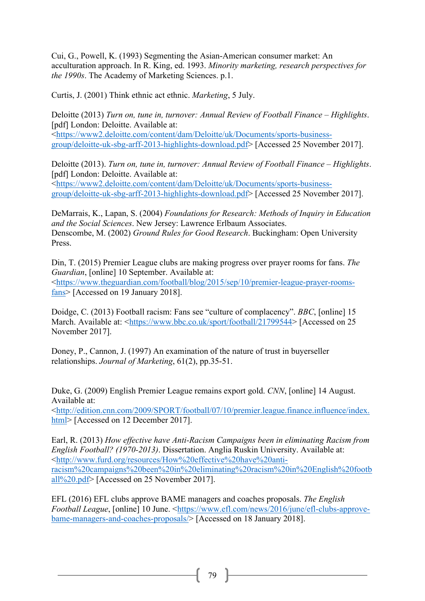Cui, G., Powell, K. (1993) Segmenting the Asian-American consumer market: An acculturation approach. In R. King, ed. 1993. *Minority marketing, research perspectives for the 1990s*. The Academy of Marketing Sciences. p.1.

Curtis, J. (2001) Think ethnic act ethnic. *Marketing*, 5 July.

Deloitte (2013) *Turn on, tune in, turnover: Annual Review of Football Finance – Highlights*. [pdf] London: Deloitte. Available at: [<https://www2.deloitte.com/content/dam/Deloitte/uk/Documents/sports-business](https://www2.deloitte.com/content/dam/Deloitte/uk/Documents/sports-business-group/deloitte-uk-sbg-arff-2013-highlights-download.pdf)[group/deloitte-uk-sbg-arff-2013-highlights-download.pdf>](https://www2.deloitte.com/content/dam/Deloitte/uk/Documents/sports-business-group/deloitte-uk-sbg-arff-2013-highlights-download.pdf) [Accessed 25 November 2017].

Deloitte (2013). *Turn on, tune in, turnover: Annual Review of Football Finance – Highlights*. [pdf] London: Deloitte. Available at: [<https://www2.deloitte.com/content/dam/Deloitte/uk/Documents/sports-business](https://www2.deloitte.com/content/dam/Deloitte/uk/Documents/sports-business-group/deloitte-uk-sbg-arff-2013-highlights-download.pdf)[group/deloitte-uk-sbg-arff-2013-highlights-download.pdf>](https://www2.deloitte.com/content/dam/Deloitte/uk/Documents/sports-business-group/deloitte-uk-sbg-arff-2013-highlights-download.pdf) [Accessed 25 November 2017].

DeMarrais, K., Lapan, S. (2004) *Foundations for Research: Methods of Inquiry in Education and the Social Sciences*. New Jersey: Lawrence Erlbaum Associates. Denscombe, M. (2002) *Ground Rules for Good Research*. Buckingham: Open University Press.

Din, T. (2015) Premier League clubs are making progress over prayer rooms for fans. *The Guardian*, [online] 10 September. Available at: [<https://www.theguardian.com/football/blog/2015/sep/10/premier-league-prayer-rooms](https://www.theguardian.com/football/blog/2015/sep/10/premier-league-prayer-rooms-fans)[fans>](https://www.theguardian.com/football/blog/2015/sep/10/premier-league-prayer-rooms-fans) [Accessed on 19 January 2018].

Doidge, C. (2013) Football racism: Fans see "culture of complacency". *BBC*, [online] 15 March. Available at: [<https://www.bbc.co.uk/sport/football/21799544>](https://www.bbc.co.uk/sport/football/21799544) [Accessed on 25] November 2017].

Doney, P., Cannon, J. (1997) An examination of the nature of trust in buyerseller relationships. *Journal of Marketing*, 61(2), pp.35-51.

Duke, G. (2009) English Premier League remains export gold. *CNN*, [online] 14 August. Available at:

[<http://edition.cnn.com/2009/SPORT/football/07/10/premier.league.finance.influence/index.](http://edition.cnn.com/2009/SPORT/football/07/10/premier.league.finance.influence/index.html) [html>](http://edition.cnn.com/2009/SPORT/football/07/10/premier.league.finance.influence/index.html) [Accessed on 12 December 2017].

Earl, R. (2013) *How effective have Anti-Racism Campaigns been in eliminating Racism from English Football? (1970-2013)*. Dissertation. Anglia Ruskin University. Available at: [<http://www.furd.org/resources/How%20effective%20have%20anti](http://www.furd.org/resources/How%20effective%20have%20anti-racism%20campaigns%20been%20in%20eliminating%20racism%20in%20English%20football%20.pdf)[racism%20campaigns%20been%20in%20eliminating%20racism%20in%20English%20footb](http://www.furd.org/resources/How%20effective%20have%20anti-racism%20campaigns%20been%20in%20eliminating%20racism%20in%20English%20football%20.pdf) [all%20.pdf>](http://www.furd.org/resources/How%20effective%20have%20anti-racism%20campaigns%20been%20in%20eliminating%20racism%20in%20English%20football%20.pdf) [Accessed on 25 November 2017].

EFL (2016) EFL clubs approve BAME managers and coaches proposals. *The English Football League*, [online] 10 June. [<https://www.efl.com/news/2016/june/efl-clubs-approve](https://www.efl.com/news/2016/june/efl-clubs-approve-bame-managers-and-coaches-proposals/)[bame-managers-and-coaches-proposals/>](https://www.efl.com/news/2016/june/efl-clubs-approve-bame-managers-and-coaches-proposals/) [Accessed on 18 January 2018].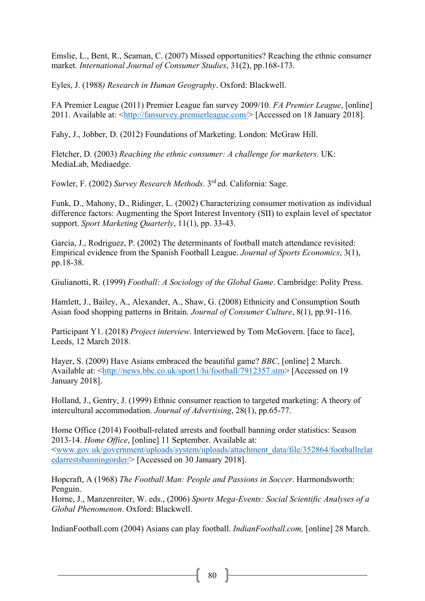Emslie, L., Bent, R., Seaman, C. (2007) Missed opportunities? Reaching the ethnic consumer market. *International Journal of Consumer Studies*, 31(2), pp.168-173.

Eyles, J. (1988*) Research in Human Geography*. Oxford: Blackwell.

FA Premier League (2011) Premier League fan survey 2009/10. *FA Premier League*, [online] 2011. Available at: [<http://fansurvey.premierleague.com/>](http://fansurvey.premierleague.com/) [Accessed on 18 January 2018].

Fahy, J., Jobber, D. (2012) Foundations of Marketing. London: McGraw Hill.

Fletcher, D. (2003) *Reaching the ethnic consumer: A challenge for marketers*. UK: MediaLab, Mediaedge.

Fowler, F. (2002) *Survey Research Methods*. 3rd ed. California: Sage.

Funk, D., Mahony, D., Ridinger, L. (2002) Characterizing consumer motivation as individual difference factors: Augmenting the Sport Interest Inventory (SII) to explain level of spectator support. *Sport Marketing Quarterly*, 11(1), pp. 33-43.

Garcia, J., Rodriguez, P. (2002) The determinants of football match attendance revisited: Empirical evidence from the Spanish Football League. *Journal of Sports Economics*, 3(1), pp.18-38.

Giulianotti, R. (1999) *Football: A Sociology of the Global Game*. Cambridge: Polity Press.

Hamlett, J., Bailey, A., Alexander, A., Shaw, G. (2008) Ethnicity and Consumption South Asian food shopping patterns in Britain. *Journal of Consumer Culture*, 8(1), pp.91-116.

Participant Y1. (2018) *Project interview*. Interviewed by Tom McGovern. [face to face], Leeds, 12 March 2018.

Hayer, S. (2009) Have Asians embraced the beautiful game? *BBC*, [online] 2 March. Available at: [<http://news.bbc.co.uk/sport1/hi/football/7912357.stm>](http://news.bbc.co.uk/sport1/hi/football/7912357.stm) [Accessed on 19 January 2018].

Holland, J., Gentry, J. (1999) Ethnic consumer reaction to targeted marketing: A theory of intercultural accommodation. *Journal of Advertising*, 28(1), pp.65-77.

Home Office (2014) Football-related arrests and football banning order statistics: Season 2013-14. *Home Office*, [online] 11 September. Available at: [<www.gov.uk/government/uploads/system/uploads/attachment\\_data/file/352864/footballrelat](http://www.gov.uk/government/uploads/system/uploads/attachment_data/file/352864/footballrelatedarrestsbanningorder/) [edarrestsbanningorder/>](http://www.gov.uk/government/uploads/system/uploads/attachment_data/file/352864/footballrelatedarrestsbanningorder/) [Accessed on 30 January 2018].

Hopcraft, A (1968) *The Football Man: People and Passions in Soccer*. Harmondsworth: Penguin.

Horne, J., Manzenreiter, W. eds., (2006) *Sports Mega-Events: Social Scientific Analyses of a Global Phenomenon*. Oxford: Blackwell.

IndianFootball.com (2004) Asians can play football. *IndianFootball.com,* [online] 28 March.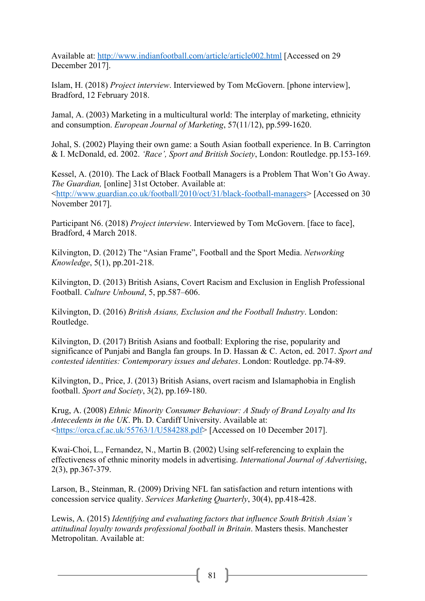Available at:<http://www.indianfootball.com/article/article002.html> [Accessed on 29 December 2017].

Islam, H. (2018) *Project interview*. Interviewed by Tom McGovern. [phone interview], Bradford, 12 February 2018.

Jamal, A. (2003) Marketing in a multicultural world: The interplay of marketing, ethnicity and consumption. *European Journal of Marketing*, 57(11/12), pp.599-1620.

Johal, S. (2002) Playing their own game: a South Asian football experience. In B. Carrington & I. McDonald, ed. 2002. *'Race', Sport and British Society*, London: Routledge. pp.153-169.

Kessel, A. (2010). The Lack of Black Football Managers is a Problem That Won't Go Away. *The Guardian,* [online] 31st October. Available at: [<http://www.guardian.co.uk/football/2010/oct/31/black-football-managers>](http://www.guardian.co.uk/football/2010/oct/31/black-football-managers) [Accessed on 30 November 2017].

Participant N6. (2018) *Project interview*. Interviewed by Tom McGovern. [face to face], Bradford, 4 March 2018.

Kilvington, D. (2012) The "Asian Frame", Football and the Sport Media. *Networking Knowledge*, 5(1), pp.201-218.

Kilvington, D. (2013) British Asians, Covert Racism and Exclusion in English Professional Football. *Culture Unbound*, 5, pp.587–606.

Kilvington, D. (2016) *British Asians, Exclusion and the Football Industry*. London: Routledge.

Kilvington, D. (2017) British Asians and football: Exploring the rise, popularity and significance of Punjabi and Bangla fan groups. In D. Hassan & C. Acton, ed. 2017. *Sport and contested identities: Contemporary issues and debates*. London: Routledge. pp.74-89.

Kilvington, D., Price, J. (2013) British Asians, overt racism and Islamaphobia in English football. *Sport and Society*, 3(2), pp.169-180.

Krug, A. (2008) *Ethnic Minority Consumer Behaviour: A Study of Brand Loyalty and Its Antecedents in the UK*. Ph. D. Cardiff University. Available at: [<https://orca.cf.ac.uk/55763/1/U584288.pdf>](https://orca.cf.ac.uk/55763/1/U584288.pdf) [Accessed on 10 December 2017].

Kwai-Choi, L., Fernandez, N., Martin B. (2002) Using self-referencing to explain the effectiveness of ethnic minority models in advertising. *International Journal of Advertising*, 2(3), pp.367-379.

Larson, B., Steinman, R. (2009) Driving NFL fan satisfaction and return intentions with concession service quality. *Services Marketing Quarterly*, 30(4), pp.418-428.

Lewis, A. (2015) *Identifying and evaluating factors that influence South British Asian's attitudinal loyalty towards professional football in Britain*. Masters thesis. Manchester Metropolitan. Available at: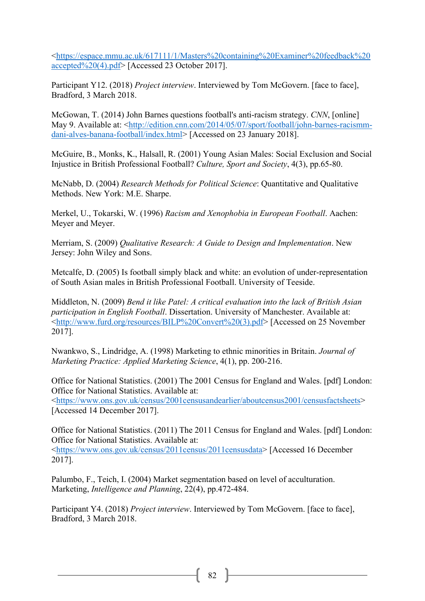<https://espace.mmu.ac.uk/617111/1/Masters%20containing%20Examiner%20feedback%20 accepted%20(4).pdf> [Accessed 23 October 2017].

Participant Y12. (2018) *Project interview*. Interviewed by Tom McGovern. [face to face], Bradford, 3 March 2018.

McGowan, T. (2014) John Barnes questions football's anti-racism strategy. *CNN*, [online] May 9. Available at: <http://edition.cnn.com/2014/05/07/sport/football/john-barnes-racismmdani-alves-banana-football/index.html> [Accessed on 23 January 2018].

McGuire, B., Monks, K., Halsall, R. (2001) Young Asian Males: Social Exclusion and Social Injustice in British Professional Football? *Culture, Sport and Society*, 4(3), pp.65-80.

McNabb, D. (2004) *Research Methods for Political Science*: Quantitative and Qualitative Methods. New York: M.E. Sharpe.

Merkel, U., Tokarski, W. (1996) *Racism and Xenophobia in European Football*. Aachen: Meyer and Meyer.

Merriam, S. (2009) *Qualitative Research: A Guide to Design and Implementation*. New Jersey: John Wiley and Sons.

Metcalfe, D. (2005) Is football simply black and white: an evolution of under-representation of South Asian males in British Professional Football. University of Teeside.

Middleton, N. (2009) *Bend it like Patel: A critical evaluation into the lack of British Asian participation in English Football*. Dissertation. University of Manchester. Available at: <http://www.furd.org/resources/BILP%20Convert%20(3).pdf> [Accessed on 25 November 2017].

Nwankwo, S., Lindridge, A. (1998) Marketing to ethnic minorities in Britain. *Journal of Marketing Practice: Applied Marketing Science*, 4(1), pp. 200-216.

Office for National Statistics. (2001) The 2001 Census for England and Wales. [pdf] London: Office for National Statistics. Available at:

<https://www.ons.gov.uk/census/2001censusandearlier/aboutcensus2001/censusfactsheets> [Accessed 14 December 2017].

Office for National Statistics. (2011) The 2011 Census for England and Wales. [pdf] London: Office for National Statistics. Available at:

<https://www.ons.gov.uk/census/2011census/2011censusdata> [Accessed 16 December 2017].

Palumbo, F., Teich, I. (2004) Market segmentation based on level of acculturation. Marketing, *Intelligence and Planning*, 22(4), pp.472-484.

Participant Y4. (2018) *Project interview*. Interviewed by Tom McGovern. [face to face], Bradford, 3 March 2018.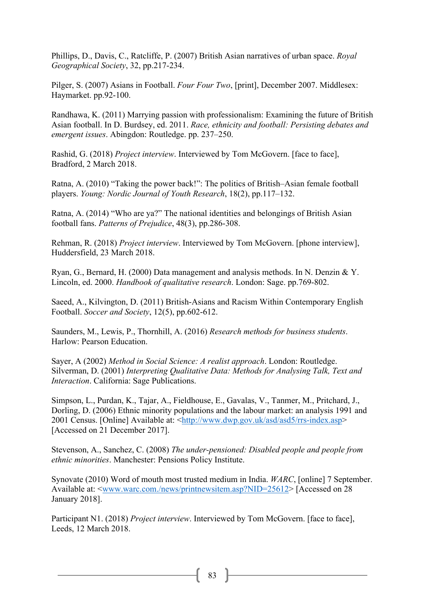Phillips, D., Davis, C., Ratcliffe, P. (2007) British Asian narratives of urban space. *Royal Geographical Society*, 32, pp.217-234.

Pilger, S. (2007) Asians in Football. *Four Four Two*, [print], December 2007. Middlesex: Haymarket. pp.92-100.

Randhawa, K. (2011) Marrying passion with professionalism: Examining the future of British Asian football. In D. Burdsey, ed. 2011. *Race, ethnicity and football: Persisting debates and emergent issues*. Abingdon: Routledge. pp. 237–250.

Rashid, G. (2018) *Project interview*. Interviewed by Tom McGovern. [face to face], Bradford, 2 March 2018.

Ratna, A. (2010) "Taking the power back!": The politics of British–Asian female football players. *Young: Nordic Journal of Youth Research*, 18(2), pp.117–132.

Ratna, A. (2014) "Who are ya?" The national identities and belongings of British Asian football fans. *Patterns of Prejudice*, 48(3), pp.286-308.

Rehman, R. (2018) *Project interview*. Interviewed by Tom McGovern. [phone interview], Huddersfield, 23 March 2018.

Ryan, G., Bernard, H. (2000) Data management and analysis methods. In N. Denzin & Y. Lincoln, ed. 2000. *Handbook of qualitative research*. London: Sage. pp.769-802.

Saeed, A., Kilvington, D. (2011) British-Asians and Racism Within Contemporary English Football. *Soccer and Society*, 12(5), pp.602-612.

Saunders, M., Lewis, P., Thornhill, A. (2016) *Research methods for business students*. Harlow: Pearson Education.

Sayer, A (2002) *Method in Social Science: A realist approach*. London: Routledge. Silverman, D. (2001) *Interpreting Qualitative Data: Methods for Analysing Talk, Text and Interaction*. California: Sage Publications.

Simpson, L., Purdan, K., Tajar, A., Fieldhouse, E., Gavalas, V., Tanmer, M., Pritchard, J., Dorling, D. (2006) Ethnic minority populations and the labour market: an analysis 1991 and 2001 Census. [Online] Available at: <http://www.dwp.gov.uk/asd/asd5/rrs-index.asp> [Accessed on 21 December 2017].

Stevenson, A., Sanchez, C. (2008) *The under-pensioned: Disabled people and people from ethnic minorities*. Manchester: Pensions Policy Institute.

Synovate (2010) Word of mouth most trusted medium in India. *WARC*, [online] 7 September. Available at: <www.warc.com./news/printnewsitem.asp?NID=25612> [Accessed on 28 January 2018].

Participant N1. (2018) *Project interview*. Interviewed by Tom McGovern. [face to face], Leeds, 12 March 2018.